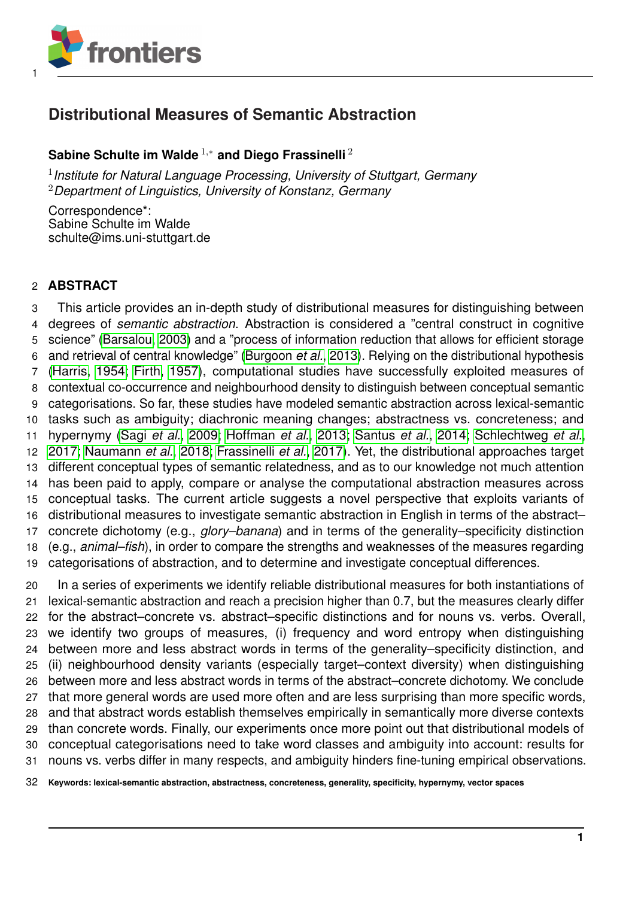<span id="page-0-0"></span>

# **Distributional Measures of Semantic Abstraction**

## **Sabine Schulte im Walde** <sup>1</sup>,<sup>∗</sup> **and Diego Frassinelli** <sup>2</sup>

 *Institute for Natural Language Processing, University of Stuttgart, Germany Department of Linguistics, University of Konstanz, Germany*

Correspondence\*: Sabine Schulte im Walde schulte@ims.uni-stuttgart.de

### **ABSTRACT**

 This article provides an in-depth study of distributional measures for distinguishing between degrees of *semantic abstraction*. Abstraction is considered a "central construct in cognitive science" [\(Barsalou, 2003\)](#page-28-0) and a "process of information reduction that allows for efficient storage and retrieval of central knowledge" [\(Burgoon](#page-29-0) *et al.*, [2013\)](#page-29-0). Relying on the distributional hypothesis [\(Harris, 1954;](#page-30-0) [Firth, 1957\)](#page-30-1), computational studies have successfully exploited measures of contextual co-occurrence and neighbourhood density to distinguish between conceptual semantic categorisations. So far, these studies have modeled semantic abstraction across lexical-semantic tasks such as ambiguity; diachronic meaning changes; abstractness vs. concreteness; and hypernymy (Sagi *[et al.](#page-32-0)*, [2009;](#page-32-0) [Hoffman](#page-30-2) *et al.*, [2013;](#page-30-2) [Santus](#page-33-0) *et al.*, [2014;](#page-33-0) [Schlechtweg](#page-33-1) *et al.*, [2017;](#page-33-1) [Naumann](#page-31-0) *et al.*, [2018;](#page-31-0) [Frassinelli](#page-30-3) *et al.*, [2017\)](#page-30-3). Yet, the distributional approaches target different conceptual types of semantic relatedness, and as to our knowledge not much attention has been paid to apply, compare or analyse the computational abstraction measures across conceptual tasks. The current article suggests a novel perspective that exploits variants of distributional measures to investigate semantic abstraction in English in terms of the abstract– concrete dichotomy (e.g., *glory–banana*) and in terms of the generality–specificity distinction (e.g., *animal–fish*), in order to compare the strengths and weaknesses of the measures regarding categorisations of abstraction, and to determine and investigate conceptual differences.

 In a series of experiments we identify reliable distributional measures for both instantiations of lexical-semantic abstraction and reach a precision higher than 0.7, but the measures clearly differ for the abstract–concrete vs. abstract–specific distinctions and for nouns vs. verbs. Overall, we identify two groups of measures, (i) frequency and word entropy when distinguishing between more and less abstract words in terms of the generality–specificity distinction, and (ii) neighbourhood density variants (especially target–context diversity) when distinguishing between more and less abstract words in terms of the abstract–concrete dichotomy. We conclude that more general words are used more often and are less surprising than more specific words, and that abstract words establish themselves empirically in semantically more diverse contexts than concrete words. Finally, our experiments once more point out that distributional models of conceptual categorisations need to take word classes and ambiguity into account: results for nouns vs. verbs differ in many respects, and ambiguity hinders fine-tuning empirical observations.

**Keywords: lexical-semantic abstraction, abstractness, concreteness, generality, specificity, hypernymy, vector spaces**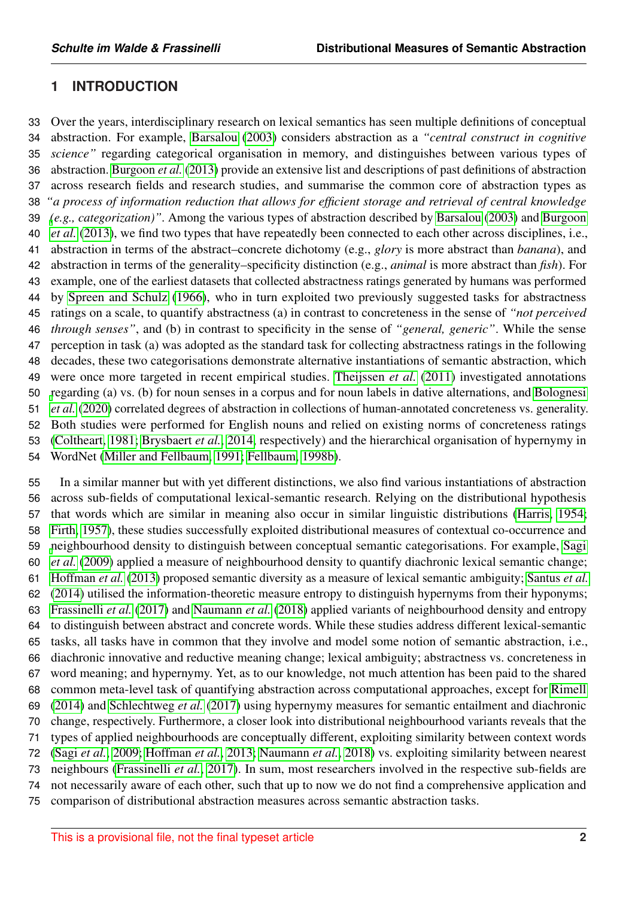## **1 INTRODUCTION**

 Over the years, interdisciplinary research on lexical semantics has seen multiple definitions of conceptual abstraction. For example, [Barsalou](#page-28-0) [\(2003\)](#page-28-0) considers abstraction as a *"central construct in cognitive science"* regarding categorical organisation in memory, and distinguishes between various types of abstraction. [Burgoon](#page-29-0) *et al.* [\(2013\)](#page-29-0) provide an extensive list and descriptions of past definitions of abstraction across research fields and research studies, and summarise the common core of abstraction types as *"a process of information reduction that allows for efficient storage and retrieval of central knowledge [\(](#page-29-0)e.g., categorization)"*. Among the various types of abstraction described by [Barsalou](#page-28-0) [\(2003\)](#page-28-0) and [Burgoon](#page-29-0) *[et al.](#page-29-0)* [\(2013\)](#page-29-0), we find two types that have repeatedly been connected to each other across disciplines, i.e., abstraction in terms of the abstract–concrete dichotomy (e.g., *glory* is more abstract than *banana*), and abstraction in terms of the generality–specificity distinction (e.g., *animal* is more abstract than *fish*). For example, one of the earliest datasets that collected abstractness ratings generated by humans was performed by [Spreen and Schulz](#page-33-2) [\(1966\)](#page-33-2), who in turn exploited two previously suggested tasks for abstractness ratings on a scale, to quantify abstractness (a) in contrast to concreteness in the sense of *"not perceived through senses"*, and (b) in contrast to specificity in the sense of *"general, generic"*. While the sense perception in task (a) was adopted as the standard task for collecting abstractness ratings in the following decades, these two categorisations demonstrate alternative instantiations of semantic abstraction, which were once more targeted in recent empirical studies. [Theijssen](#page-33-3) *et al.* [\(2011\)](#page-33-3) investigated annotations [r](#page-29-1)egarding (a) vs. (b) for noun senses in a corpus and for noun labels in dative alternations, and [Bolognesi](#page-29-1) *[et al.](#page-29-1)* [\(2020\)](#page-29-1) correlated degrees of abstraction in collections of human-annotated concreteness vs. generality. Both studies were performed for English nouns and relied on existing norms of concreteness ratings [\(Coltheart, 1981;](#page-29-2) [Brysbaert](#page-29-3) *et al.*, [2014,](#page-29-3) respectively) and the hierarchical organisation of hypernymy in WordNet [\(Miller and Fellbaum, 1991;](#page-31-1) [Fellbaum, 1998b\)](#page-30-4).

 In a similar manner but with yet different distinctions, we also find various instantiations of abstraction across sub-fields of computational lexical-semantic research. Relying on the distributional hypothesis that words which are similar in meaning also occur in similar linguistic distributions [\(Harris, 1954;](#page-30-0) [Firth, 1957\)](#page-30-1), these studies successfully exploited distributional measures of contextual co-occurrence and [n](#page-32-0)eighbourhood density to distinguish between conceptual semantic categorisations. For example, [Sagi](#page-32-0) *[et al.](#page-32-0)* [\(2009\)](#page-32-0) applied a measure of neighbourhood density to quantify diachronic lexical semantic change; [Hoffman](#page-30-2) *et al.* [\(2013\)](#page-30-2) proposed semantic diversity as a measure of lexical semantic ambiguity; [Santus](#page-33-0) *et al.* [\(2014\)](#page-33-0) utilised the information-theoretic measure entropy to distinguish hypernyms from their hyponyms; [Frassinelli](#page-30-3) *et al.* [\(2017\)](#page-30-3) and [Naumann](#page-31-0) *et al.* [\(2018\)](#page-31-0) applied variants of neighbourhood density and entropy to distinguish between abstract and concrete words. While these studies address different lexical-semantic tasks, all tasks have in common that they involve and model some notion of semantic abstraction, i.e., diachronic innovative and reductive meaning change; lexical ambiguity; abstractness vs. concreteness in word meaning; and hypernymy. Yet, as to our knowledge, not much attention has been paid to the shared common meta-level task of quantifying abstraction across computational approaches, except for [Rimell](#page-32-1) [\(2014\)](#page-32-1) and [Schlechtweg](#page-33-1) *et al.* [\(2017\)](#page-33-1) using hypernymy measures for semantic entailment and diachronic change, respectively. Furthermore, a closer look into distributional neighbourhood variants reveals that the types of applied neighbourhoods are conceptually different, exploiting similarity between context words (Sagi *[et al.](#page-32-0)*, [2009;](#page-32-0) [Hoffman](#page-30-2) *et al.*, [2013;](#page-30-2) [Naumann](#page-31-0) *et al.*, [2018\)](#page-31-0) vs. exploiting similarity between nearest neighbours [\(Frassinelli](#page-30-3) *et al.*, [2017\)](#page-30-3). In sum, most researchers involved in the respective sub-fields are not necessarily aware of each other, such that up to now we do not find a comprehensive application and comparison of distributional abstraction measures across semantic abstraction tasks.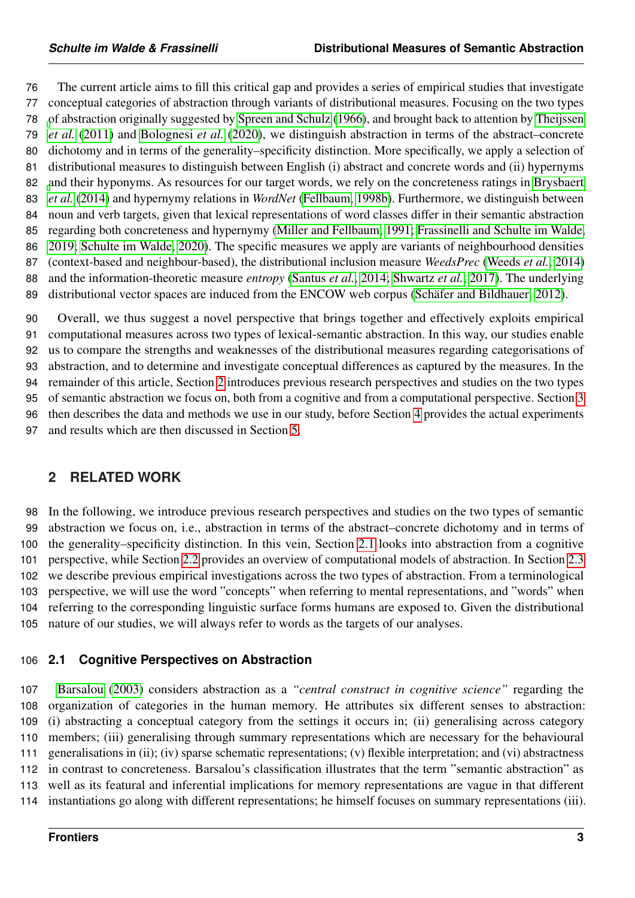The current article aims to fill this critical gap and provides a series of empirical studies that investigate conceptual categories of abstraction through variants of distributional measures. Focusing on the two types [o](#page-33-3)f abstraction originally suggested by [Spreen and Schulz](#page-33-2) [\(1966\)](#page-33-2), and brought back to attention by [Theijssen](#page-33-3) *[et al.](#page-33-3)* [\(2011\)](#page-33-3) and [Bolognesi](#page-29-1) *et al.* [\(2020\)](#page-29-1), we distinguish abstraction in terms of the abstract–concrete 80 dichotomy and in terms of the generality–specificity distinction. More specifically, we apply a selection of distributional measures to distinguish between English (i) abstract and concrete words and (ii) hypernyms [a](#page-29-3)nd their hyponyms. As resources for our target words, we rely on the concreteness ratings in [Brysbaert](#page-29-3) *[et al.](#page-29-3)* [\(2014\)](#page-29-3) and hypernymy relations in *WordNet* [\(Fellbaum, 1998b\)](#page-30-4). Furthermore, we distinguish between noun and verb targets, given that lexical representations of word classes differ in their semantic abstraction regarding both concreteness and hypernymy [\(Miller and Fellbaum, 1991;](#page-31-1) [Frassinelli and Schulte im Walde,](#page-30-5) [2019;](#page-30-5) [Schulte im Walde, 2020\)](#page-33-4). The specific measures we apply are variants of neighbourhood densities (context-based and neighbour-based), the distributional inclusion measure *WeedsPrec* [\(Weeds](#page-34-0) *et al.*, [2014\)](#page-34-0) and the information-theoretic measure *entropy* [\(Santus](#page-33-0) *et al.*, [2014;](#page-33-0) [Shwartz](#page-33-5) *et al.*, [2017\)](#page-33-5). The underlying 89 distributional vector spaces are induced from the ENCOW web corpus (Schäfer and Bildhauer, 2012).

 Overall, we thus suggest a novel perspective that brings together and effectively exploits empirical computational measures across two types of lexical-semantic abstraction. In this way, our studies enable us to compare the strengths and weaknesses of the distributional measures regarding categorisations of abstraction, and to determine and investigate conceptual differences as captured by the measures. In the remainder of this article, Section [2](#page-2-0) introduces previous research perspectives and studies on the two types of semantic abstraction we focus on, both from a cognitive and from a computational perspective. Section [3](#page-6-0) then describes the data and methods we use in our study, before Section [4](#page-11-0) provides the actual experiments and results which are then discussed in Section [5.](#page-25-0)

## <span id="page-2-0"></span>**2 RELATED WORK**

 In the following, we introduce previous research perspectives and studies on the two types of semantic abstraction we focus on, i.e., abstraction in terms of the abstract–concrete dichotomy and in terms of the generality–specificity distinction. In this vein, Section [2.1](#page-2-1) looks into abstraction from a cognitive perspective, while Section [2.2](#page-5-0) provides an overview of computational models of abstraction. In Section [2.3](#page-6-1) we describe previous empirical investigations across the two types of abstraction. From a terminological perspective, we will use the word "concepts" when referring to mental representations, and "words" when referring to the corresponding linguistic surface forms humans are exposed to. Given the distributional nature of our studies, we will always refer to words as the targets of our analyses.

### <span id="page-2-1"></span>**2.1 Cognitive Perspectives on Abstraction**

 [Barsalou](#page-28-0) [\(2003\)](#page-28-0) considers abstraction as a *"central construct in cognitive science"* regarding the organization of categories in the human memory. He attributes six different senses to abstraction: (i) abstracting a conceptual category from the settings it occurs in; (ii) generalising across category members; (iii) generalising through summary representations which are necessary for the behavioural generalisations in (ii); (iv) sparse schematic representations; (v) flexible interpretation; and (vi) abstractness in contrast to concreteness. Barsalou's classification illustrates that the term "semantic abstraction" as well as its featural and inferential implications for memory representations are vague in that different instantiations go along with different representations; he himself focuses on summary representations (iii).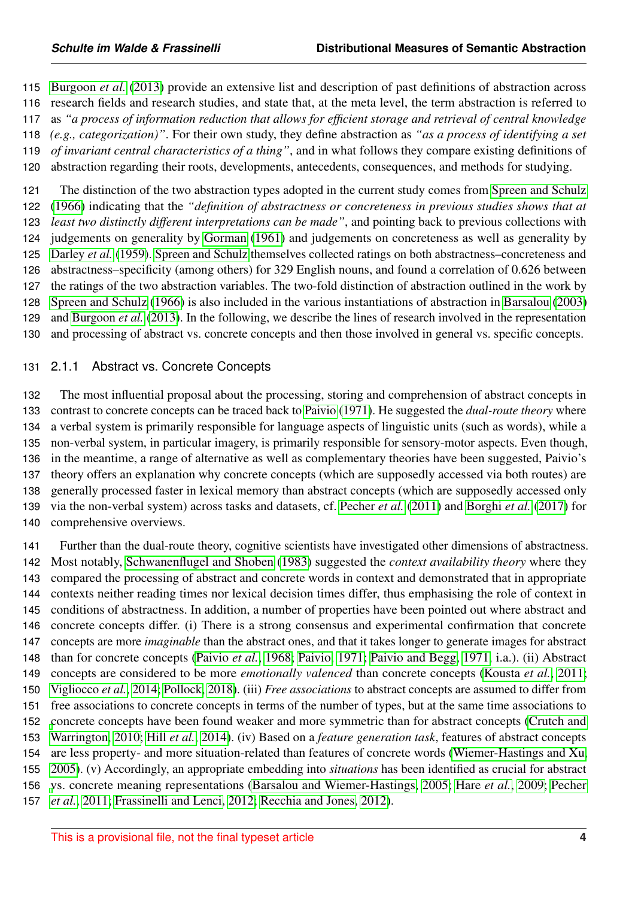[Burgoon](#page-29-0) *et al.* [\(2013\)](#page-29-0) provide an extensive list and description of past definitions of abstraction across research fields and research studies, and state that, at the meta level, the term abstraction is referred to as *"a process of information reduction that allows for efficient storage and retrieval of central knowledge (e.g., categorization)"*. For their own study, they define abstraction as *"as a process of identifying a set of invariant central characteristics of a thing"*, and in what follows they compare existing definitions of abstraction regarding their roots, developments, antecedents, consequences, and methods for studying.

 The distinction of the two abstraction types adopted in the current study comes from [Spreen and Schulz](#page-33-2) [\(1966\)](#page-33-2) indicating that the *"definition of abstractness or concreteness in previous studies shows that at least two distinctly different interpretations can be made"*, and pointing back to previous collections with judgements on generality by [Gorman](#page-30-6) [\(1961\)](#page-30-6) and judgements on concreteness as well as generality by [Darley](#page-29-4) *et al.* [\(1959\)](#page-29-4). [Spreen and Schulz](#page-33-2) themselves collected ratings on both abstractness–concreteness and abstractness–specificity (among others) for 329 English nouns, and found a correlation of 0.626 between the ratings of the two abstraction variables. The two-fold distinction of abstraction outlined in the work by [Spreen and Schulz](#page-33-2) [\(1966\)](#page-33-2) is also included in the various instantiations of abstraction in [Barsalou](#page-28-0) [\(2003\)](#page-28-0) and [Burgoon](#page-29-0) *et al.* [\(2013\)](#page-29-0). In the following, we describe the lines of research involved in the representation and processing of abstract vs. concrete concepts and then those involved in general vs. specific concepts.

#### 2.1.1 Abstract vs. Concrete Concepts

 The most influential proposal about the processing, storing and comprehension of abstract concepts in contrast to concrete concepts can be traced back to [Paivio](#page-32-2) [\(1971\)](#page-32-2). He suggested the *dual-route theory* where a verbal system is primarily responsible for language aspects of linguistic units (such as words), while a non-verbal system, in particular imagery, is primarily responsible for sensory-motor aspects. Even though, in the meantime, a range of alternative as well as complementary theories have been suggested, Paivio's theory offers an explanation why concrete concepts (which are supposedly accessed via both routes) are generally processed faster in lexical memory than abstract concepts (which are supposedly accessed only via the non-verbal system) across tasks and datasets, cf. [Pecher](#page-32-3) *et al.* [\(2011\)](#page-32-3) and [Borghi](#page-29-5) *et al.* [\(2017\)](#page-29-5) for comprehensive overviews.

 Further than the dual-route theory, cognitive scientists have investigated other dimensions of abstractness. Most notably, [Schwanenflugel and Shoben](#page-33-7) [\(1983\)](#page-33-7) suggested the *context availability theory* where they compared the processing of abstract and concrete words in context and demonstrated that in appropriate contexts neither reading times nor lexical decision times differ, thus emphasising the role of context in conditions of abstractness. In addition, a number of properties have been pointed out where abstract and concrete concepts differ. (i) There is a strong consensus and experimental confirmation that concrete concepts are more *imaginable* than the abstract ones, and that it takes longer to generate images for abstract than for concrete concepts [\(Paivio](#page-32-4) *et al.*, [1968;](#page-32-4) [Paivio, 1971;](#page-32-2) [Paivio and Begg, 1971,](#page-32-5) i.a.). (ii) Abstract concepts are considered to be more *emotionally valenced* than concrete concepts [\(Kousta](#page-31-2) *et al.*, [2011;](#page-31-2) [Vigliocco](#page-34-1) *et al.*, [2014;](#page-34-1) [Pollock, 2018\)](#page-32-6). (iii) *Free associations* to abstract concepts are assumed to differ from free associations to concrete concepts in terms of the number of types, but at the same time associations to [c](#page-29-6)oncrete concepts have been found weaker and more symmetric than for abstract concepts [\(Crutch and](#page-29-6) [Warrington, 2010;](#page-29-6) Hill *[et al.](#page-30-7)*, [2014\)](#page-30-7). (iv) Based on a *feature generation task*, features of abstract concepts are less property- and more situation-related than features of concrete words [\(Wiemer-Hastings and Xu,](#page-34-2) [2005\)](#page-34-2). (v) Accordingly, an appropriate embedding into *situations* has been identified as crucial for abstract [v](#page-32-3)s. concrete meaning representations [\(Barsalou and Wiemer-Hastings, 2005;](#page-28-1) [Hare](#page-30-8) *et al.*, [2009;](#page-30-8) [Pecher](#page-32-3) *[et al.](#page-32-3)*, [2011;](#page-32-3) [Frassinelli and Lenci, 2012;](#page-30-9) [Recchia and Jones, 2012\)](#page-32-7).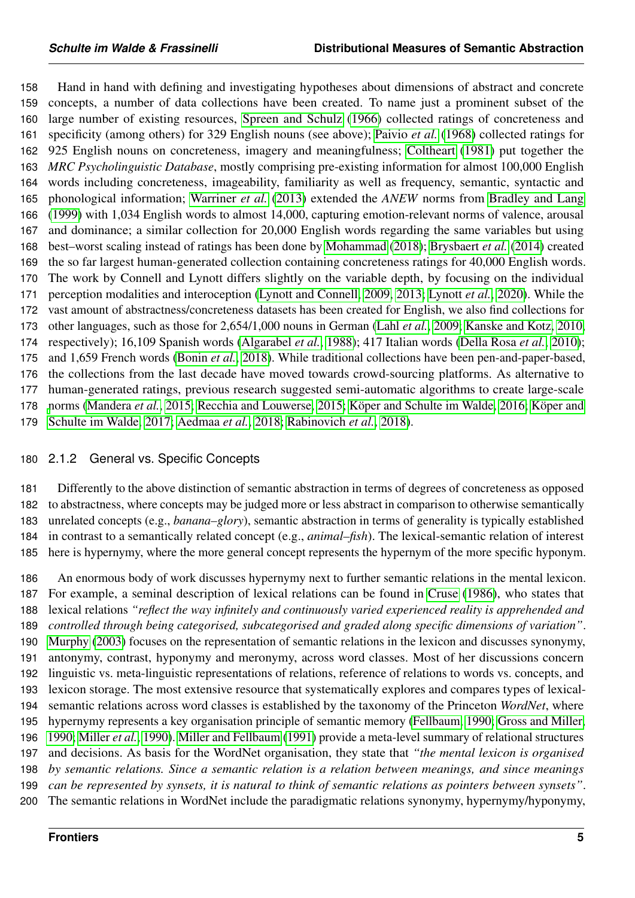Hand in hand with defining and investigating hypotheses about dimensions of abstract and concrete concepts, a number of data collections have been created. To name just a prominent subset of the large number of existing resources, [Spreen and Schulz](#page-33-2) [\(1966\)](#page-33-2) collected ratings of concreteness and specificity (among others) for 329 English nouns (see above); [Paivio](#page-32-4) *et al.* [\(1968\)](#page-32-4) collected ratings for 925 English nouns on concreteness, imagery and meaningfulness; [Coltheart](#page-29-2) [\(1981\)](#page-29-2) put together the *MRC Psycholinguistic Database*, mostly comprising pre-existing information for almost 100,000 English words including concreteness, imageability, familiarity as well as frequency, semantic, syntactic and phonological information; [Warriner](#page-34-3) *et al.* [\(2013\)](#page-34-3) extended the *ANEW* norms from [Bradley and Lang](#page-29-7) [\(1999\)](#page-29-7) with 1,034 English words to almost 14,000, capturing emotion-relevant norms of valence, arousal and dominance; a similar collection for 20,000 English words regarding the same variables but using best–worst scaling instead of ratings has been done by [Mohammad](#page-31-3) [\(2018\)](#page-31-3); [Brysbaert](#page-29-3) *et al.* [\(2014\)](#page-29-3) created the so far largest human-generated collection containing concreteness ratings for 40,000 English words. The work by Connell and Lynott differs slightly on the variable depth, by focusing on the individual perception modalities and interoception [\(Lynott and Connell, 2009,](#page-31-4) [2013;](#page-31-5) [Lynott](#page-31-6) *et al.*, [2020\)](#page-31-6). While the vast amount of abstractness/concreteness datasets has been created for English, we also find collections for other languages, such as those for 2,654/1,000 nouns in German (Lahl *[et al.](#page-31-7)*, [2009;](#page-31-7) [Kanske and Kotz, 2010,](#page-30-10) respectively); 16,109 Spanish words [\(Algarabel](#page-28-2) *et al.*, [1988\)](#page-28-2); 417 Italian words [\(Della Rosa](#page-29-8) *et al.*, [2010\)](#page-29-8); and 1,659 French words [\(Bonin](#page-29-9) *et al.*, [2018\)](#page-29-9). While traditional collections have been pen-and-paper-based, the collections from the last decade have moved towards crowd-sourcing platforms. As alternative to human-generated ratings, previous research suggested semi-automatic algorithms to create large-scale [n](#page-31-10)orms [\(Mandera](#page-31-8) *et al.*, [2015;](#page-31-8) [Recchia and Louwerse, 2015;](#page-32-8) Köper and Schulte im Walde, 2016; Köper and [Schulte im Walde, 2017;](#page-31-10) [Aedmaa](#page-28-3) *et al.*, [2018;](#page-28-3) [Rabinovich](#page-32-9) *et al.*, [2018\)](#page-32-9).

### 2.1.2 General vs. Specific Concepts

 Differently to the above distinction of semantic abstraction in terms of degrees of concreteness as opposed to abstractness, where concepts may be judged more or less abstract in comparison to otherwise semantically unrelated concepts (e.g., *banana–glory*), semantic abstraction in terms of generality is typically established in contrast to a semantically related concept (e.g., *animal–fish*). The lexical-semantic relation of interest here is hypernymy, where the more general concept represents the hypernym of the more specific hyponym.

 An enormous body of work discusses hypernymy next to further semantic relations in the mental lexicon. For example, a seminal description of lexical relations can be found in [Cruse](#page-29-10) [\(1986\)](#page-29-10), who states that lexical relations *"reflect the way infinitely and continuously varied experienced reality is apprehended and controlled through being categorised, subcategorised and graded along specific dimensions of variation"*. [Murphy](#page-31-11) [\(2003\)](#page-31-11) focuses on the representation of semantic relations in the lexicon and discusses synonymy, antonymy, contrast, hyponymy and meronymy, across word classes. Most of her discussions concern linguistic vs. meta-linguistic representations of relations, reference of relations to words vs. concepts, and lexicon storage. The most extensive resource that systematically explores and compares types of lexical- semantic relations across word classes is established by the taxonomy of the Princeton *WordNet*, where hypernymy represents a key organisation principle of semantic memory [\(Fellbaum, 1990;](#page-30-11) [Gross and Miller,](#page-30-12) [1990;](#page-30-12) [Miller](#page-31-12) *et al.*, [1990\)](#page-31-12). [Miller and Fellbaum](#page-31-1) [\(1991\)](#page-31-1) provide a meta-level summary of relational structures and decisions. As basis for the WordNet organisation, they state that *"the mental lexicon is organised by semantic relations. Since a semantic relation is a relation between meanings, and since meanings can be represented by synsets, it is natural to think of semantic relations as pointers between synsets"*. The semantic relations in WordNet include the paradigmatic relations synonymy, hypernymy/hyponymy,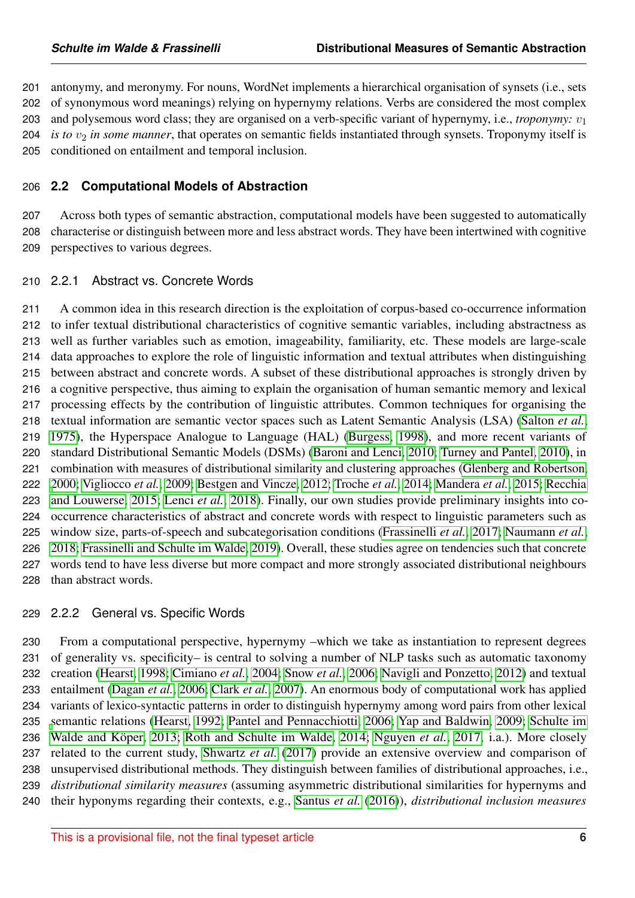antonymy, and meronymy. For nouns, WordNet implements a hierarchical organisation of synsets (i.e., sets of synonymous word meanings) relying on hypernymy relations. Verbs are considered the most complex 203 and polysemous word class; they are organised on a verb-specific variant of hypernymy, i.e., *troponymy*:  $v_1$ *is to*  $v_2$  *in some manner*, that operates on semantic fields instantiated through synsets. Troponymy itself is conditioned on entailment and temporal inclusion.

#### <span id="page-5-0"></span>**2.2 Computational Models of Abstraction**

 Across both types of semantic abstraction, computational models have been suggested to automatically characterise or distinguish between more and less abstract words. They have been intertwined with cognitive perspectives to various degrees.

#### 2.2.1 Abstract vs. Concrete Words

 A common idea in this research direction is the exploitation of corpus-based co-occurrence information to infer textual distributional characteristics of cognitive semantic variables, including abstractness as well as further variables such as emotion, imageability, familiarity, etc. These models are large-scale data approaches to explore the role of linguistic information and textual attributes when distinguishing between abstract and concrete words. A subset of these distributional approaches is strongly driven by a cognitive perspective, thus aiming to explain the organisation of human semantic memory and lexical processing effects by the contribution of linguistic attributes. Common techniques for organising the textual information are semantic vector spaces such as Latent Semantic Analysis (LSA) [\(Salton](#page-32-10) *et al.*, [1975\)](#page-32-10), the Hyperspace Analogue to Language (HAL) [\(Burgess, 1998\)](#page-29-11), and more recent variants of standard Distributional Semantic Models (DSMs) [\(Baroni and Lenci, 2010;](#page-28-4) [Turney and Pantel, 2010\)](#page-33-8), in combination with measures of distributional similarity and clustering approaches [\(Glenberg and Robertson,](#page-30-13) [2000;](#page-30-13) [Vigliocco](#page-33-9) *et al.*, [2009;](#page-33-9) [Bestgen and Vincze, 2012;](#page-28-5) [Troche](#page-33-10) *et al.*, [2014;](#page-33-10) [Mandera](#page-31-8) *et al.*, [2015;](#page-31-8) [Recchia](#page-32-8) [and Louwerse, 2015;](#page-32-8) [Lenci](#page-31-13) *et al.*, [2018\)](#page-31-13). Finally, our own studies provide preliminary insights into co- occurrence characteristics of abstract and concrete words with respect to linguistic parameters such as window size, parts-of-speech and subcategorisation conditions [\(Frassinelli](#page-30-3) *et al.*, [2017;](#page-30-3) [Naumann](#page-31-0) *et al.*, [2018;](#page-31-0) [Frassinelli and Schulte im Walde, 2019\)](#page-30-5). Overall, these studies agree on tendencies such that concrete words tend to have less diverse but more compact and more strongly associated distributional neighbours than abstract words.

#### 2.2.2 General vs. Specific Words

 From a computational perspective, hypernymy –which we take as instantiation to represent degrees of generality vs. specificity– is central to solving a number of NLP tasks such as automatic taxonomy creation [\(Hearst, 1998;](#page-30-14) [Cimiano](#page-29-12) *et al.*, [2004;](#page-29-12) [Snow](#page-33-11) *et al.*, [2006;](#page-33-11) [Navigli and Ponzetto, 2012\)](#page-32-11) and textual entailment [\(Dagan](#page-29-13) *et al.*, [2006;](#page-29-13) [Clark](#page-29-14) *et al.*, [2007\)](#page-29-14). An enormous body of computational work has applied variants of lexico-syntactic patterns in order to distinguish hypernymy among word pairs from other lexical [s](#page-33-12)emantic relations [\(Hearst, 1992;](#page-30-15) [Pantel and Pennacchiotti, 2006;](#page-32-12) [Yap and Baldwin, 2009;](#page-34-4) [Schulte im](#page-33-12) 236 Walde and Köper, 2013; [Roth and Schulte im Walde, 2014;](#page-32-13) [Nguyen](#page-32-14) et al., [2017,](#page-32-14) i.a.). More closely related to the current study, [Shwartz](#page-33-5) *et al.* [\(2017\)](#page-33-5) provide an extensive overview and comparison of unsupervised distributional methods. They distinguish between families of distributional approaches, i.e., *distributional similarity measures* (assuming asymmetric distributional similarities for hypernyms and their hyponyms regarding their contexts, e.g., [Santus](#page-33-13) *et al.* [\(2016\)](#page-33-13)), *distributional inclusion measures*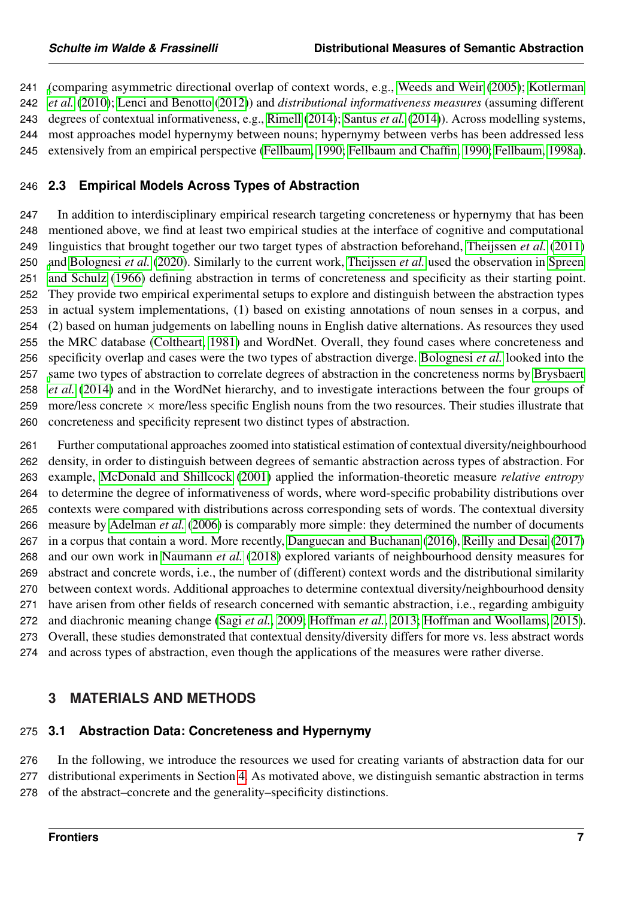[\(](#page-31-14)comparing asymmetric directional overlap of context words, e.g., [Weeds and Weir](#page-34-5) [\(2005\)](#page-34-5); [Kotlerman](#page-31-14) *[et al.](#page-31-14)* [\(2010\)](#page-31-14); [Lenci and Benotto](#page-31-15) [\(2012\)](#page-31-15)) and *distributional informativeness measures* (assuming different degrees of contextual informativeness, e.g., [Rimell](#page-32-1) [\(2014\)](#page-32-1); [Santus](#page-33-0) *et al.* [\(2014\)](#page-33-0)). Across modelling systems, most approaches model hypernymy between nouns; hypernymy between verbs has been addressed less extensively from an empirical perspective [\(Fellbaum, 1990;](#page-30-11) [Fellbaum and Chaffin, 1990;](#page-30-16) [Fellbaum, 1998a\)](#page-30-17).

### <span id="page-6-1"></span>**2.3 Empirical Models Across Types of Abstraction**

 In addition to interdisciplinary empirical research targeting concreteness or hypernymy that has been mentioned above, we find at least two empirical studies at the interface of cognitive and computational linguistics that brought together our two target types of abstraction beforehand, [Theijssen](#page-33-3) *et al.* [\(2011\)](#page-33-3) [a](#page-33-2)nd [Bolognesi](#page-29-1) *et al.* [\(2020\)](#page-29-1). Similarly to the current work, [Theijssen](#page-33-3) *et al.* used the observation in [Spreen](#page-33-2) [and Schulz](#page-33-2) [\(1966\)](#page-33-2) defining abstraction in terms of concreteness and specificity as their starting point. They provide two empirical experimental setups to explore and distinguish between the abstraction types in actual system implementations, (1) based on existing annotations of noun senses in a corpus, and (2) based on human judgements on labelling nouns in English dative alternations. As resources they used the MRC database [\(Coltheart, 1981\)](#page-29-2) and WordNet. Overall, they found cases where concreteness and specificity overlap and cases were the two types of abstraction diverge. [Bolognesi](#page-29-1) *et al.* looked into the [s](#page-29-3)ame two types of abstraction to correlate degrees of abstraction in the concreteness norms by [Brysbaert](#page-29-3) *[et al.](#page-29-3)* [\(2014\)](#page-29-3) and in the WordNet hierarchy, and to investigate interactions between the four groups of 259 more/less concrete  $\times$  more/less specific English nouns from the two resources. Their studies illustrate that concreteness and specificity represent two distinct types of abstraction.

 Further computational approaches zoomed into statistical estimation of contextual diversity/neighbourhood density, in order to distinguish between degrees of semantic abstraction across types of abstraction. For example, [McDonald and Shillcock](#page-31-16) [\(2001\)](#page-31-16) applied the information-theoretic measure *relative entropy* to determine the degree of informativeness of words, where word-specific probability distributions over contexts were compared with distributions across corresponding sets of words. The contextual diversity measure by [Adelman](#page-28-6) *et al.* [\(2006\)](#page-28-6) is comparably more simple: they determined the number of documents in a corpus that contain a word. More recently, [Danguecan and Buchanan](#page-29-15) [\(2016\)](#page-29-15), [Reilly and Desai](#page-32-15) [\(2017\)](#page-32-15) and our own work in [Naumann](#page-31-0) *et al.* [\(2018\)](#page-31-0) explored variants of neighbourhood density measures for abstract and concrete words, i.e., the number of (different) context words and the distributional similarity between context words. Additional approaches to determine contextual diversity/neighbourhood density have arisen from other fields of research concerned with semantic abstraction, i.e., regarding ambiguity and diachronic meaning change (Sagi *[et al.](#page-32-0)*, [2009;](#page-32-0) [Hoffman](#page-30-2) *et al.*, [2013;](#page-30-2) [Hoffman and Woollams, 2015\)](#page-30-18). Overall, these studies demonstrated that contextual density/diversity differs for more vs. less abstract words and across types of abstraction, even though the applications of the measures were rather diverse.

## <span id="page-6-2"></span><span id="page-6-0"></span>**3 MATERIALS AND METHODS**

#### **3.1 Abstraction Data: Concreteness and Hypernymy**

 In the following, we introduce the resources we used for creating variants of abstraction data for our distributional experiments in Section [4.](#page-11-0) As motivated above, we distinguish semantic abstraction in terms of the abstract–concrete and the generality–specificity distinctions.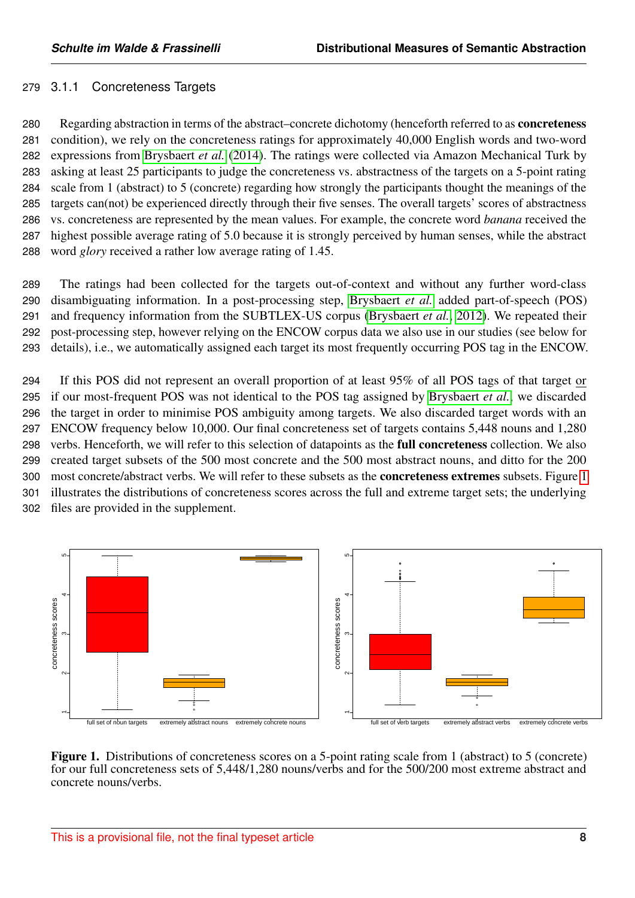#### 3.1.1 Concreteness Targets

 Regarding abstraction in terms of the abstract–concrete dichotomy (henceforth referred to as concreteness condition), we rely on the concreteness ratings for approximately 40,000 English words and two-word expressions from [Brysbaert](#page-29-3) *et al.* [\(2014\)](#page-29-3). The ratings were collected via Amazon Mechanical Turk by asking at least 25 participants to judge the concreteness vs. abstractness of the targets on a 5-point rating scale from 1 (abstract) to 5 (concrete) regarding how strongly the participants thought the meanings of the targets can(not) be experienced directly through their five senses. The overall targets' scores of abstractness vs. concreteness are represented by the mean values. For example, the concrete word *banana* received the highest possible average rating of 5.0 because it is strongly perceived by human senses, while the abstract word *glory* received a rather low average rating of 1.45.

 The ratings had been collected for the targets out-of-context and without any further word-class disambiguating information. In a post-processing step, [Brysbaert](#page-29-3) *et al.* added part-of-speech (POS) and frequency information from the SUBTLEX-US corpus [\(Brysbaert](#page-29-16) *et al.*, [2012\)](#page-29-16). We repeated their post-processing step, however relying on the ENCOW corpus data we also use in our studies (see below for details), i.e., we automatically assigned each target its most frequently occurring POS tag in the ENCOW.

 If this POS did not represent an overall proportion of at least 95% of all POS tags of that target or if our most-frequent POS was not identical to the POS tag assigned by [Brysbaert](#page-29-3) *et al.*, we discarded the target in order to minimise POS ambiguity among targets. We also discarded target words with an ENCOW frequency below 10,000. Our final concreteness set of targets contains 5,448 nouns and 1,280 verbs. Henceforth, we will refer to this selection of datapoints as the full concreteness collection. We also created target subsets of the 500 most concrete and the 500 most abstract nouns, and ditto for the 200 most concrete/abstract verbs. We will refer to these subsets as the concreteness extremes subsets. Figure [1](#page-7-0) illustrates the distributions of concreteness scores across the full and extreme target sets; the underlying files are provided in the supplement.

<span id="page-7-0"></span>

Figure 1. Distributions of concreteness scores on a 5-point rating scale from 1 (abstract) to 5 (concrete) for our full concreteness sets of 5,448/1,280 nouns/verbs and for the 500/200 most extreme abstract and concrete nouns/verbs.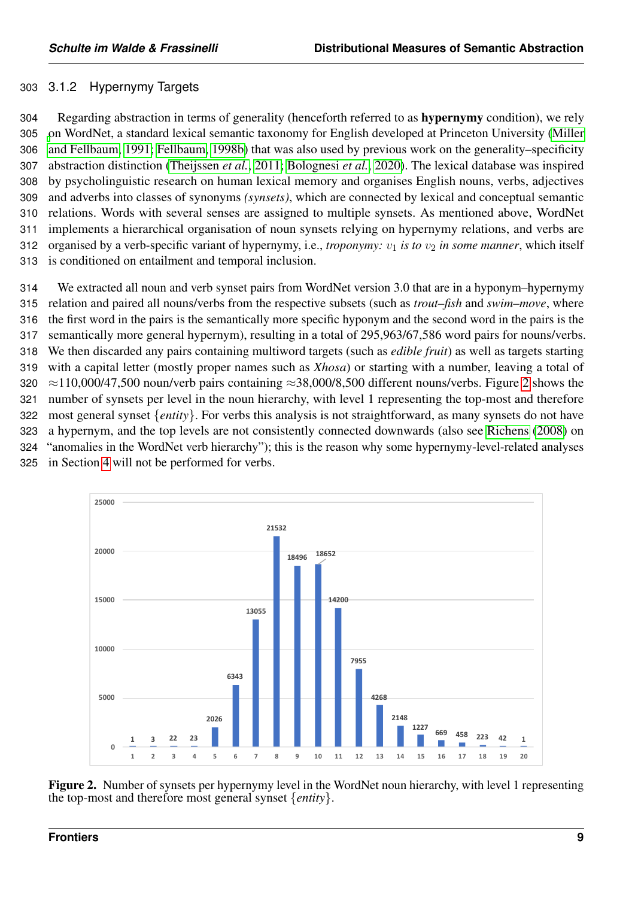### 3.1.2 Hypernymy Targets

 Regarding abstraction in terms of generality (henceforth referred to as hypernymy condition), we rely [o](#page-31-1)n WordNet, a standard lexical semantic taxonomy for English developed at Princeton University [\(Miller](#page-31-1) [and Fellbaum, 1991;](#page-31-1) [Fellbaum, 1998b\)](#page-30-4) that was also used by previous work on the generality–specificity abstraction distinction [\(Theijssen](#page-33-3) *et al.*, [2011;](#page-33-3) [Bolognesi](#page-29-1) *et al.*, [2020\)](#page-29-1). The lexical database was inspired by psycholinguistic research on human lexical memory and organises English nouns, verbs, adjectives and adverbs into classes of synonyms *(synsets)*, which are connected by lexical and conceptual semantic relations. Words with several senses are assigned to multiple synsets. As mentioned above, WordNet implements a hierarchical organisation of noun synsets relying on hypernymy relations, and verbs are 312 organised by a verb-specific variant of hypernymy, i.e., *troponymy:*  $v_1$  *is to*  $v_2$  *in some manner*, which itself is conditioned on entailment and temporal inclusion.

 We extracted all noun and verb synset pairs from WordNet version 3.0 that are in a hyponym–hypernymy relation and paired all nouns/verbs from the respective subsets (such as *trout–fish* and *swim–move*, where the first word in the pairs is the semantically more specific hyponym and the second word in the pairs is the semantically more general hypernym), resulting in a total of 295,963/67,586 word pairs for nouns/verbs. We then discarded any pairs containing multiword targets (such as *edible fruit*) as well as targets starting with a capital letter (mostly proper names such as *Xhosa*) or starting with a number, leaving a total of ≈110,000/47,500 noun/verb pairs containing ≈38,000/8,500 different nouns/verbs. Figure [2](#page-8-0) shows the number of synsets per level in the noun hierarchy, with level 1 representing the top-most and therefore most general synset {*entity*}. For verbs this analysis is not straightforward, as many synsets do not have a hypernym, and the top levels are not consistently connected downwards (also see [Richens](#page-32-16) [\(2008\)](#page-32-16) on "anomalies in the WordNet verb hierarchy"); this is the reason why some hypernymy-level-related analyses in Section [4](#page-11-0) will not be performed for verbs.

<span id="page-8-0"></span>

Figure 2. Number of synsets per hypernymy level in the WordNet noun hierarchy, with level 1 representing the top-most and therefore most general synset {*entity*}.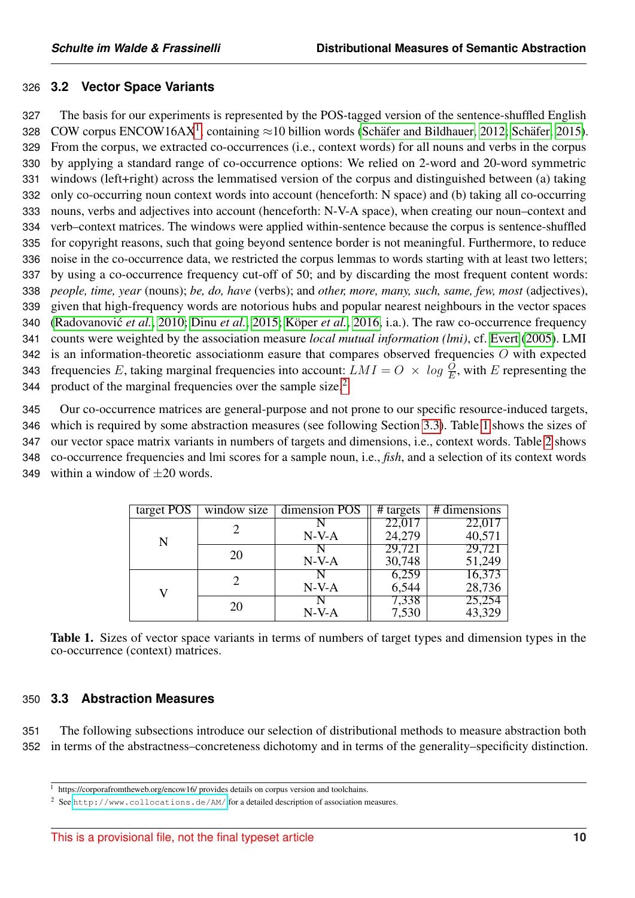#### <span id="page-9-2"></span>326 **3.2 Vector Space Variants**

 The basis for our experiments is represented by the POS-tagged version of the sentence-shuffled English 328 COW corpus ENCOW[1](#page-0-0)6AX<sup>1</sup>, containing  $\approx$ 10 billion words (Schäfer and Bildhauer, 2012; Schäfer, 2015). From the corpus, we extracted co-occurrences (i.e., context words) for all nouns and verbs in the corpus by applying a standard range of co-occurrence options: We relied on 2-word and 20-word symmetric windows (left+right) across the lemmatised version of the corpus and distinguished between (a) taking only co-occurring noun context words into account (henceforth: N space) and (b) taking all co-occurring nouns, verbs and adjectives into account (henceforth: N-V-A space), when creating our noun–context and verb–context matrices. The windows were applied within-sentence because the corpus is sentence-shuffled for copyright reasons, such that going beyond sentence border is not meaningful. Furthermore, to reduce noise in the co-occurrence data, we restricted the corpus lemmas to words starting with at least two letters; by using a co-occurrence frequency cut-off of 50; and by discarding the most frequent content words: *people, time, year* (nouns); *be, do, have* (verbs); and *other, more, many, such, same, few, most* (adjectives), given that high-frequency words are notorious hubs and popular nearest neighbours in the vector spaces 340 (Radovanović *et al.*, [2010;](#page-32-17) [Dinu](#page-30-19) *et al.*, [2015;](#page-30-19) Köper *et al.*, [2016,](#page-31-17) i.a.). The raw co-occurrence frequency counts were weighted by the association measure *local mutual information (lmi)*, cf. [Evert](#page-30-20) [\(2005\)](#page-30-20). LMI is an information-theoretic associationm easure that compares observed frequencies O with expected 343 frequencies E, taking marginal frequencies into account:  $LMI = O \times log \frac{O}{E}$ , with E representing the product of the marginal frequencies over the sample size.[2](#page-0-0) 344

 Our co-occurrence matrices are general-purpose and not prone to our specific resource-induced targets, which is required by some abstraction measures (see following Section [3.3\)](#page-9-0). Table [1](#page-9-1) shows the sizes of our vector space matrix variants in numbers of targets and dimensions, i.e., context words. Table [2](#page-10-0) shows co-occurrence frequencies and lmi scores for a sample noun, i.e., *fish*, and a selection of its context words 349 within a window of  $\pm 20$  words.

<span id="page-9-1"></span>

| target POS | window size | dimension POS | $\overline{H}$ targets | $\overline{\text{# dimensions}}$ |
|------------|-------------|---------------|------------------------|----------------------------------|
|            |             |               | 22,017                 | 22,017                           |
| N          |             | $N-V-A$       | 24,279                 | 40,571                           |
|            | 20          |               | 29,721                 | 29,721                           |
|            |             | $N-V-A$       | 30,748                 | 51,249                           |
|            |             |               | 6,259                  | 16,373                           |
|            |             | $N-V-A$       | 6,544                  | 28,736                           |
|            | 20          |               | 7,338                  | 25,254                           |
|            |             | $N-V-A$       | 7,530                  | 43,329                           |

Table 1. Sizes of vector space variants in terms of numbers of target types and dimension types in the co-occurrence (context) matrices.

#### <span id="page-9-0"></span>350 **3.3 Abstraction Measures**

351 The following subsections introduce our selection of distributional methods to measure abstraction both 352 in terms of the abstractness–concreteness dichotomy and in terms of the generality–specificity distinction.

 $\frac{1}{1}$  https://corporafromtheweb.org/encow16/ provides details on corpus version and toolchains.

<sup>&</sup>lt;sup>2</sup> See <http://www.collocations.de/AM/> for a detailed description of association measures.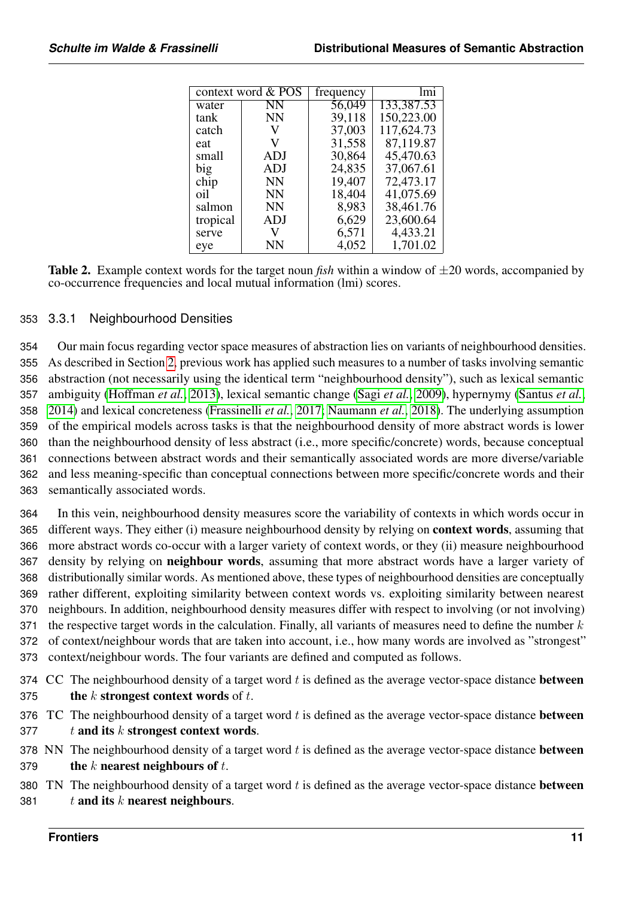<span id="page-10-0"></span>

|          | context word & POS | frequency | lmı        |
|----------|--------------------|-----------|------------|
|          |                    |           |            |
| water    | <b>NN</b>          | 56,049    | 133,387.53 |
| tank     | <b>NN</b>          | 39,118    | 150,223.00 |
| catch    | V                  | 37,003    | 117,624.73 |
| eat      | V                  | 31,558    | 87,119.87  |
| small    | <b>ADJ</b>         | 30,864    | 45,470.63  |
| big      | <b>ADJ</b>         | 24,835    | 37,067.61  |
| chip     | <b>NN</b>          | 19,407    | 72,473.17  |
| oil      | <b>NN</b>          | 18,404    | 41,075.69  |
| salmon   | <b>NN</b>          | 8,983     | 38,461.76  |
| tropical | ADJ                | 6,629     | 23,600.64  |
| serve    | V                  | 6,571     | 4,433.21   |
| eye      | NN                 | 4,052     | 1,701.02   |

**Table 2.** Example context words for the target noun *fish* within a window of  $\pm 20$  words, accompanied by co-occurrence frequencies and local mutual information (lmi) scores.

#### 353 3.3.1 Neighbourhood Densities

 Our main focus regarding vector space measures of abstraction lies on variants of neighbourhood densities. As described in Section [2,](#page-2-0) previous work has applied such measures to a number of tasks involving semantic abstraction (not necessarily using the identical term "neighbourhood density"), such as lexical semantic ambiguity [\(Hoffman](#page-30-2) *et al.*, [2013\)](#page-30-2), lexical semantic change (Sagi *[et al.](#page-32-0)*, [2009\)](#page-32-0), hypernymy [\(Santus](#page-33-0) *et al.*, [2014\)](#page-33-0) and lexical concreteness [\(Frassinelli](#page-30-3) *et al.*, [2017;](#page-30-3) [Naumann](#page-31-0) *et al.*, [2018\)](#page-31-0). The underlying assumption of the empirical models across tasks is that the neighbourhood density of more abstract words is lower than the neighbourhood density of less abstract (i.e., more specific/concrete) words, because conceptual connections between abstract words and their semantically associated words are more diverse/variable and less meaning-specific than conceptual connections between more specific/concrete words and their semantically associated words.

 In this vein, neighbourhood density measures score the variability of contexts in which words occur in different ways. They either (i) measure neighbourhood density by relying on context words, assuming that more abstract words co-occur with a larger variety of context words, or they (ii) measure neighbourhood 367 density by relying on neighbour words, assuming that more abstract words have a larger variety of distributionally similar words. As mentioned above, these types of neighbourhood densities are conceptually rather different, exploiting similarity between context words vs. exploiting similarity between nearest neighbours. In addition, neighbourhood density measures differ with respect to involving (or not involving) 371 the respective target words in the calculation. Finally, all variants of measures need to define the number  $k$  of context/neighbour words that are taken into account, i.e., how many words are involved as "strongest" context/neighbour words. The four variants are defined and computed as follows.

- 374 CC The neighbourhood density of a target word  $t$  is defined as the average vector-space distance **between** 375 the k strongest context words of  $t$ .
- 376 TC The neighbourhood density of a target word  $t$  is defined as the average vector-space distance **between** 377  $t$  and its k strongest context words.
- 378 NN The neighbourhood density of a target word  $t$  is defined as the average vector-space distance **between** 379 the k nearest neighbours of  $t$ .
- 380 TN The neighbourhood density of a target word  $t$  is defined as the average vector-space distance **between** 381  $t$  and its k nearest neighbours.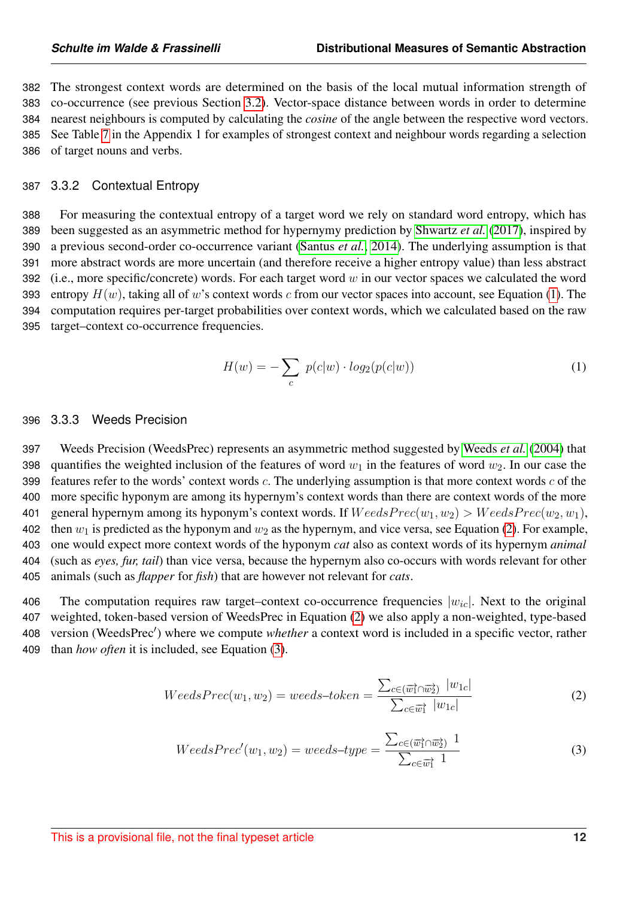The strongest context words are determined on the basis of the local mutual information strength of co-occurrence (see previous Section [3.2\)](#page-9-2). Vector-space distance between words in order to determine nearest neighbours is computed by calculating the *cosine* of the angle between the respective word vectors. See Table [7](#page-35-0) in the Appendix 1 for examples of strongest context and neighbour words regarding a selection of target nouns and verbs.

#### 387 3.3.2 Contextual Entropy

 For measuring the contextual entropy of a target word we rely on standard word entropy, which has been suggested as an asymmetric method for hypernymy prediction by [Shwartz](#page-33-5) *et al.* [\(2017\)](#page-33-5), inspired by a previous second-order co-occurrence variant [\(Santus](#page-33-0) *et al.*, [2014\)](#page-33-0). The underlying assumption is that more abstract words are more uncertain (and therefore receive a higher entropy value) than less abstract 392 (i.e., more specific/concrete) words. For each target word  $w$  in our vector spaces we calculated the word 393 entropy  $H(w)$ , taking all of w's context words c from our vector spaces into account, see Equation [\(1\)](#page-11-1). The computation requires per-target probabilities over context words, which we calculated based on the raw target–context co-occurrence frequencies.

<span id="page-11-1"></span>
$$
H(w) = -\sum_{c} p(c|w) \cdot log_2(p(c|w))
$$
\n(1)

#### 396 3.3.3 Weeds Precision

397 Weeds Precision (WeedsPrec) represents an asymmetric method suggested by [Weeds](#page-34-6) *et al.* [\(2004\)](#page-34-6) that 398 quantifies the weighted inclusion of the features of word  $w_1$  in the features of word  $w_2$ . In our case the 399 features refer to the words' context words  $c$ . The underlying assumption is that more context words  $c$  of the 400 more specific hyponym are among its hypernym's context words than there are context words of the more 401 general hypernym among its hyponym's context words. If  $WeedsPrec(w_1, w_2) > WeedsPrec(w_2, w_1)$ , 402 then  $w_1$  is predicted as the hyponym and  $w_2$  as the hypernym, and vice versa, see Equation [\(2\)](#page-11-2). For example, 403 one would expect more context words of the hyponym *cat* also as context words of its hypernym *animal* 404 (such as *eyes, fur, tail*) than vice versa, because the hypernym also co-occurs with words relevant for other 405 animals (such as *flapper* for *fish*) that are however not relevant for *cats*.

406 The computation requires raw target–context co-occurrence frequencies  $|w_{ic}|$ . Next to the original 407 weighted, token-based version of WeedsPrec in Equation [\(2\)](#page-11-2) we also apply a non-weighted, type-based 408 version (WeedsPrec') where we compute *whether* a context word is included in a specific vector, rather 409 than *how often* it is included, see Equation [\(3\)](#page-11-3).

<span id="page-11-2"></span>
$$
WeedsPrec(w_1, w_2) = weeds-token = \frac{\sum_{c \in (\overrightarrow{w_1} \cap \overrightarrow{w_2})} |w_{1c}|}{\sum_{c \in \overrightarrow{w_1}} |w_{1c}|}
$$
(2)

<span id="page-11-3"></span><span id="page-11-0"></span>
$$
WeedsPrec'(w_1, w_2) = weeds-type = \frac{\sum_{c \in (\overrightarrow{w_1} \cap \overrightarrow{w_2})} 1}{\sum_{c \in \overrightarrow{w_1}} 1}
$$
(3)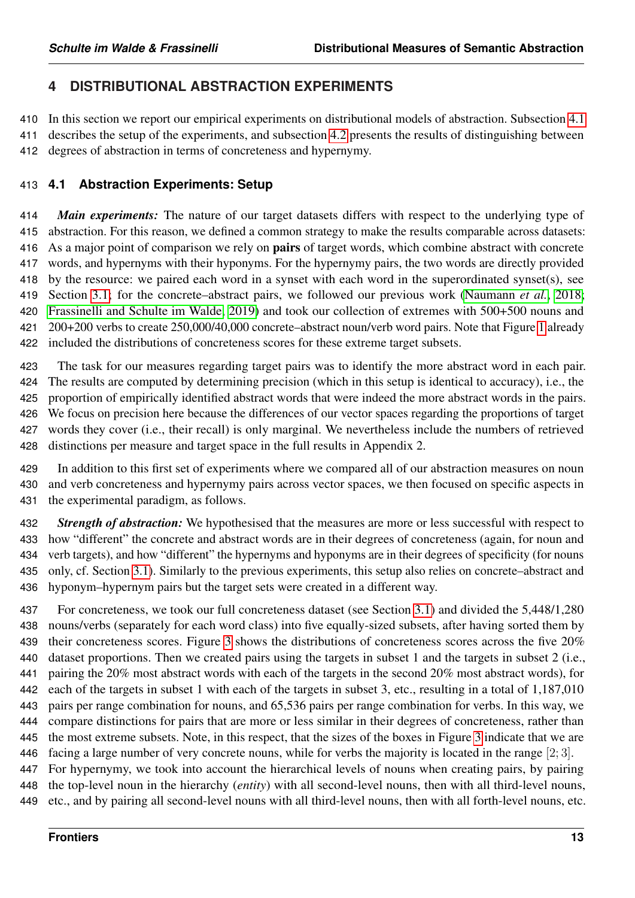## **4 DISTRIBUTIONAL ABSTRACTION EXPERIMENTS**

 In this section we report our empirical experiments on distributional models of abstraction. Subsection [4.1](#page-12-0) describes the setup of the experiments, and subsection [4.2](#page-14-0) presents the results of distinguishing between degrees of abstraction in terms of concreteness and hypernymy.

#### <span id="page-12-0"></span>**4.1 Abstraction Experiments: Setup**

 *Main experiments:* The nature of our target datasets differs with respect to the underlying type of abstraction. For this reason, we defined a common strategy to make the results comparable across datasets: 416 As a major point of comparison we rely on **pairs** of target words, which combine abstract with concrete words, and hypernyms with their hyponyms. For the hypernymy pairs, the two words are directly provided by the resource: we paired each word in a synset with each word in the superordinated synset(s), see Section [3.1;](#page-6-2) for the concrete–abstract pairs, we followed our previous work [\(Naumann](#page-31-0) *et al.*, [2018;](#page-31-0) [Frassinelli and Schulte im Walde, 2019\)](#page-30-5) and took our collection of extremes with 500+500 nouns and 200+200 verbs to create 250,000/40,000 concrete–abstract noun/verb word pairs. Note that Figure [1](#page-7-0) already included the distributions of concreteness scores for these extreme target subsets.

 The task for our measures regarding target pairs was to identify the more abstract word in each pair. The results are computed by determining precision (which in this setup is identical to accuracy), i.e., the proportion of empirically identified abstract words that were indeed the more abstract words in the pairs. We focus on precision here because the differences of our vector spaces regarding the proportions of target words they cover (i.e., their recall) is only marginal. We nevertheless include the numbers of retrieved distinctions per measure and target space in the full results in Appendix 2.

 In addition to this first set of experiments where we compared all of our abstraction measures on noun and verb concreteness and hypernymy pairs across vector spaces, we then focused on specific aspects in the experimental paradigm, as follows.

 *Strength of abstraction:* We hypothesised that the measures are more or less successful with respect to how "different" the concrete and abstract words are in their degrees of concreteness (again, for noun and verb targets), and how "different" the hypernyms and hyponyms are in their degrees of specificity (for nouns only, cf. Section [3.1\)](#page-6-2). Similarly to the previous experiments, this setup also relies on concrete–abstract and hyponym–hypernym pairs but the target sets were created in a different way.

 For concreteness, we took our full concreteness dataset (see Section [3.1\)](#page-6-2) and divided the 5,448/1,280 nouns/verbs (separately for each word class) into five equally-sized subsets, after having sorted them by their concreteness scores. Figure [3](#page-13-0) shows the distributions of concreteness scores across the five 20% dataset proportions. Then we created pairs using the targets in subset 1 and the targets in subset 2 (i.e., pairing the 20% most abstract words with each of the targets in the second 20% most abstract words), for each of the targets in subset 1 with each of the targets in subset 3, etc., resulting in a total of 1,187,010 pairs per range combination for nouns, and 65,536 pairs per range combination for verbs. In this way, we compare distinctions for pairs that are more or less similar in their degrees of concreteness, rather than the most extreme subsets. Note, in this respect, that the sizes of the boxes in Figure [3](#page-13-0) indicate that we are facing a large number of very concrete nouns, while for verbs the majority is located in the range [2; 3].

 For hypernymy, we took into account the hierarchical levels of nouns when creating pairs, by pairing the top-level noun in the hierarchy (*entity*) with all second-level nouns, then with all third-level nouns, etc., and by pairing all second-level nouns with all third-level nouns, then with all forth-level nouns, etc.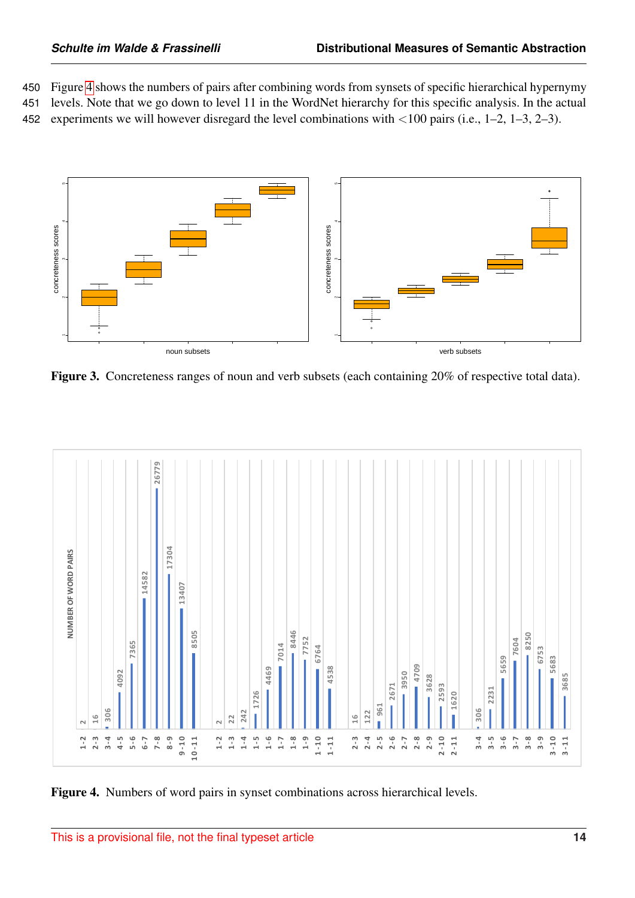Figure [4](#page-13-1) shows the numbers of pairs after combining words from synsets of specific hierarchical hypernymy levels. Note that we go down to level 11 in the WordNet hierarchy for this specific analysis. In the actual experiments we will however disregard the level combinations with <100 pairs (i.e., 1–2, 1–3, 2–3).

<span id="page-13-0"></span>

Figure 3. Concreteness ranges of noun and verb subsets (each containing 20% of respective total data).

<span id="page-13-1"></span>

Figure 4. Numbers of word pairs in synset combinations across hierarchical levels.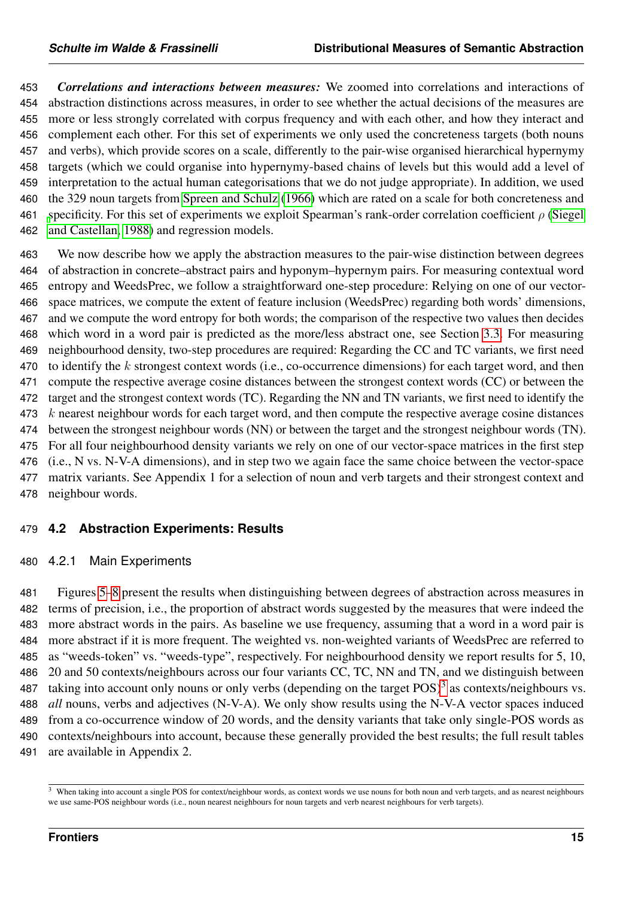*Correlations and interactions between measures:* We zoomed into correlations and interactions of abstraction distinctions across measures, in order to see whether the actual decisions of the measures are more or less strongly correlated with corpus frequency and with each other, and how they interact and complement each other. For this set of experiments we only used the concreteness targets (both nouns and verbs), which provide scores on a scale, differently to the pair-wise organised hierarchical hypernymy targets (which we could organise into hypernymy-based chains of levels but this would add a level of interpretation to the actual human categorisations that we do not judge appropriate). In addition, we used the 329 noun targets from [Spreen and Schulz](#page-33-2) [\(1966\)](#page-33-2) which are rated on a scale for both concreteness and [s](#page-33-15)pecificity. For this set of experiments we exploit Spearman's rank-order correlation coefficient  $\rho$  [\(Siegel](#page-33-15) [and Castellan, 1988\)](#page-33-15) and regression models.

 We now describe how we apply the abstraction measures to the pair-wise distinction between degrees of abstraction in concrete–abstract pairs and hyponym–hypernym pairs. For measuring contextual word entropy and WeedsPrec, we follow a straightforward one-step procedure: Relying on one of our vector- space matrices, we compute the extent of feature inclusion (WeedsPrec) regarding both words' dimensions, and we compute the word entropy for both words; the comparison of the respective two values then decides which word in a word pair is predicted as the more/less abstract one, see Section [3.3.](#page-9-0) For measuring neighbourhood density, two-step procedures are required: Regarding the CC and TC variants, we first need 470 to identify the k strongest context words (i.e., co-occurrence dimensions) for each target word, and then compute the respective average cosine distances between the strongest context words (CC) or between the target and the strongest context words (TC). Regarding the NN and TN variants, we first need to identify the 473 k nearest neighbour words for each target word, and then compute the respective average cosine distances between the strongest neighbour words (NN) or between the target and the strongest neighbour words (TN). For all four neighbourhood density variants we rely on one of our vector-space matrices in the first step (i.e., N vs. N-V-A dimensions), and in step two we again face the same choice between the vector-space matrix variants. See Appendix 1 for a selection of noun and verb targets and their strongest context and neighbour words.

### <span id="page-14-0"></span>**4.2 Abstraction Experiments: Results**

#### 4.2.1 Main Experiments

 Figures [5](#page-16-0)[–8](#page-17-0) present the results when distinguishing between degrees of abstraction across measures in terms of precision, i.e., the proportion of abstract words suggested by the measures that were indeed the more abstract words in the pairs. As baseline we use frequency, assuming that a word in a word pair is more abstract if it is more frequent. The weighted vs. non-weighted variants of WeedsPrec are referred to as "weeds-token" vs. "weeds-type", respectively. For neighbourhood density we report results for 5, 10, 20 and 50 contexts/neighbours across our four variants CC, TC, NN and TN, and we distinguish between 487 taking into account only nouns or only verbs (depending on the target  $POS$ )<sup>[3](#page-0-0)</sup> as contexts/neighbours vs. *all* nouns, verbs and adjectives (N-V-A). We only show results using the N-V-A vector spaces induced from a co-occurrence window of 20 words, and the density variants that take only single-POS words as contexts/neighbours into account, because these generally provided the best results; the full result tables are available in Appendix 2.

<sup>&</sup>lt;sup>3</sup> When taking into account a single POS for context/neighbour words, as context words we use nouns for both noun and verb targets, and as nearest neighbours we use same-POS neighbour words (i.e., noun nearest neighbours for noun targets and verb nearest neighbours for verb targets).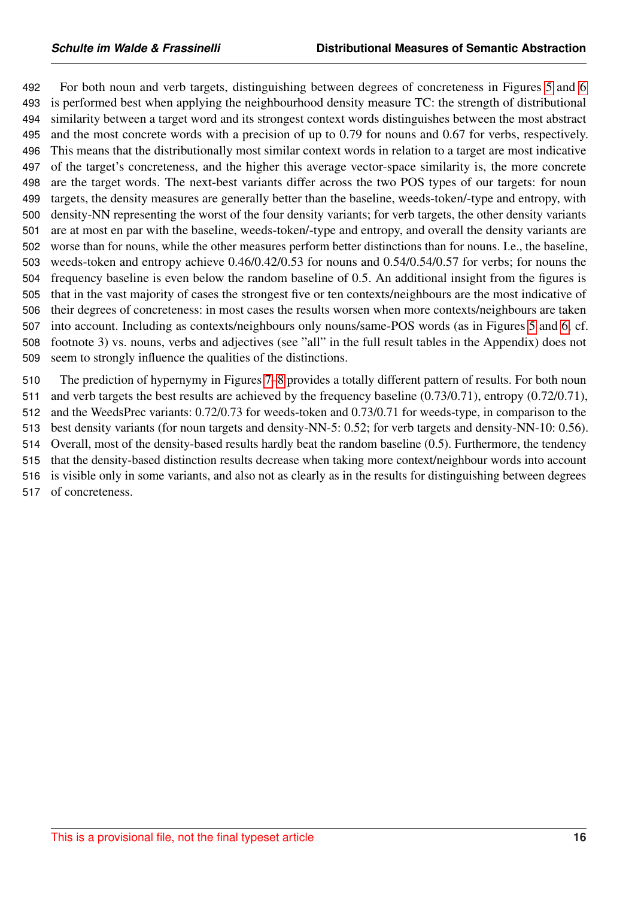For both noun and verb targets, distinguishing between degrees of concreteness in Figures [5](#page-16-0) and [6](#page-16-1) is performed best when applying the neighbourhood density measure TC: the strength of distributional similarity between a target word and its strongest context words distinguishes between the most abstract and the most concrete words with a precision of up to 0.79 for nouns and 0.67 for verbs, respectively. This means that the distributionally most similar context words in relation to a target are most indicative of the target's concreteness, and the higher this average vector-space similarity is, the more concrete are the target words. The next-best variants differ across the two POS types of our targets: for noun targets, the density measures are generally better than the baseline, weeds-token/-type and entropy, with density-NN representing the worst of the four density variants; for verb targets, the other density variants are at most en par with the baseline, weeds-token/-type and entropy, and overall the density variants are worse than for nouns, while the other measures perform better distinctions than for nouns. I.e., the baseline, weeds-token and entropy achieve 0.46/0.42/0.53 for nouns and 0.54/0.54/0.57 for verbs; for nouns the frequency baseline is even below the random baseline of 0.5. An additional insight from the figures is that in the vast majority of cases the strongest five or ten contexts/neighbours are the most indicative of their degrees of concreteness: in most cases the results worsen when more contexts/neighbours are taken into account. Including as contexts/neighbours only nouns/same-POS words (as in Figures [5](#page-16-0) and [6,](#page-16-1) cf. footnote 3) vs. nouns, verbs and adjectives (see "all" in the full result tables in the Appendix) does not seem to strongly influence the qualities of the distinctions.

 The prediction of hypernymy in Figures [7](#page-17-1)[–8](#page-17-0) provides a totally different pattern of results. For both noun and verb targets the best results are achieved by the frequency baseline (0.73/0.71), entropy (0.72/0.71), and the WeedsPrec variants: 0.72/0.73 for weeds-token and 0.73/0.71 for weeds-type, in comparison to the best density variants (for noun targets and density-NN-5: 0.52; for verb targets and density-NN-10: 0.56). Overall, most of the density-based results hardly beat the random baseline (0.5). Furthermore, the tendency that the density-based distinction results decrease when taking more context/neighbour words into account is visible only in some variants, and also not as clearly as in the results for distinguishing between degrees of concreteness.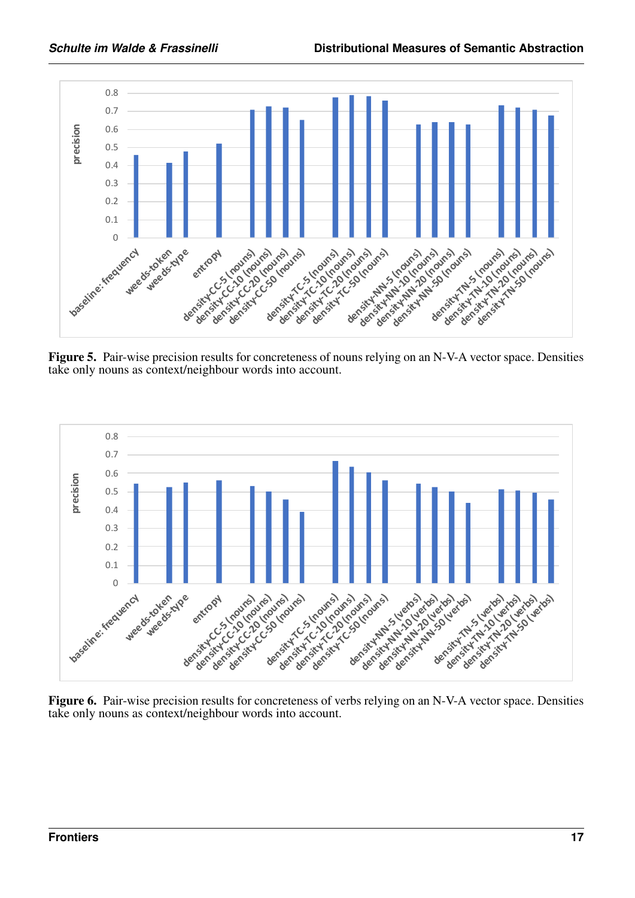<span id="page-16-0"></span>

Figure 5. Pair-wise precision results for concreteness of nouns relying on an N-V-A vector space. Densities take only nouns as context/neighbour words into account.

<span id="page-16-1"></span>

Figure 6. Pair-wise precision results for concreteness of verbs relying on an N-V-A vector space. Densities take only nouns as context/neighbour words into account.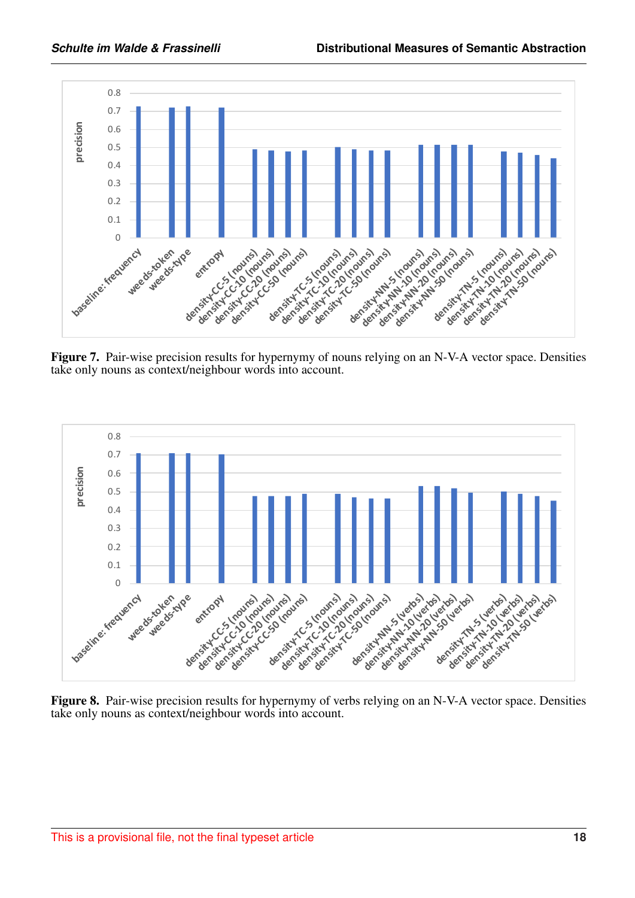<span id="page-17-1"></span>

Figure 7. Pair-wise precision results for hypernymy of nouns relying on an N-V-A vector space. Densities take only nouns as context/neighbour words into account.

<span id="page-17-0"></span>

Figure 8. Pair-wise precision results for hypernymy of verbs relying on an N-V-A vector space. Densities take only nouns as context/neighbour words into account.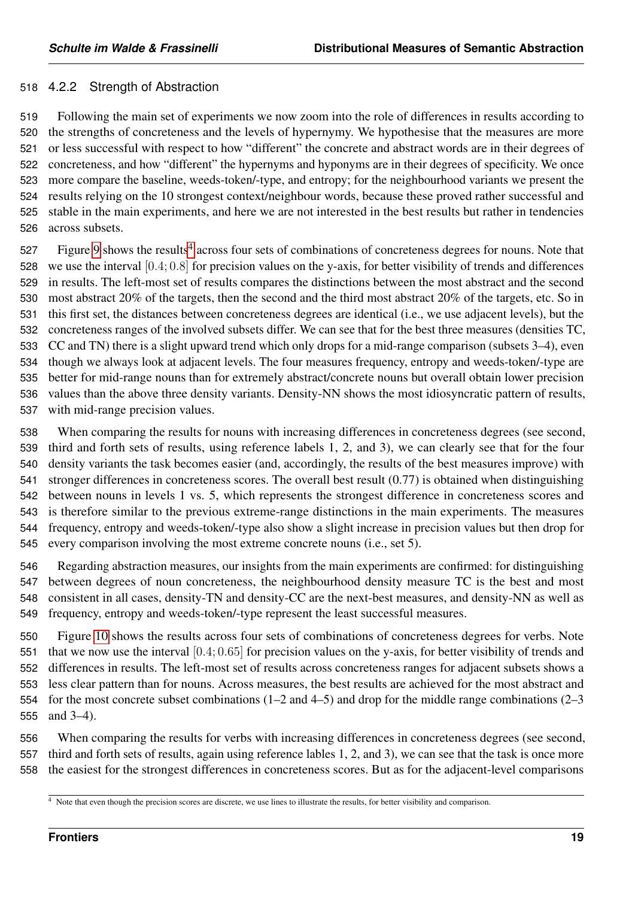#### 4.2.2 Strength of Abstraction

 Following the main set of experiments we now zoom into the role of differences in results according to the strengths of concreteness and the levels of hypernymy. We hypothesise that the measures are more or less successful with respect to how "different" the concrete and abstract words are in their degrees of concreteness, and how "different" the hypernyms and hyponyms are in their degrees of specificity. We once more compare the baseline, weeds-token/-type, and entropy; for the neighbourhood variants we present the results relying on the 10 strongest context/neighbour words, because these proved rather successful and stable in the main experiments, and here we are not interested in the best results but rather in tendencies across subsets.

527 Figure [9](#page-19-0) shows the results<sup>[4](#page-0-0)</sup> across four sets of combinations of concreteness degrees for nouns. Note that we use the interval [0.4; 0.8] for precision values on the y-axis, for better visibility of trends and differences in results. The left-most set of results compares the distinctions between the most abstract and the second most abstract 20% of the targets, then the second and the third most abstract 20% of the targets, etc. So in this first set, the distances between concreteness degrees are identical (i.e., we use adjacent levels), but the concreteness ranges of the involved subsets differ. We can see that for the best three measures (densities TC, CC and TN) there is a slight upward trend which only drops for a mid-range comparison (subsets 3–4), even though we always look at adjacent levels. The four measures frequency, entropy and weeds-token/-type are better for mid-range nouns than for extremely abstract/concrete nouns but overall obtain lower precision values than the above three density variants. Density-NN shows the most idiosyncratic pattern of results, with mid-range precision values.

 When comparing the results for nouns with increasing differences in concreteness degrees (see second, third and forth sets of results, using reference labels 1, 2, and 3), we can clearly see that for the four density variants the task becomes easier (and, accordingly, the results of the best measures improve) with stronger differences in concreteness scores. The overall best result (0.77) is obtained when distinguishing between nouns in levels 1 vs. 5, which represents the strongest difference in concreteness scores and is therefore similar to the previous extreme-range distinctions in the main experiments. The measures frequency, entropy and weeds-token/-type also show a slight increase in precision values but then drop for every comparison involving the most extreme concrete nouns (i.e., set 5).

 Regarding abstraction measures, our insights from the main experiments are confirmed: for distinguishing between degrees of noun concreteness, the neighbourhood density measure TC is the best and most consistent in all cases, density-TN and density-CC are the next-best measures, and density-NN as well as frequency, entropy and weeds-token/-type represent the least successful measures.

 Figure [10](#page-19-1) shows the results across four sets of combinations of concreteness degrees for verbs. Note that we now use the interval [0.4; 0.65] for precision values on the y-axis, for better visibility of trends and differences in results. The left-most set of results across concreteness ranges for adjacent subsets shows a less clear pattern than for nouns. Across measures, the best results are achieved for the most abstract and for the most concrete subset combinations (1–2 and 4–5) and drop for the middle range combinations (2–3 and 3–4).

 When comparing the results for verbs with increasing differences in concreteness degrees (see second, third and forth sets of results, again using reference lables 1, 2, and 3), we can see that the task is once more the easiest for the strongest differences in concreteness scores. But as for the adjacent-level comparisons

Note that even though the precision scores are discrete, we use lines to illustrate the results, for better visibility and comparison.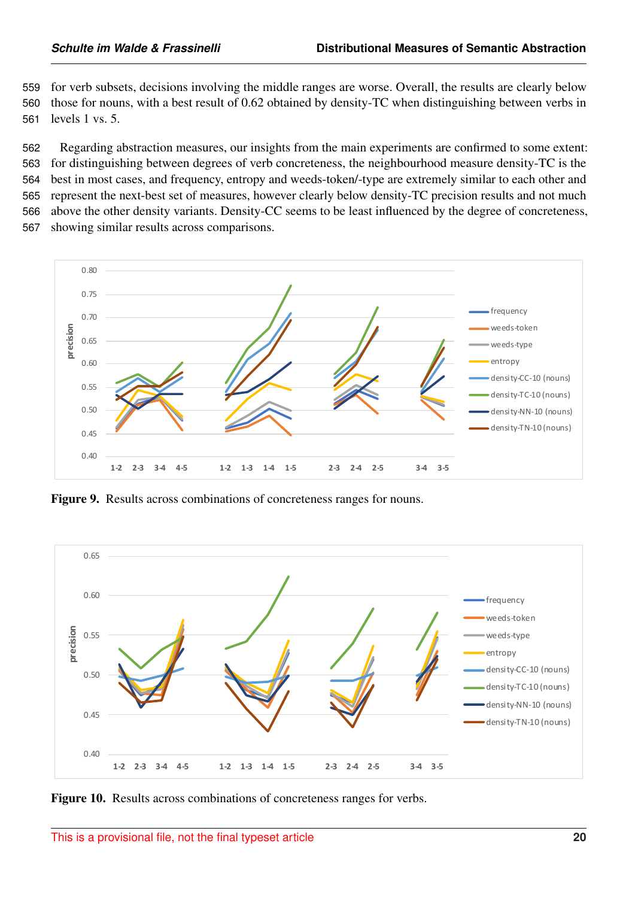559 for verb subsets, decisions involving the middle ranges are worse. Overall, the results are clearly below 560 those for nouns, with a best result of 0.62 obtained by density-TC when distinguishing between verbs in 561 levels 1 vs. 5.

 Regarding abstraction measures, our insights from the main experiments are confirmed to some extent: for distinguishing between degrees of verb concreteness, the neighbourhood measure density-TC is the best in most cases, and frequency, entropy and weeds-token/-type are extremely similar to each other and represent the next-best set of measures, however clearly below density-TC precision results and not much above the other density variants. Density-CC seems to be least influenced by the degree of concreteness, showing similar results across comparisons.

<span id="page-19-0"></span>

Figure 9. Results across combinations of concreteness ranges for nouns.

<span id="page-19-1"></span>

Figure 10. Results across combinations of concreteness ranges for verbs.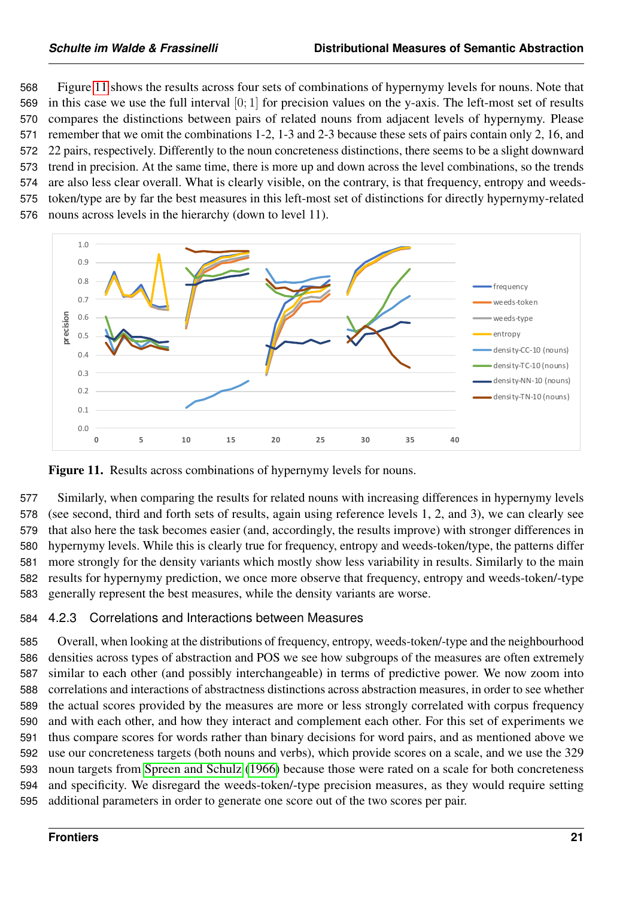Figure [11](#page-20-0) shows the results across four sets of combinations of hypernymy levels for nouns. Note that in this case we use the full interval [0; 1] for precision values on the y-axis. The left-most set of results compares the distinctions between pairs of related nouns from adjacent levels of hypernymy. Please remember that we omit the combinations 1-2, 1-3 and 2-3 because these sets of pairs contain only 2, 16, and 22 pairs, respectively. Differently to the noun concreteness distinctions, there seems to be a slight downward trend in precision. At the same time, there is more up and down across the level combinations, so the trends are also less clear overall. What is clearly visible, on the contrary, is that frequency, entropy and weeds- token/type are by far the best measures in this left-most set of distinctions for directly hypernymy-related nouns across levels in the hierarchy (down to level 11).

<span id="page-20-0"></span>

Figure 11. Results across combinations of hypernymy levels for nouns.

 Similarly, when comparing the results for related nouns with increasing differences in hypernymy levels (see second, third and forth sets of results, again using reference levels 1, 2, and 3), we can clearly see that also here the task becomes easier (and, accordingly, the results improve) with stronger differences in hypernymy levels. While this is clearly true for frequency, entropy and weeds-token/type, the patterns differ more strongly for the density variants which mostly show less variability in results. Similarly to the main results for hypernymy prediction, we once more observe that frequency, entropy and weeds-token/-type generally represent the best measures, while the density variants are worse.

#### 584 4.2.3 Correlations and Interactions between Measures

 Overall, when looking at the distributions of frequency, entropy, weeds-token/-type and the neighbourhood densities across types of abstraction and POS we see how subgroups of the measures are often extremely similar to each other (and possibly interchangeable) in terms of predictive power. We now zoom into correlations and interactions of abstractness distinctions across abstraction measures, in order to see whether the actual scores provided by the measures are more or less strongly correlated with corpus frequency and with each other, and how they interact and complement each other. For this set of experiments we thus compare scores for words rather than binary decisions for word pairs, and as mentioned above we use our concreteness targets (both nouns and verbs), which provide scores on a scale, and we use the 329 noun targets from [Spreen and Schulz](#page-33-2) [\(1966\)](#page-33-2) because those were rated on a scale for both concreteness and specificity. We disregard the weeds-token/-type precision measures, as they would require setting additional parameters in order to generate one score out of the two scores per pair.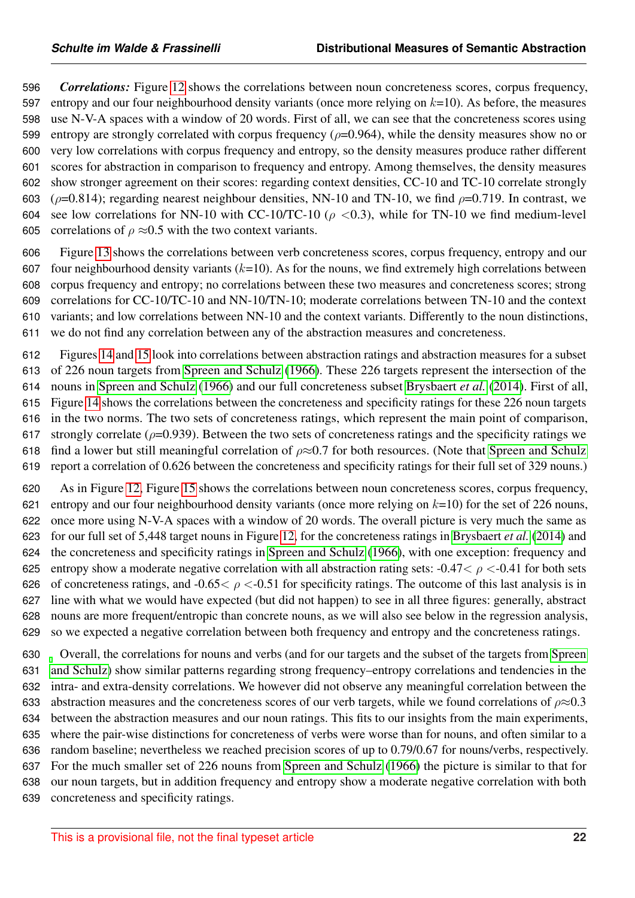*Correlations:* Figure [12](#page-22-0) shows the correlations between noun concreteness scores, corpus frequency, 597 entropy and our four neighbourhood density variants (once more relying on  $k=10$ ). As before, the measures use N-V-A spaces with a window of 20 words. First of all, we can see that the concreteness scores using 599 entropy are strongly correlated with corpus frequency ( $\rho$ =0.964), while the density measures show no or very low correlations with corpus frequency and entropy, so the density measures produce rather different scores for abstraction in comparison to frequency and entropy. Among themselves, the density measures show stronger agreement on their scores: regarding context densities, CC-10 and TC-10 correlate strongly 603 ( $\rho$ =0.814); regarding nearest neighbour densities, NN-10 and TN-10, we find  $\rho$ =0.719. In contrast, we 604 see low correlations for NN-10 with CC-10/TC-10 ( $\rho < 0.3$ ), while for TN-10 we find medium-level 605 correlations of  $\rho \approx 0.5$  with the two context variants.

 Figure [13](#page-22-1) shows the correlations between verb concreteness scores, corpus frequency, entropy and our 607 four neighbourhood density variants  $(k=10)$ . As for the nouns, we find extremely high correlations between corpus frequency and entropy; no correlations between these two measures and concreteness scores; strong correlations for CC-10/TC-10 and NN-10/TN-10; moderate correlations between TN-10 and the context variants; and low correlations between NN-10 and the context variants. Differently to the noun distinctions, we do not find any correlation between any of the abstraction measures and concreteness.

 Figures [14](#page-22-2) and [15](#page-22-3) look into correlations between abstraction ratings and abstraction measures for a subset of 226 noun targets from [Spreen and Schulz](#page-33-2) [\(1966\)](#page-33-2). These 226 targets represent the intersection of the nouns in [Spreen and Schulz](#page-33-2) [\(1966\)](#page-33-2) and our full concreteness subset [Brysbaert](#page-29-3) *et al.* [\(2014\)](#page-29-3). First of all, Figure [14](#page-22-2) shows the correlations between the concreteness and specificity ratings for these 226 noun targets in the two norms. The two sets of concreteness ratings, which represent the main point of comparison, 617 strongly correlate ( $\rho$ =0.939). Between the two sets of concreteness ratings and the specificity ratings we 618 find a lower but still meaningful correlation of  $\rho \approx 0.7$  for both resources. (Note that [Spreen and Schulz](#page-33-2) report a correlation of 0.626 between the concreteness and specificity ratings for their full set of 329 nouns.)

 As in Figure [12,](#page-22-0) Figure [15](#page-22-3) shows the correlations between noun concreteness scores, corpus frequency, 621 entropy and our four neighbourhood density variants (once more relying on  $k=10$ ) for the set of 226 nouns, once more using N-V-A spaces with a window of 20 words. The overall picture is very much the same as for our full set of 5,448 target nouns in Figure [12,](#page-22-0) for the concreteness ratings in [Brysbaert](#page-29-3) *et al.* [\(2014\)](#page-29-3) and the concreteness and specificity ratings in [Spreen and Schulz](#page-33-2) [\(1966\)](#page-33-2), with one exception: frequency and 625 entropy show a moderate negative correlation with all abstraction rating sets:  $-0.47 < \rho < 0.41$  for both sets 626 of concreteness ratings, and  $-0.65 < \rho < -0.51$  for specificity ratings. The outcome of this last analysis is in line with what we would have expected (but did not happen) to see in all three figures: generally, abstract nouns are more frequent/entropic than concrete nouns, as we will also see below in the regression analysis, so we expected a negative correlation between both frequency and entropy and the concreteness ratings.

 Overall, the correlations for nouns and verbs (and for our targets and the subset of the targets from [Spreen](#page-33-2) [and Schulz\)](#page-33-2) show similar patterns regarding strong frequency–entropy correlations and tendencies in the intra- and extra-density correlations. We however did not observe any meaningful correlation between the 633 abstraction measures and the concreteness scores of our verb targets, while we found correlations of  $\rho \approx 0.3$  between the abstraction measures and our noun ratings. This fits to our insights from the main experiments, where the pair-wise distinctions for concreteness of verbs were worse than for nouns, and often similar to a random baseline; nevertheless we reached precision scores of up to 0.79/0.67 for nouns/verbs, respectively. For the much smaller set of 226 nouns from [Spreen and Schulz](#page-33-2) [\(1966\)](#page-33-2) the picture is similar to that for our noun targets, but in addition frequency and entropy show a moderate negative correlation with both concreteness and specificity ratings.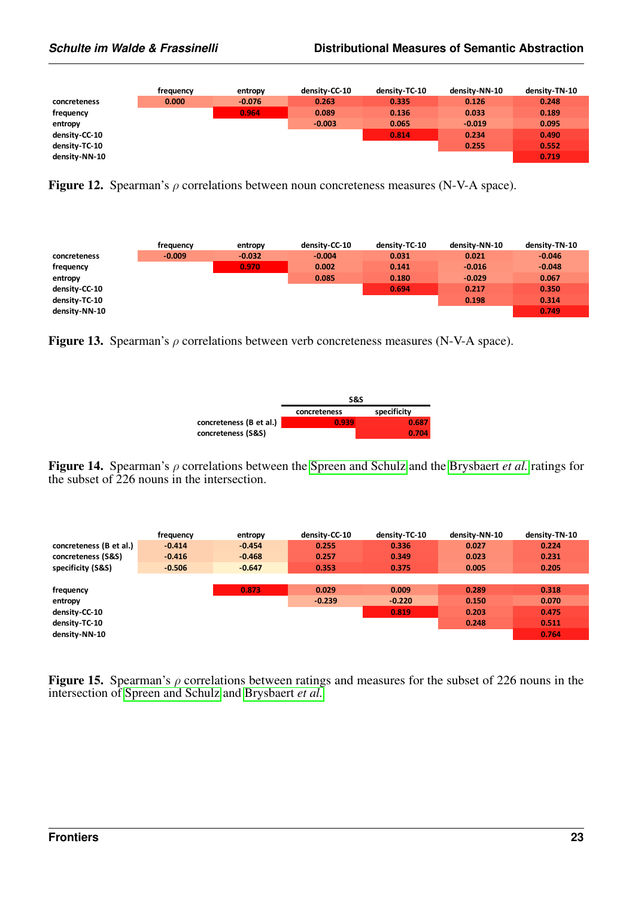<span id="page-22-0"></span>

|               | frequency | entropy  | density-CC-10 | density-TC-10 | density-NN-10 | density-TN-10 |
|---------------|-----------|----------|---------------|---------------|---------------|---------------|
| concreteness  | 0.000     | $-0.076$ | 0.263         | 0.335         | 0.126         | 0.248         |
| frequency     |           | 0.964    | 0.089         | 0.136         | 0.033         | 0.189         |
| entropy       |           |          | $-0.003$      | 0.065         | $-0.019$      | 0.095         |
| density-CC-10 |           |          |               | 0.814         | 0.234         | 0.490         |
| density-TC-10 |           |          |               |               | 0.255         | 0.552         |
| density-NN-10 |           |          |               |               |               | 0.719         |
|               |           |          |               |               |               |               |

**Figure 12.** Spearman's  $\rho$  correlations between noun concreteness measures (N-V-A space). **igure 12.** Spearman s  $\rho$  correlations between noun concreteness measures (18-8-48 space).

<span id="page-22-1"></span>

|               | frequency | entropy  | density-CC-10 | density-TC-10 | density-NN-10 | density-TN-10 |
|---------------|-----------|----------|---------------|---------------|---------------|---------------|
| concreteness  | $-0.009$  | $-0.032$ | $-0.004$      | 0.031         | 0.021         | $-0.046$      |
| frequency     |           | 0.970    | 0.002         | 0.141         | $-0.016$      | $-0.048$      |
| entropy       |           |          | 0.085         | 0.180         | $-0.029$      | 0.067         |
| density-CC-10 |           |          |               | 0.694         | 0.217         | 0.350         |
| density-TC-10 |           |          |               |               | 0.198         | 0.314         |
| density-NN-10 |           |          |               |               |               | 0.749         |

**concreteness (S&S) -0.416 -0.468 0.257 0.349 0.023 0.231 igure 15.** Spearman s  $\rho$  correlations between verb concreteness measures (N-V-A space). **Figure 13.** Spearman's *ρ* correlations between verb concreteness measures (N-V-A space). **Equiversity.** Spearman *s p* correlations between verb concreteness measures (1999) space).

<span id="page-22-2"></span>

**Figure 14.** Spearman's *ρ* correlations between the [Spreen and Schulz](#page-33-2) and the [Brysbaert](#page-29-3) *et al.* ratings for the subset of 226 nouns in the intersection. **igure 14.** Spearman's  $\rho$  correlations between the Spreen and Schulz and the Brysbaert *et al.* rating

<span id="page-22-3"></span>

|                         | frequency | entropy  | density-CC-10 | density-TC-10 | density-NN-10 | density-TN-10 |
|-------------------------|-----------|----------|---------------|---------------|---------------|---------------|
| concreteness (B et al.) | $-0.414$  | $-0.454$ | 0.255         | 0.336         | 0.027         | 0.224         |
| concreteness (S&S)      | $-0.416$  | $-0.468$ | 0.257         | 0.349         | 0.023         | 0.231         |
| specificity (S&S)       | $-0.506$  | $-0.647$ | 0.353         | 0.375         | 0.005         | 0.205         |
|                         |           |          |               |               |               |               |
| frequency               |           | 0.873    | 0.029         | 0.009         | 0.289         | 0.318         |
| entropy                 |           |          | $-0.239$      | $-0.220$      | 0.150         | 0.070         |
| density-CC-10           |           |          |               | 0.819         | 0.203         | 0.475         |
| density-TC-10           |           |          |               |               | 0.248         | 0.511         |
| density-NN-10           |           |          |               |               |               | 0.764         |

Figure 15. Spearman's  $\rho$  correlations between ratings and measures for the subset of 226 nouns in the intersection of [Spreen and Schulz](#page-33-2) and [Brysbaert](#page-29-3) *et al.*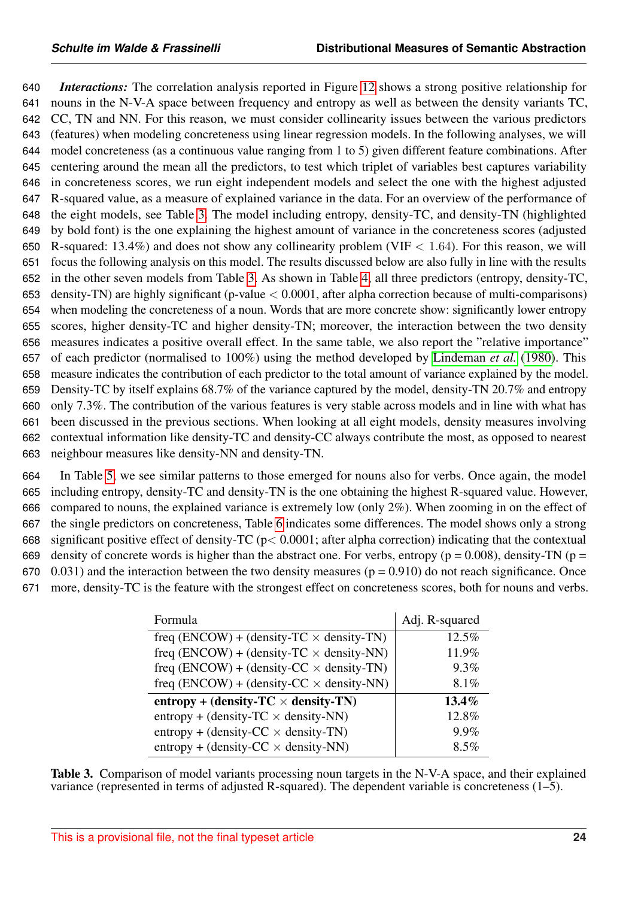*Interactions:* The correlation analysis reported in Figure [12](#page-22-0) shows a strong positive relationship for nouns in the N-V-A space between frequency and entropy as well as between the density variants TC, CC, TN and NN. For this reason, we must consider collinearity issues between the various predictors (features) when modeling concreteness using linear regression models. In the following analyses, we will model concreteness (as a continuous value ranging from 1 to 5) given different feature combinations. After centering around the mean all the predictors, to test which triplet of variables best captures variability in concreteness scores, we run eight independent models and select the one with the highest adjusted R-squared value, as a measure of explained variance in the data. For an overview of the performance of the eight models, see Table [3.](#page-23-0) The model including entropy, density-TC, and density-TN (highlighted by bold font) is the one explaining the highest amount of variance in the concreteness scores (adjusted 650 R-squared: 13.4%) and does not show any collinearity problem (VIF  $<$  1.64). For this reason, we will focus the following analysis on this model. The results discussed below are also fully in line with the results in the other seven models from Table [3.](#page-23-0) As shown in Table [4,](#page-24-0) all three predictors (entropy, density-TC, density-TN) are highly significant (p-value < 0.0001, after alpha correction because of multi-comparisons) when modeling the concreteness of a noun. Words that are more concrete show: significantly lower entropy scores, higher density-TC and higher density-TN; moreover, the interaction between the two density measures indicates a positive overall effect. In the same table, we also report the "relative importance" of each predictor (normalised to 100%) using the method developed by [Lindeman](#page-31-18) *et al.* [\(1980\)](#page-31-18). This measure indicates the contribution of each predictor to the total amount of variance explained by the model. Density-TC by itself explains 68.7% of the variance captured by the model, density-TN 20.7% and entropy only 7.3%. The contribution of the various features is very stable across models and in line with what has been discussed in the previous sections. When looking at all eight models, density measures involving contextual information like density-TC and density-CC always contribute the most, as opposed to nearest neighbour measures like density-NN and density-TN.

 In Table [5,](#page-24-1) we see similar patterns to those emerged for nouns also for verbs. Once again, the model including entropy, density-TC and density-TN is the one obtaining the highest R-squared value. However, compared to nouns, the explained variance is extremely low (only 2%). When zooming in on the effect of the single predictors on concreteness, Table [6](#page-24-2) indicates some differences. The model shows only a strong 668 significant positive effect of density-TC ( $p < 0.0001$ ; after alpha correction) indicating that the contextual 669 density of concrete words is higher than the abstract one. For verbs, entropy ( $p = 0.008$ ), density-TN ( $p =$ 670 0.031) and the interaction between the two density measures ( $p = 0.910$ ) do not reach significance. Once more, density-TC is the feature with the strongest effect on concreteness scores, both for nouns and verbs.

<span id="page-23-0"></span>

| Formula                                          | Adj. R-squared |
|--------------------------------------------------|----------------|
| freq (ENCOW) + (density-TC $\times$ density-TN)  | 12.5%          |
| freq (ENCOW) + (density-TC $\times$ density-NN)  | 11.9%          |
| freq (ENCOW) + (density- $CC \times$ density-TN) | 9.3%           |
| freq (ENCOW) + (density-CC $\times$ density-NN)  | 8.1%           |
| entropy + (density- $TC \times density-TN$ )     | $13.4\%$       |
| $entropy + (density-TC \times density-NN)$       | 12.8%          |
| $entropy + (density-CC \times density-TN)$       | 9.9%           |
| $entropy + (density-CC \times density-NN)$       | 8.5%           |

Table 3. Comparison of model variants processing noun targets in the N-V-A space, and their explained variance (represented in terms of adjusted R-squared). The dependent variable is concreteness (1–5).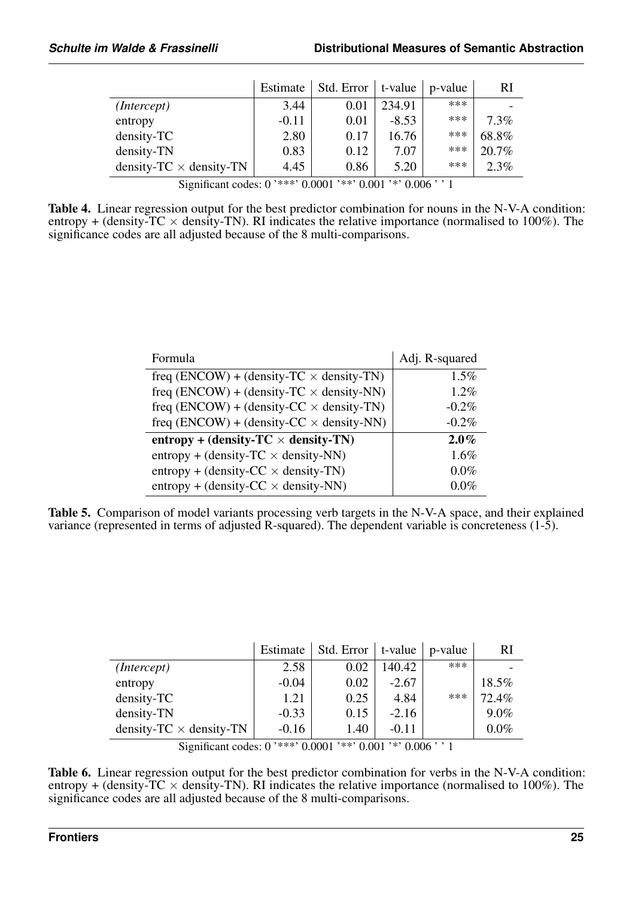<span id="page-24-0"></span>

|                                | Estimate | Std. Error | t-value | p-value | RI      |
|--------------------------------|----------|------------|---------|---------|---------|
| (Intercept)                    | 3.44     | 0.01       | 234.91  | ***     |         |
| entropy                        | $-0.11$  | 0.01       | $-8.53$ | ***     | $7.3\%$ |
| density-TC                     | 2.80     | 0.17       | 16.76   | ***     | 68.8%   |
| density-TN                     | 0.83     | 0.12       | 7.07    | ***     | 20.7%   |
| density-TC $\times$ density-TN | 4.45     | 0.86       | 5.20    | ***     | 2.3%    |

Significant codes: 0 '\*\*\*' 0.0001 '\*\*' 0.001 '\*' 0.006 ' ' 1

Table 4. Linear regression output for the best predictor combination for nouns in the N-V-A condition: entropy + (density-TC  $\times$  density-TN). RI indicates the relative importance (normalised to 100%). The significance codes are all adjusted because of the 8 multi-comparisons.

<span id="page-24-1"></span>

| Formula                                          | Adj. R-squared |
|--------------------------------------------------|----------------|
| freq (ENCOW) + (density-TC $\times$ density-TN)  | 1.5%           |
| freq (ENCOW) + (density-TC $\times$ density-NN)  | 1.2%           |
| freq (ENCOW) + (density- $CC \times$ density-TN) | $-0.2%$        |
| freq (ENCOW) + (density-CC $\times$ density-NN)  | $-0.2%$        |
| entropy + (density- $TC \times$ density- $TN$ )  | $2.0\%$        |
| $entropy + (density-TC \times density-NN)$       | 1.6%           |
| $entropy + (density-CC \times density-TN)$       | 0.0%           |
| entropy + (density- $CC \times$ density-NN)      | 0.0%           |

Table 5. Comparison of model variants processing verb targets in the N-V-A space, and their explained variance (represented in terms of adjusted R-squared). The dependent variable is concreteness (1-5).

<span id="page-24-2"></span>

|                                                                  | Estimate | Std. Error | $t$ -value | p-value | RI      |
|------------------------------------------------------------------|----------|------------|------------|---------|---------|
| ( <i>Intercept</i> )                                             | 2.58     | 0.02       | 140.42     | ***     |         |
| entropy                                                          | $-0.04$  | 0.02       | $-2.67$    |         | 18.5%   |
| density-TC                                                       | 1.21     | 0.25       | 4.84       | ***     | 72.4%   |
| density-TN                                                       | $-0.33$  | 0.15       | $-2.16$    |         | 9.0%    |
| density- $TC \times density-TN$                                  | $-0.16$  | 1.40       | $-0.11$    |         | $0.0\%$ |
| Significant codes: $0$ '***' $0.0001$ '**' $0.001$ '*' $0.006$ ' |          |            |            |         |         |

Significant codes: 0 '\*\*\*' 0.0001 '\*\*' 0.001 '\*' 0.006 ' ' 1

Table 6. Linear regression output for the best predictor combination for verbs in the N-V-A condition: entropy + (density-TC  $\times$  density-TN). RI indicates the relative importance (normalised to 100%). The significance codes are all adjusted because of the 8 multi-comparisons.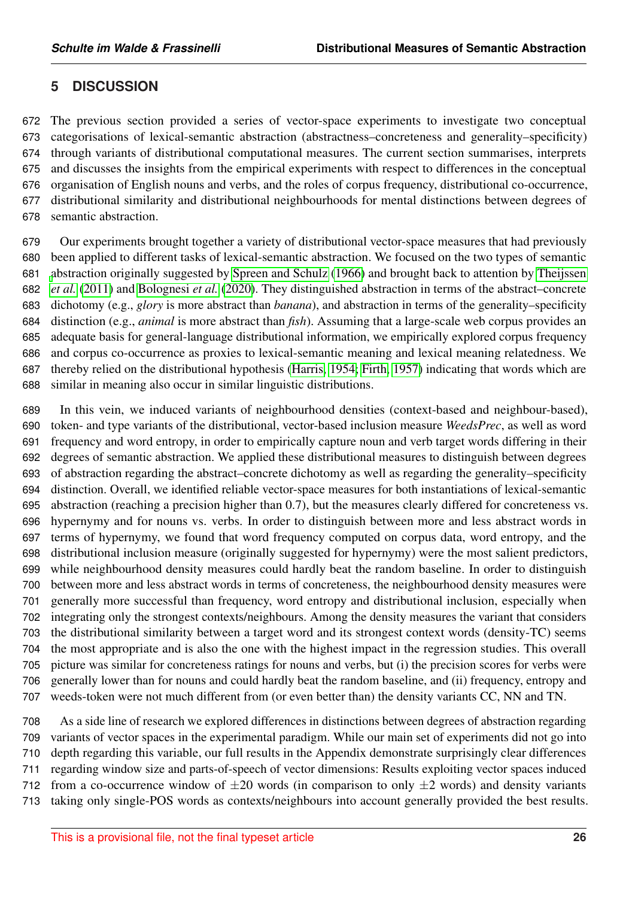## <span id="page-25-0"></span>**5 DISCUSSION**

 The previous section provided a series of vector-space experiments to investigate two conceptual categorisations of lexical-semantic abstraction (abstractness–concreteness and generality–specificity) through variants of distributional computational measures. The current section summarises, interprets and discusses the insights from the empirical experiments with respect to differences in the conceptual organisation of English nouns and verbs, and the roles of corpus frequency, distributional co-occurrence, distributional similarity and distributional neighbourhoods for mental distinctions between degrees of semantic abstraction.

 Our experiments brought together a variety of distributional vector-space measures that had previously been applied to different tasks of lexical-semantic abstraction. We focused on the two types of semantic [a](#page-33-3)bstraction originally suggested by [Spreen and Schulz](#page-33-2) [\(1966\)](#page-33-2) and brought back to attention by [Theijssen](#page-33-3) *[et al.](#page-33-3)* [\(2011\)](#page-33-3) and [Bolognesi](#page-29-1) *et al.* [\(2020\)](#page-29-1). They distinguished abstraction in terms of the abstract–concrete dichotomy (e.g., *glory* is more abstract than *banana*), and abstraction in terms of the generality–specificity distinction (e.g., *animal* is more abstract than *fish*). Assuming that a large-scale web corpus provides an adequate basis for general-language distributional information, we empirically explored corpus frequency and corpus co-occurrence as proxies to lexical-semantic meaning and lexical meaning relatedness. We thereby relied on the distributional hypothesis [\(Harris, 1954;](#page-30-0) [Firth, 1957\)](#page-30-1) indicating that words which are similar in meaning also occur in similar linguistic distributions.

 In this vein, we induced variants of neighbourhood densities (context-based and neighbour-based), token- and type variants of the distributional, vector-based inclusion measure *WeedsPrec*, as well as word frequency and word entropy, in order to empirically capture noun and verb target words differing in their degrees of semantic abstraction. We applied these distributional measures to distinguish between degrees of abstraction regarding the abstract–concrete dichotomy as well as regarding the generality–specificity distinction. Overall, we identified reliable vector-space measures for both instantiations of lexical-semantic abstraction (reaching a precision higher than 0.7), but the measures clearly differed for concreteness vs. hypernymy and for nouns vs. verbs. In order to distinguish between more and less abstract words in terms of hypernymy, we found that word frequency computed on corpus data, word entropy, and the distributional inclusion measure (originally suggested for hypernymy) were the most salient predictors, while neighbourhood density measures could hardly beat the random baseline. In order to distinguish between more and less abstract words in terms of concreteness, the neighbourhood density measures were generally more successful than frequency, word entropy and distributional inclusion, especially when integrating only the strongest contexts/neighbours. Among the density measures the variant that considers the distributional similarity between a target word and its strongest context words (density-TC) seems the most appropriate and is also the one with the highest impact in the regression studies. This overall picture was similar for concreteness ratings for nouns and verbs, but (i) the precision scores for verbs were generally lower than for nouns and could hardly beat the random baseline, and (ii) frequency, entropy and weeds-token were not much different from (or even better than) the density variants CC, NN and TN.

 As a side line of research we explored differences in distinctions between degrees of abstraction regarding variants of vector spaces in the experimental paradigm. While our main set of experiments did not go into depth regarding this variable, our full results in the Appendix demonstrate surprisingly clear differences regarding window size and parts-of-speech of vector dimensions: Results exploiting vector spaces induced 712 from a co-occurrence window of  $\pm 20$  words (in comparison to only  $\pm 2$  words) and density variants taking only single-POS words as contexts/neighbours into account generally provided the best results.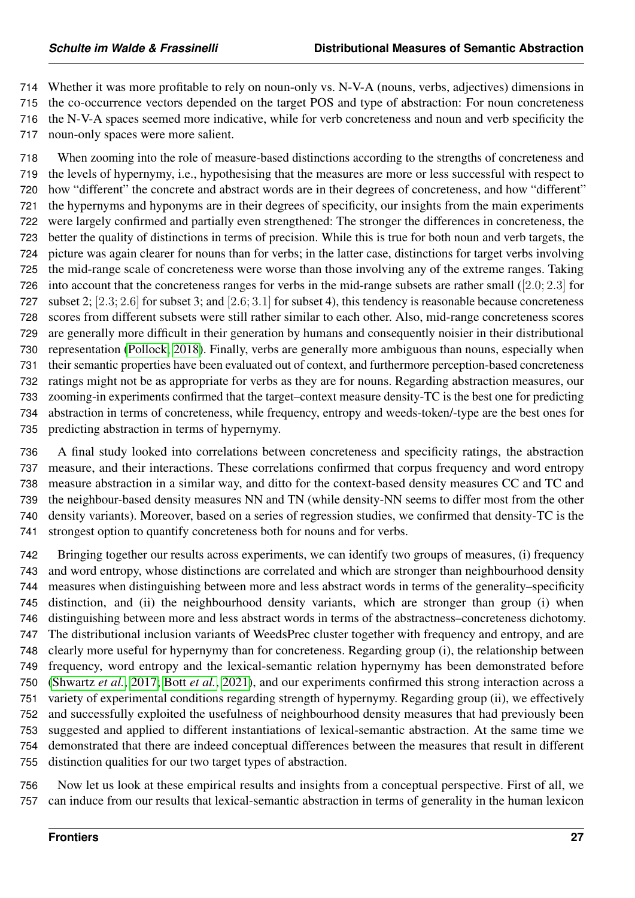Whether it was more profitable to rely on noun-only vs. N-V-A (nouns, verbs, adjectives) dimensions in the co-occurrence vectors depended on the target POS and type of abstraction: For noun concreteness the N-V-A spaces seemed more indicative, while for verb concreteness and noun and verb specificity the noun-only spaces were more salient.

 When zooming into the role of measure-based distinctions according to the strengths of concreteness and the levels of hypernymy, i.e., hypothesising that the measures are more or less successful with respect to how "different" the concrete and abstract words are in their degrees of concreteness, and how "different" the hypernyms and hyponyms are in their degrees of specificity, our insights from the main experiments were largely confirmed and partially even strengthened: The stronger the differences in concreteness, the better the quality of distinctions in terms of precision. While this is true for both noun and verb targets, the picture was again clearer for nouns than for verbs; in the latter case, distinctions for target verbs involving the mid-range scale of concreteness were worse than those involving any of the extreme ranges. Taking into account that the concreteness ranges for verbs in the mid-range subsets are rather small ([2.0; 2.3] for subset 2; [2.3; 2.6] for subset 3; and [2.6; 3.1] for subset 4), this tendency is reasonable because concreteness scores from different subsets were still rather similar to each other. Also, mid-range concreteness scores are generally more difficult in their generation by humans and consequently noisier in their distributional representation [\(Pollock, 2018\)](#page-32-6). Finally, verbs are generally more ambiguous than nouns, especially when their semantic properties have been evaluated out of context, and furthermore perception-based concreteness ratings might not be as appropriate for verbs as they are for nouns. Regarding abstraction measures, our zooming-in experiments confirmed that the target–context measure density-TC is the best one for predicting abstraction in terms of concreteness, while frequency, entropy and weeds-token/-type are the best ones for predicting abstraction in terms of hypernymy.

 A final study looked into correlations between concreteness and specificity ratings, the abstraction measure, and their interactions. These correlations confirmed that corpus frequency and word entropy measure abstraction in a similar way, and ditto for the context-based density measures CC and TC and the neighbour-based density measures NN and TN (while density-NN seems to differ most from the other density variants). Moreover, based on a series of regression studies, we confirmed that density-TC is the strongest option to quantify concreteness both for nouns and for verbs.

 Bringing together our results across experiments, we can identify two groups of measures, (i) frequency and word entropy, whose distinctions are correlated and which are stronger than neighbourhood density measures when distinguishing between more and less abstract words in terms of the generality–specificity distinction, and (ii) the neighbourhood density variants, which are stronger than group (i) when distinguishing between more and less abstract words in terms of the abstractness–concreteness dichotomy. The distributional inclusion variants of WeedsPrec cluster together with frequency and entropy, and are clearly more useful for hypernymy than for concreteness. Regarding group (i), the relationship between frequency, word entropy and the lexical-semantic relation hypernymy has been demonstrated before [\(Shwartz](#page-33-5) *et al.*, [2017;](#page-33-5) Bott *[et al.](#page-29-17)*, [2021\)](#page-29-17), and our experiments confirmed this strong interaction across a variety of experimental conditions regarding strength of hypernymy. Regarding group (ii), we effectively and successfully exploited the usefulness of neighbourhood density measures that had previously been suggested and applied to different instantiations of lexical-semantic abstraction. At the same time we demonstrated that there are indeed conceptual differences between the measures that result in different distinction qualities for our two target types of abstraction.

 Now let us look at these empirical results and insights from a conceptual perspective. First of all, we can induce from our results that lexical-semantic abstraction in terms of generality in the human lexicon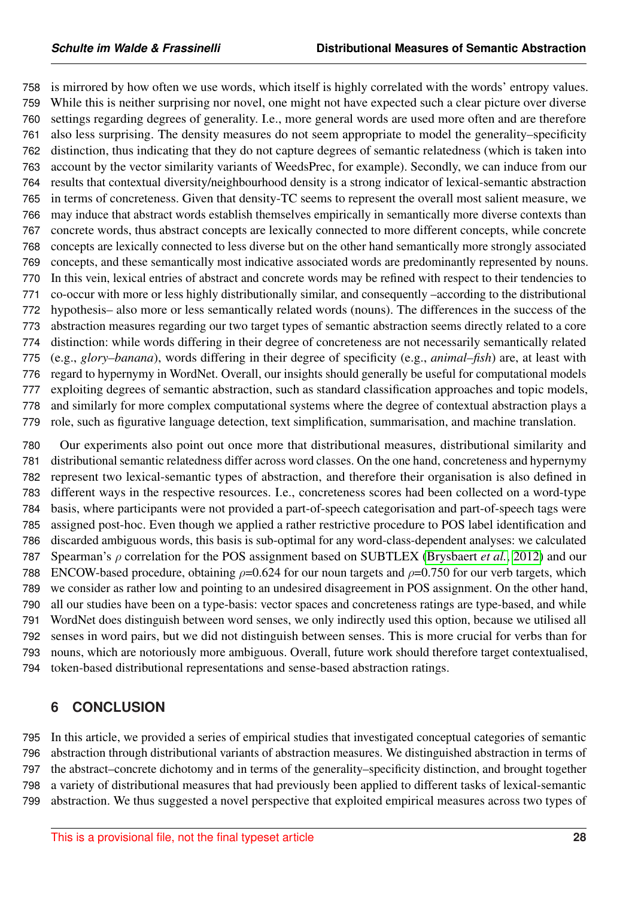is mirrored by how often we use words, which itself is highly correlated with the words' entropy values. While this is neither surprising nor novel, one might not have expected such a clear picture over diverse settings regarding degrees of generality. I.e., more general words are used more often and are therefore also less surprising. The density measures do not seem appropriate to model the generality–specificity distinction, thus indicating that they do not capture degrees of semantic relatedness (which is taken into account by the vector similarity variants of WeedsPrec, for example). Secondly, we can induce from our results that contextual diversity/neighbourhood density is a strong indicator of lexical-semantic abstraction in terms of concreteness. Given that density-TC seems to represent the overall most salient measure, we may induce that abstract words establish themselves empirically in semantically more diverse contexts than concrete words, thus abstract concepts are lexically connected to more different concepts, while concrete concepts are lexically connected to less diverse but on the other hand semantically more strongly associated concepts, and these semantically most indicative associated words are predominantly represented by nouns. In this vein, lexical entries of abstract and concrete words may be refined with respect to their tendencies to co-occur with more or less highly distributionally similar, and consequently –according to the distributional hypothesis– also more or less semantically related words (nouns). The differences in the success of the abstraction measures regarding our two target types of semantic abstraction seems directly related to a core distinction: while words differing in their degree of concreteness are not necessarily semantically related (e.g., *glory–banana*), words differing in their degree of specificity (e.g., *animal–fish*) are, at least with regard to hypernymy in WordNet. Overall, our insights should generally be useful for computational models exploiting degrees of semantic abstraction, such as standard classification approaches and topic models, and similarly for more complex computational systems where the degree of contextual abstraction plays a role, such as figurative language detection, text simplification, summarisation, and machine translation.

 Our experiments also point out once more that distributional measures, distributional similarity and distributional semantic relatedness differ across word classes. On the one hand, concreteness and hypernymy represent two lexical-semantic types of abstraction, and therefore their organisation is also defined in different ways in the respective resources. I.e., concreteness scores had been collected on a word-type basis, where participants were not provided a part-of-speech categorisation and part-of-speech tags were assigned post-hoc. Even though we applied a rather restrictive procedure to POS label identification and discarded ambiguous words, this basis is sub-optimal for any word-class-dependent analyses: we calculated Spearman's ρ correlation for the POS assignment based on SUBTLEX [\(Brysbaert](#page-29-16) *et al.*, [2012\)](#page-29-16) and our 788 ENCOW-based procedure, obtaining  $\rho$ =0.624 for our noun targets and  $\rho$ =0.750 for our verb targets, which we consider as rather low and pointing to an undesired disagreement in POS assignment. On the other hand, all our studies have been on a type-basis: vector spaces and concreteness ratings are type-based, and while WordNet does distinguish between word senses, we only indirectly used this option, because we utilised all senses in word pairs, but we did not distinguish between senses. This is more crucial for verbs than for nouns, which are notoriously more ambiguous. Overall, future work should therefore target contextualised, token-based distributional representations and sense-based abstraction ratings.

### **6 CONCLUSION**

 In this article, we provided a series of empirical studies that investigated conceptual categories of semantic abstraction through distributional variants of abstraction measures. We distinguished abstraction in terms of the abstract–concrete dichotomy and in terms of the generality–specificity distinction, and brought together a variety of distributional measures that had previously been applied to different tasks of lexical-semantic abstraction. We thus suggested a novel perspective that exploited empirical measures across two types of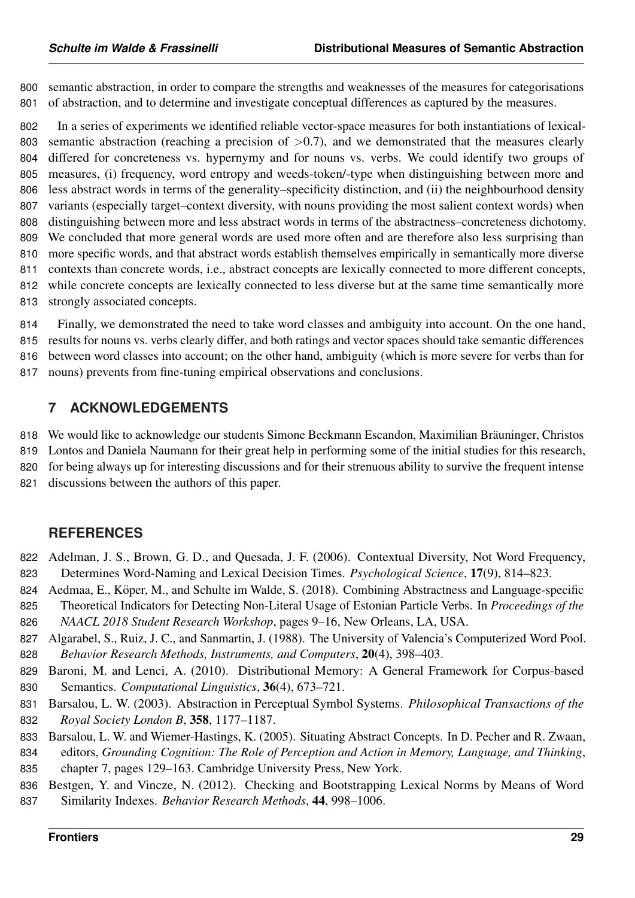semantic abstraction, in order to compare the strengths and weaknesses of the measures for categorisations of abstraction, and to determine and investigate conceptual differences as captured by the measures.

 In a series of experiments we identified reliable vector-space measures for both instantiations of lexical-803 semantic abstraction (reaching a precision of  $>0.7$ ), and we demonstrated that the measures clearly differed for concreteness vs. hypernymy and for nouns vs. verbs. We could identify two groups of measures, (i) frequency, word entropy and weeds-token/-type when distinguishing between more and 806 less abstract words in terms of the generality–specificity distinction, and (ii) the neighbourhood density variants (especially target–context diversity, with nouns providing the most salient context words) when distinguishing between more and less abstract words in terms of the abstractness–concreteness dichotomy. We concluded that more general words are used more often and are therefore also less surprising than more specific words, and that abstract words establish themselves empirically in semantically more diverse 811 contexts than concrete words, i.e., abstract concepts are lexically connected to more different concepts, while concrete concepts are lexically connected to less diverse but at the same time semantically more strongly associated concepts.

 Finally, we demonstrated the need to take word classes and ambiguity into account. On the one hand, results for nouns vs. verbs clearly differ, and both ratings and vector spaces should take semantic differences between word classes into account; on the other hand, ambiguity (which is more severe for verbs than for nouns) prevents from fine-tuning empirical observations and conclusions.

## **7 ACKNOWLEDGEMENTS**

818 We would like to acknowledge our students Simone Beckmann Escandon, Maximilian Bräuninger, Christos Lontos and Daniela Naumann for their great help in performing some of the initial studies for this research, for being always up for interesting discussions and for their strenuous ability to survive the frequent intense discussions between the authors of this paper.

## <span id="page-28-6"></span>**REFERENCES**

- Adelman, J. S., Brown, G. D., and Quesada, J. F. (2006). Contextual Diversity, Not Word Frequency, Determines Word-Naming and Lexical Decision Times. *Psychological Science*, 17(9), 814–823.
- <span id="page-28-3"></span>824 Aedmaa, E., Köper, M., and Schulte im Walde, S. (2018). Combining Abstractness and Language-specific Theoretical Indicators for Detecting Non-Literal Usage of Estonian Particle Verbs. In *Proceedings of the*
- *NAACL 2018 Student Research Workshop*, pages 9–16, New Orleans, LA, USA.
- <span id="page-28-2"></span> Algarabel, S., Ruiz, J. C., and Sanmartin, J. (1988). The University of Valencia's Computerized Word Pool. *Behavior Research Methods, Instruments, and Computers*, 20(4), 398–403.
- <span id="page-28-4"></span> Baroni, M. and Lenci, A. (2010). Distributional Memory: A General Framework for Corpus-based Semantics. *Computational Linguistics*, 36(4), 673–721.
- <span id="page-28-0"></span> Barsalou, L. W. (2003). Abstraction in Perceptual Symbol Systems. *Philosophical Transactions of the Royal Society London B*, 358, 1177–1187.
- <span id="page-28-1"></span>Barsalou, L. W. and Wiemer-Hastings, K. (2005). Situating Abstract Concepts. In D. Pecher and R. Zwaan,
- editors, *Grounding Cognition: The Role of Perception and Action in Memory, Language, and Thinking*, chapter 7, pages 129–163. Cambridge University Press, New York.
- <span id="page-28-5"></span> Bestgen, Y. and Vincze, N. (2012). Checking and Bootstrapping Lexical Norms by Means of Word Similarity Indexes. *Behavior Research Methods*, 44, 998–1006.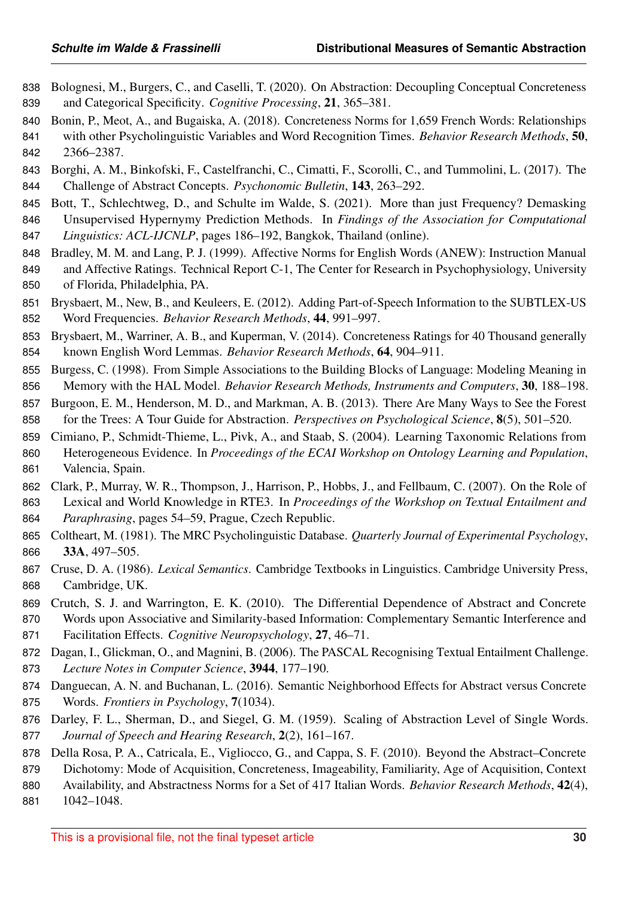- <span id="page-29-1"></span> Bolognesi, M., Burgers, C., and Caselli, T. (2020). On Abstraction: Decoupling Conceptual Concreteness and Categorical Specificity. *Cognitive Processing*, 21, 365–381.
- <span id="page-29-9"></span> Bonin, P., Meot, A., and Bugaiska, A. (2018). Concreteness Norms for 1,659 French Words: Relationships with other Psycholinguistic Variables and Word Recognition Times. *Behavior Research Methods*, 50, 2366–2387.
- <span id="page-29-5"></span> Borghi, A. M., Binkofski, F., Castelfranchi, C., Cimatti, F., Scorolli, C., and Tummolini, L. (2017). The Challenge of Abstract Concepts. *Psychonomic Bulletin*, 143, 263–292.
- <span id="page-29-17"></span> Bott, T., Schlechtweg, D., and Schulte im Walde, S. (2021). More than just Frequency? Demasking Unsupervised Hypernymy Prediction Methods. In *Findings of the Association for Computational Linguistics: ACL-IJCNLP*, pages 186–192, Bangkok, Thailand (online).
- <span id="page-29-7"></span> Bradley, M. M. and Lang, P. J. (1999). Affective Norms for English Words (ANEW): Instruction Manual 849 and Affective Ratings. Technical Report C-1, The Center for Research in Psychophysiology, University of Florida, Philadelphia, PA.
- <span id="page-29-16"></span> Brysbaert, M., New, B., and Keuleers, E. (2012). Adding Part-of-Speech Information to the SUBTLEX-US Word Frequencies. *Behavior Research Methods*, 44, 991–997.
- <span id="page-29-3"></span> Brysbaert, M., Warriner, A. B., and Kuperman, V. (2014). Concreteness Ratings for 40 Thousand generally known English Word Lemmas. *Behavior Research Methods*, 64, 904–911.
- <span id="page-29-11"></span> Burgess, C. (1998). From Simple Associations to the Building Blocks of Language: Modeling Meaning in Memory with the HAL Model. *Behavior Research Methods, Instruments and Computers*, 30, 188–198.
- <span id="page-29-0"></span> Burgoon, E. M., Henderson, M. D., and Markman, A. B. (2013). There Are Many Ways to See the Forest for the Trees: A Tour Guide for Abstraction. *Perspectives on Psychological Science*, 8(5), 501–520.
- <span id="page-29-12"></span> Cimiano, P., Schmidt-Thieme, L., Pivk, A., and Staab, S. (2004). Learning Taxonomic Relations from Heterogeneous Evidence. In *Proceedings of the ECAI Workshop on Ontology Learning and Population*, Valencia, Spain.
- <span id="page-29-14"></span> Clark, P., Murray, W. R., Thompson, J., Harrison, P., Hobbs, J., and Fellbaum, C. (2007). On the Role of Lexical and World Knowledge in RTE3. In *Proceedings of the Workshop on Textual Entailment and Paraphrasing*, pages 54–59, Prague, Czech Republic.
- <span id="page-29-2"></span> Coltheart, M. (1981). The MRC Psycholinguistic Database. *Quarterly Journal of Experimental Psychology*, 33A, 497–505.
- <span id="page-29-10"></span> Cruse, D. A. (1986). *Lexical Semantics*. Cambridge Textbooks in Linguistics. Cambridge University Press, Cambridge, UK.
- <span id="page-29-6"></span> Crutch, S. J. and Warrington, E. K. (2010). The Differential Dependence of Abstract and Concrete Words upon Associative and Similarity-based Information: Complementary Semantic Interference and
- Facilitation Effects. *Cognitive Neuropsychology*, 27, 46–71.
- <span id="page-29-13"></span> Dagan, I., Glickman, O., and Magnini, B. (2006). The PASCAL Recognising Textual Entailment Challenge. *Lecture Notes in Computer Science*, 3944, 177–190.
- <span id="page-29-15"></span> Danguecan, A. N. and Buchanan, L. (2016). Semantic Neighborhood Effects for Abstract versus Concrete Words. *Frontiers in Psychology*, 7(1034).
- <span id="page-29-4"></span> Darley, F. L., Sherman, D., and Siegel, G. M. (1959). Scaling of Abstraction Level of Single Words. *Journal of Speech and Hearing Research*, 2(2), 161–167.
- <span id="page-29-8"></span>Della Rosa, P. A., Catricala, E., Vigliocco, G., and Cappa, S. F. (2010). Beyond the Abstract–Concrete
- Dichotomy: Mode of Acquisition, Concreteness, Imageability, Familiarity, Age of Acquisition, Context
- Availability, and Abstractness Norms for a Set of 417 Italian Words. *Behavior Research Methods*, 42(4), 1042–1048.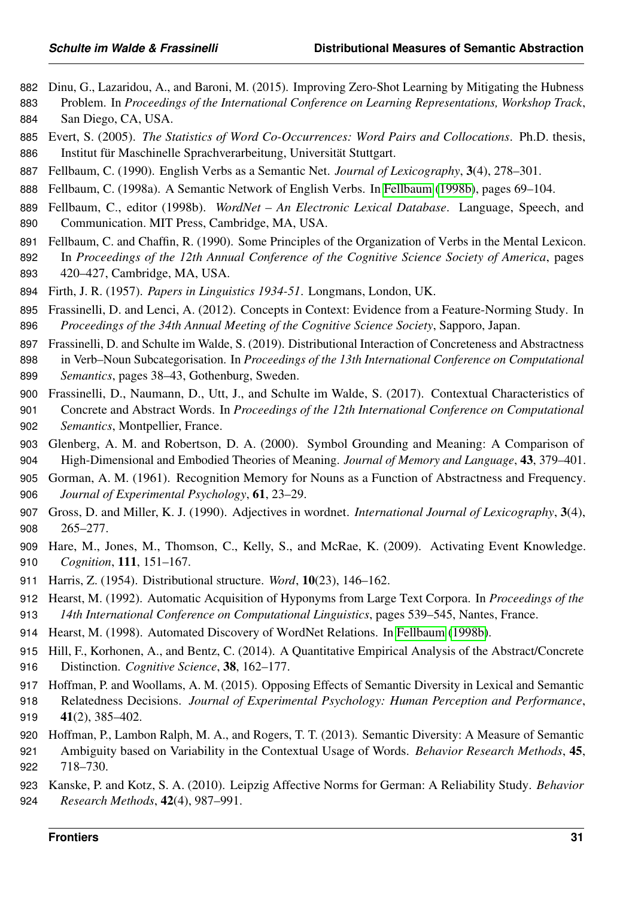<span id="page-30-19"></span>Dinu, G., Lazaridou, A., and Baroni, M. (2015). Improving Zero-Shot Learning by Mitigating the Hubness

 Problem. In *Proceedings of the International Conference on Learning Representations, Workshop Track*, San Diego, CA, USA.

<span id="page-30-20"></span> Evert, S. (2005). *The Statistics of Word Co-Occurrences: Word Pairs and Collocations*. Ph.D. thesis, 886 Institut für Maschinelle Sprachverarbeitung, Universität Stuttgart.

- <span id="page-30-11"></span>Fellbaum, C. (1990). English Verbs as a Semantic Net. *Journal of Lexicography*, 3(4), 278–301.
- <span id="page-30-17"></span>Fellbaum, C. (1998a). A Semantic Network of English Verbs. In [Fellbaum](#page-30-4) [\(1998b\)](#page-30-4), pages 69–104.
- <span id="page-30-4"></span> Fellbaum, C., editor (1998b). *WordNet – An Electronic Lexical Database*. Language, Speech, and Communication. MIT Press, Cambridge, MA, USA.
- <span id="page-30-16"></span> Fellbaum, C. and Chaffin, R. (1990). Some Principles of the Organization of Verbs in the Mental Lexicon. In *Proceedings of the 12th Annual Conference of the Cognitive Science Society of America*, pages 420–427, Cambridge, MA, USA.
- <span id="page-30-1"></span>Firth, J. R. (1957). *Papers in Linguistics 1934-51*. Longmans, London, UK.
- <span id="page-30-9"></span> Frassinelli, D. and Lenci, A. (2012). Concepts in Context: Evidence from a Feature-Norming Study. In *Proceedings of the 34th Annual Meeting of the Cognitive Science Society*, Sapporo, Japan.
- <span id="page-30-5"></span> Frassinelli, D. and Schulte im Walde, S. (2019). Distributional Interaction of Concreteness and Abstractness in Verb–Noun Subcategorisation. In *Proceedings of the 13th International Conference on Computational Semantics*, pages 38–43, Gothenburg, Sweden.
- <span id="page-30-3"></span> Frassinelli, D., Naumann, D., Utt, J., and Schulte im Walde, S. (2017). Contextual Characteristics of Concrete and Abstract Words. In *Proceedings of the 12th International Conference on Computational Semantics*, Montpellier, France.
- <span id="page-30-13"></span> Glenberg, A. M. and Robertson, D. A. (2000). Symbol Grounding and Meaning: A Comparison of High-Dimensional and Embodied Theories of Meaning. *Journal of Memory and Language*, 43, 379–401.
- <span id="page-30-6"></span> Gorman, A. M. (1961). Recognition Memory for Nouns as a Function of Abstractness and Frequency. *Journal of Experimental Psychology*, 61, 23–29.
- <span id="page-30-12"></span> Gross, D. and Miller, K. J. (1990). Adjectives in wordnet. *International Journal of Lexicography*, 3(4), 265–277.
- <span id="page-30-8"></span> Hare, M., Jones, M., Thomson, C., Kelly, S., and McRae, K. (2009). Activating Event Knowledge. *Cognition*, 111, 151–167.
- <span id="page-30-0"></span>Harris, Z. (1954). Distributional structure. *Word*, 10(23), 146–162.
- <span id="page-30-15"></span> Hearst, M. (1992). Automatic Acquisition of Hyponyms from Large Text Corpora. In *Proceedings of the 14th International Conference on Computational Linguistics*, pages 539–545, Nantes, France.
- <span id="page-30-14"></span>Hearst, M. (1998). Automated Discovery of WordNet Relations. In [Fellbaum](#page-30-4) [\(1998b\)](#page-30-4).
- <span id="page-30-7"></span> Hill, F., Korhonen, A., and Bentz, C. (2014). A Quantitative Empirical Analysis of the Abstract/Concrete Distinction. *Cognitive Science*, 38, 162–177.
- <span id="page-30-18"></span> Hoffman, P. and Woollams, A. M. (2015). Opposing Effects of Semantic Diversity in Lexical and Semantic Relatedness Decisions. *Journal of Experimental Psychology: Human Perception and Performance*, 41(2), 385–402.
- <span id="page-30-2"></span> Hoffman, P., Lambon Ralph, M. A., and Rogers, T. T. (2013). Semantic Diversity: A Measure of Semantic Ambiguity based on Variability in the Contextual Usage of Words. *Behavior Research Methods*, 45, 718–730.
- <span id="page-30-10"></span> Kanske, P. and Kotz, S. A. (2010). Leipzig Affective Norms for German: A Reliability Study. *Behavior Research Methods*, 42(4), 987–991.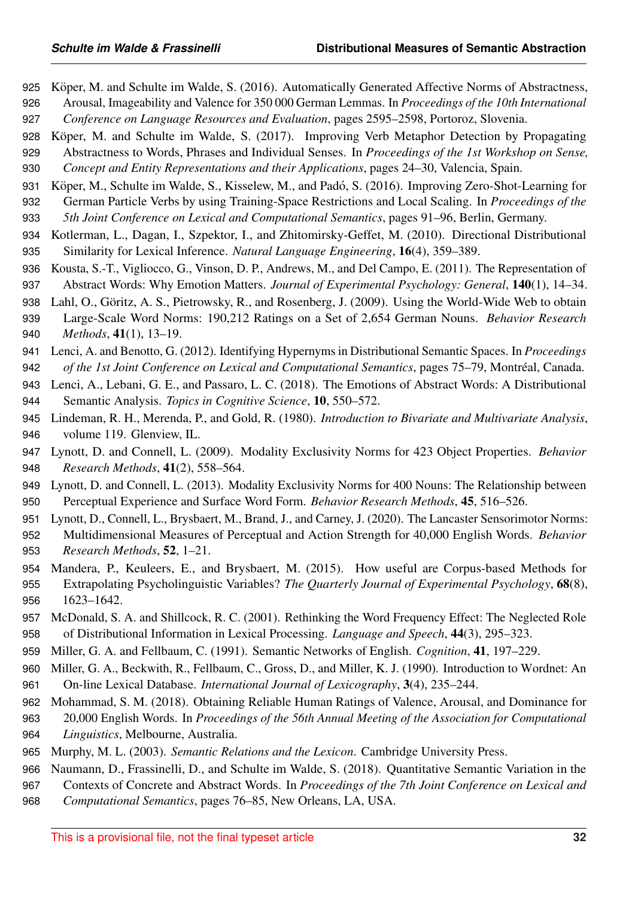- <span id="page-31-9"></span>925 Köper, M. and Schulte im Walde, S. (2016). Automatically Generated Affective Norms of Abstractness,
- Arousal, Imageability and Valence for 350 000 German Lemmas. In *Proceedings of the 10th International*
- *Conference on Language Resources and Evaluation*, pages 2595–2598, Portoroz, Slovenia.
- <span id="page-31-10"></span>928 Köper, M. and Schulte im Walde, S. (2017). Improving Verb Metaphor Detection by Propagating Abstractness to Words, Phrases and Individual Senses. In *Proceedings of the 1st Workshop on Sense, Concept and Entity Representations and their Applications*, pages 24–30, Valencia, Spain.
- <span id="page-31-17"></span>931 Köper, M., Schulte im Walde, S., Kisselew, M., and Padó, S. (2016). Improving Zero-Shot-Learning for German Particle Verbs by using Training-Space Restrictions and Local Scaling. In *Proceedings of the 5th Joint Conference on Lexical and Computational Semantics*, pages 91–96, Berlin, Germany.
- <span id="page-31-14"></span> Kotlerman, L., Dagan, I., Szpektor, I., and Zhitomirsky-Geffet, M. (2010). Directional Distributional Similarity for Lexical Inference. *Natural Language Engineering*, 16(4), 359–389.
- <span id="page-31-2"></span> Kousta, S.-T., Vigliocco, G., Vinson, D. P., Andrews, M., and Del Campo, E. (2011). The Representation of Abstract Words: Why Emotion Matters. *Journal of Experimental Psychology: General*, 140(1), 14–34.
- <span id="page-31-7"></span>938 Lahl, O., Göritz, A. S., Pietrowsky, R., and Rosenberg, J. (2009). Using the World-Wide Web to obtain
- Large-Scale Word Norms: 190,212 Ratings on a Set of 2,654 German Nouns. *Behavior Research Methods*, 41(1), 13–19.
- <span id="page-31-15"></span> Lenci, A. and Benotto, G. (2012). Identifying Hypernyms in Distributional Semantic Spaces. In *Proceedings of the 1st Joint Conference on Lexical and Computational Semantics*, pages 75–79, Montréal, Canada.
- <span id="page-31-13"></span> Lenci, A., Lebani, G. E., and Passaro, L. C. (2018). The Emotions of Abstract Words: A Distributional Semantic Analysis. *Topics in Cognitive Science*, 10, 550–572.
- <span id="page-31-18"></span> Lindeman, R. H., Merenda, P., and Gold, R. (1980). *Introduction to Bivariate and Multivariate Analysis*, volume 119. Glenview, IL.
- <span id="page-31-4"></span> Lynott, D. and Connell, L. (2009). Modality Exclusivity Norms for 423 Object Properties. *Behavior Research Methods*, 41(2), 558–564.
- <span id="page-31-5"></span> Lynott, D. and Connell, L. (2013). Modality Exclusivity Norms for 400 Nouns: The Relationship between Perceptual Experience and Surface Word Form. *Behavior Research Methods*, 45, 516–526.
- <span id="page-31-6"></span> Lynott, D., Connell, L., Brysbaert, M., Brand, J., and Carney, J. (2020). The Lancaster Sensorimotor Norms: Multidimensional Measures of Perceptual and Action Strength for 40,000 English Words. *Behavior Research Methods*, 52, 1–21.
- <span id="page-31-8"></span> Mandera, P., Keuleers, E., and Brysbaert, M. (2015). How useful are Corpus-based Methods for Extrapolating Psycholinguistic Variables? *The Quarterly Journal of Experimental Psychology*, 68(8), 1623–1642.
- <span id="page-31-16"></span> McDonald, S. A. and Shillcock, R. C. (2001). Rethinking the Word Frequency Effect: The Neglected Role of Distributional Information in Lexical Processing. *Language and Speech*, 44(3), 295–323.
- <span id="page-31-1"></span>Miller, G. A. and Fellbaum, C. (1991). Semantic Networks of English. *Cognition*, 41, 197–229.
- <span id="page-31-12"></span> Miller, G. A., Beckwith, R., Fellbaum, C., Gross, D., and Miller, K. J. (1990). Introduction to Wordnet: An On-line Lexical Database. *International Journal of Lexicography*, 3(4), 235–244.
- <span id="page-31-3"></span> Mohammad, S. M. (2018). Obtaining Reliable Human Ratings of Valence, Arousal, and Dominance for 20,000 English Words. In *Proceedings of the 56th Annual Meeting of the Association for Computational Linguistics*, Melbourne, Australia.
- <span id="page-31-11"></span>Murphy, M. L. (2003). *Semantic Relations and the Lexicon*. Cambridge University Press.
- <span id="page-31-0"></span>Naumann, D., Frassinelli, D., and Schulte im Walde, S. (2018). Quantitative Semantic Variation in the
- Contexts of Concrete and Abstract Words. In *Proceedings of the 7th Joint Conference on Lexical and*
- *Computational Semantics*, pages 76–85, New Orleans, LA, USA.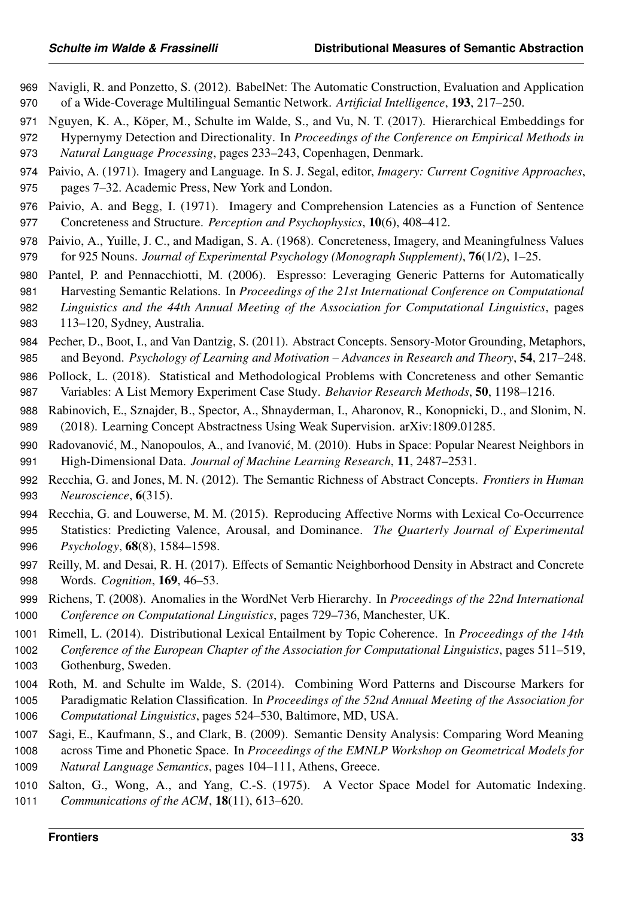- <span id="page-32-11"></span> Navigli, R. and Ponzetto, S. (2012). BabelNet: The Automatic Construction, Evaluation and Application of a Wide-Coverage Multilingual Semantic Network. *Artificial Intelligence*, 193, 217–250.
- <span id="page-32-14"></span>971 Nguyen, K. A., Köper, M., Schulte im Walde, S., and Vu, N. T. (2017). Hierarchical Embeddings for Hypernymy Detection and Directionality. In *Proceedings of the Conference on Empirical Methods in Natural Language Processing*, pages 233–243, Copenhagen, Denmark.
- <span id="page-32-2"></span> Paivio, A. (1971). Imagery and Language. In S. J. Segal, editor, *Imagery: Current Cognitive Approaches*, pages 7–32. Academic Press, New York and London.
- <span id="page-32-5"></span> Paivio, A. and Begg, I. (1971). Imagery and Comprehension Latencies as a Function of Sentence Concreteness and Structure. *Perception and Psychophysics*, 10(6), 408–412.
- <span id="page-32-4"></span> Paivio, A., Yuille, J. C., and Madigan, S. A. (1968). Concreteness, Imagery, and Meaningfulness Values for 925 Nouns. *Journal of Experimental Psychology (Monograph Supplement)*, 76(1/2), 1–25.
- <span id="page-32-12"></span>Pantel, P. and Pennacchiotti, M. (2006). Espresso: Leveraging Generic Patterns for Automatically
- Harvesting Semantic Relations. In *Proceedings of the 21st International Conference on Computational*
- *Linguistics and the 44th Annual Meeting of the Association for Computational Linguistics*, pages 113–120, Sydney, Australia.
- <span id="page-32-3"></span> Pecher, D., Boot, I., and Van Dantzig, S. (2011). Abstract Concepts. Sensory-Motor Grounding, Metaphors, and Beyond. *Psychology of Learning and Motivation – Advances in Research and Theory*, 54, 217–248.
- <span id="page-32-6"></span> Pollock, L. (2018). Statistical and Methodological Problems with Concreteness and other Semantic Variables: A List Memory Experiment Case Study. *Behavior Research Methods*, 50, 1198–1216.
- <span id="page-32-9"></span> Rabinovich, E., Sznajder, B., Spector, A., Shnayderman, I., Aharonov, R., Konopnicki, D., and Slonim, N. (2018). Learning Concept Abstractness Using Weak Supervision. arXiv:1809.01285.
- <span id="page-32-17"></span>990 Radovanović, M., Nanopoulos, A., and Ivanović, M. (2010). Hubs in Space: Popular Nearest Neighbors in High-Dimensional Data. *Journal of Machine Learning Research*, 11, 2487–2531.
- <span id="page-32-7"></span> Recchia, G. and Jones, M. N. (2012). The Semantic Richness of Abstract Concepts. *Frontiers in Human Neuroscience*, 6(315).
- <span id="page-32-8"></span> Recchia, G. and Louwerse, M. M. (2015). Reproducing Affective Norms with Lexical Co-Occurrence Statistics: Predicting Valence, Arousal, and Dominance. *The Quarterly Journal of Experimental Psychology*, 68(8), 1584–1598.
- <span id="page-32-15"></span> Reilly, M. and Desai, R. H. (2017). Effects of Semantic Neighborhood Density in Abstract and Concrete Words. *Cognition*, 169, 46–53.
- <span id="page-32-16"></span> Richens, T. (2008). Anomalies in the WordNet Verb Hierarchy. In *Proceedings of the 22nd International Conference on Computational Linguistics*, pages 729–736, Manchester, UK.
- <span id="page-32-1"></span>Rimell, L. (2014). Distributional Lexical Entailment by Topic Coherence. In *Proceedings of the 14th*
- *Conference of the European Chapter of the Association for Computational Linguistics*, pages 511–519, Gothenburg, Sweden.
- <span id="page-32-13"></span> Roth, M. and Schulte im Walde, S. (2014). Combining Word Patterns and Discourse Markers for Paradigmatic Relation Classification. In *Proceedings of the 52nd Annual Meeting of the Association for Computational Linguistics*, pages 524–530, Baltimore, MD, USA.
- <span id="page-32-0"></span>Sagi, E., Kaufmann, S., and Clark, B. (2009). Semantic Density Analysis: Comparing Word Meaning
- across Time and Phonetic Space. In *Proceedings of the EMNLP Workshop on Geometrical Models for Natural Language Semantics*, pages 104–111, Athens, Greece.
- <span id="page-32-10"></span> Salton, G., Wong, A., and Yang, C.-S. (1975). A Vector Space Model for Automatic Indexing. *Communications of the ACM*, 18(11), 613–620.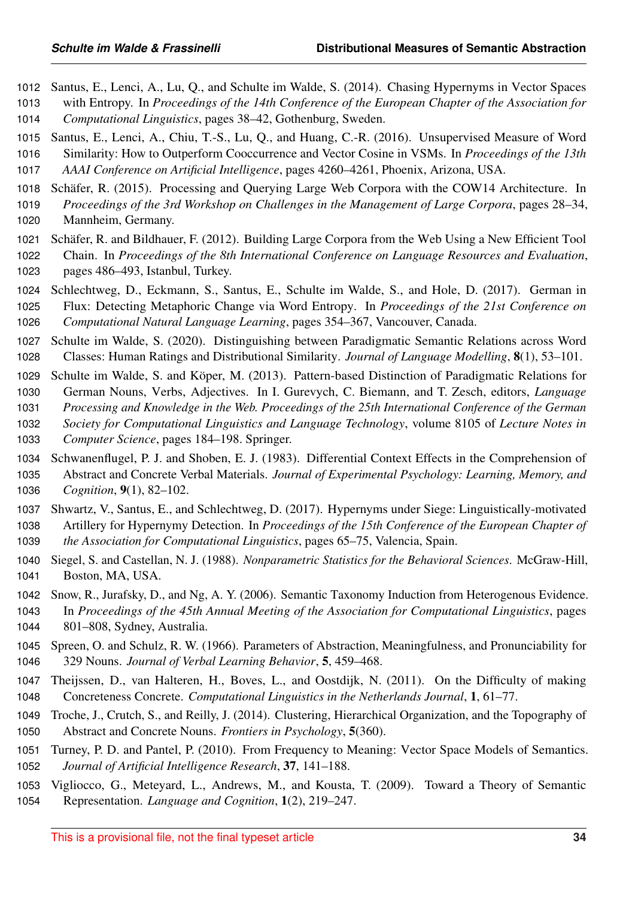- <span id="page-33-0"></span>Santus, E., Lenci, A., Lu, Q., and Schulte im Walde, S. (2014). Chasing Hypernyms in Vector Spaces
- with Entropy. In *Proceedings of the 14th Conference of the European Chapter of the Association for Computational Linguistics*, pages 38–42, Gothenburg, Sweden.
- <span id="page-33-13"></span> Santus, E., Lenci, A., Chiu, T.-S., Lu, Q., and Huang, C.-R. (2016). Unsupervised Measure of Word Similarity: How to Outperform Cooccurrence and Vector Cosine in VSMs. In *Proceedings of the 13th AAAI Conference on Artificial Intelligence*, pages 4260–4261, Phoenix, Arizona, USA.
- <span id="page-33-14"></span>1018 Schäfer, R. (2015). Processing and Querying Large Web Corpora with the COW14 Architecture. In
- *Proceedings of the 3rd Workshop on Challenges in the Management of Large Corpora*, pages 28–34, Mannheim, Germany.
- <span id="page-33-6"></span>1021 Schäfer, R. and Bildhauer, F. (2012). Building Large Corpora from the Web Using a New Efficient Tool Chain. In *Proceedings of the 8th International Conference on Language Resources and Evaluation*, pages 486–493, Istanbul, Turkey.
- <span id="page-33-1"></span> Schlechtweg, D., Eckmann, S., Santus, E., Schulte im Walde, S., and Hole, D. (2017). German in Flux: Detecting Metaphoric Change via Word Entropy. In *Proceedings of the 21st Conference on Computational Natural Language Learning*, pages 354–367, Vancouver, Canada.
- <span id="page-33-4"></span> Schulte im Walde, S. (2020). Distinguishing between Paradigmatic Semantic Relations across Word Classes: Human Ratings and Distributional Similarity. *Journal of Language Modelling*, 8(1), 53–101.
- <span id="page-33-12"></span>1029 Schulte im Walde, S. and Köper, M. (2013). Pattern-based Distinction of Paradigmatic Relations for German Nouns, Verbs, Adjectives. In I. Gurevych, C. Biemann, and T. Zesch, editors, *Language Processing and Knowledge in the Web. Proceedings of the 25th International Conference of the German*
- *Society for Computational Linguistics and Language Technology*, volume 8105 of *Lecture Notes in*
- *Computer Science*, pages 184–198. Springer.
- <span id="page-33-7"></span> Schwanenflugel, P. J. and Shoben, E. J. (1983). Differential Context Effects in the Comprehension of Abstract and Concrete Verbal Materials. *Journal of Experimental Psychology: Learning, Memory, and Cognition*, 9(1), 82–102.
- <span id="page-33-5"></span> Shwartz, V., Santus, E., and Schlechtweg, D. (2017). Hypernyms under Siege: Linguistically-motivated Artillery for Hypernymy Detection. In *Proceedings of the 15th Conference of the European Chapter of the Association for Computational Linguistics*, pages 65–75, Valencia, Spain.
- <span id="page-33-15"></span> Siegel, S. and Castellan, N. J. (1988). *Nonparametric Statistics for the Behavioral Sciences*. McGraw-Hill, Boston, MA, USA.
- <span id="page-33-11"></span>Snow, R., Jurafsky, D., and Ng, A. Y. (2006). Semantic Taxonomy Induction from Heterogenous Evidence.
- In *Proceedings of the 45th Annual Meeting of the Association for Computational Linguistics*, pages 801–808, Sydney, Australia.
- <span id="page-33-2"></span> Spreen, O. and Schulz, R. W. (1966). Parameters of Abstraction, Meaningfulness, and Pronunciability for 329 Nouns. *Journal of Verbal Learning Behavior*, 5, 459–468.
- <span id="page-33-3"></span> Theijssen, D., van Halteren, H., Boves, L., and Oostdijk, N. (2011). On the Difficulty of making Concreteness Concrete. *Computational Linguistics in the Netherlands Journal*, 1, 61–77.
- <span id="page-33-10"></span> Troche, J., Crutch, S., and Reilly, J. (2014). Clustering, Hierarchical Organization, and the Topography of Abstract and Concrete Nouns. *Frontiers in Psychology*, 5(360).
- <span id="page-33-8"></span> Turney, P. D. and Pantel, P. (2010). From Frequency to Meaning: Vector Space Models of Semantics. *Journal of Artificial Intelligence Research*, 37, 141–188.
- <span id="page-33-9"></span> Vigliocco, G., Meteyard, L., Andrews, M., and Kousta, T. (2009). Toward a Theory of Semantic Representation. *Language and Cognition*, 1(2), 219–247.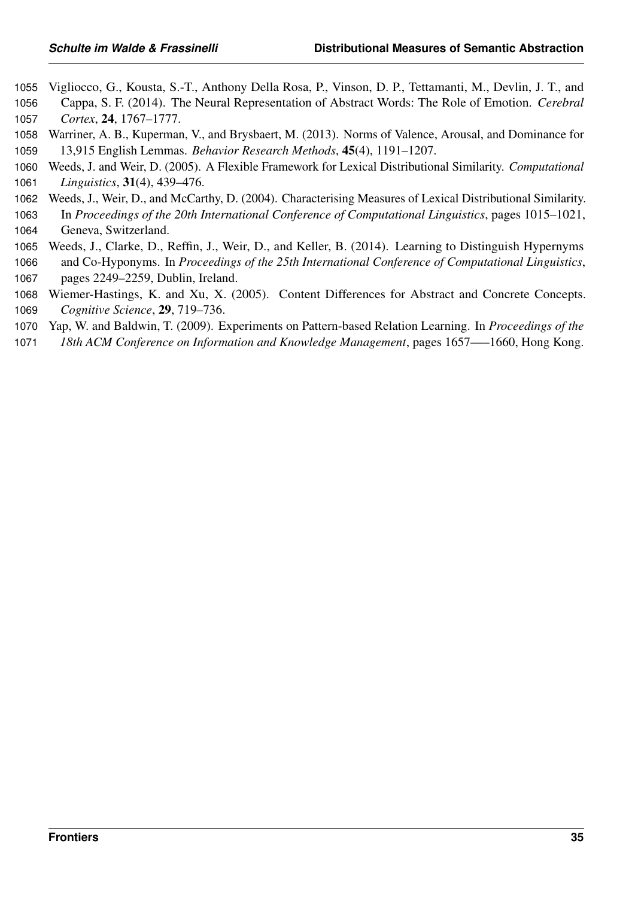- <span id="page-34-1"></span> Vigliocco, G., Kousta, S.-T., Anthony Della Rosa, P., Vinson, D. P., Tettamanti, M., Devlin, J. T., and Cappa, S. F. (2014). The Neural Representation of Abstract Words: The Role of Emotion. *Cerebral Cortex*, 24, 1767–1777.
- <span id="page-34-3"></span> Warriner, A. B., Kuperman, V., and Brysbaert, M. (2013). Norms of Valence, Arousal, and Dominance for 13,915 English Lemmas. *Behavior Research Methods*, 45(4), 1191–1207.
- <span id="page-34-5"></span> Weeds, J. and Weir, D. (2005). A Flexible Framework for Lexical Distributional Similarity. *Computational Linguistics*, 31(4), 439–476.
- <span id="page-34-6"></span> Weeds, J., Weir, D., and McCarthy, D. (2004). Characterising Measures of Lexical Distributional Similarity. In *Proceedings of the 20th International Conference of Computational Linguistics*, pages 1015–1021, Geneva, Switzerland.
- <span id="page-34-0"></span> Weeds, J., Clarke, D., Reffin, J., Weir, D., and Keller, B. (2014). Learning to Distinguish Hypernyms and Co-Hyponyms. In *Proceedings of the 25th International Conference of Computational Linguistics*, pages 2249–2259, Dublin, Ireland.
- <span id="page-34-2"></span> Wiemer-Hastings, K. and Xu, X. (2005). Content Differences for Abstract and Concrete Concepts. *Cognitive Science*, 29, 719–736.
- <span id="page-34-4"></span>Yap, W. and Baldwin, T. (2009). Experiments on Pattern-based Relation Learning. In *Proceedings of the*
- *18th ACM Conference on Information and Knowledge Management*, pages 1657—–1660, Hong Kong.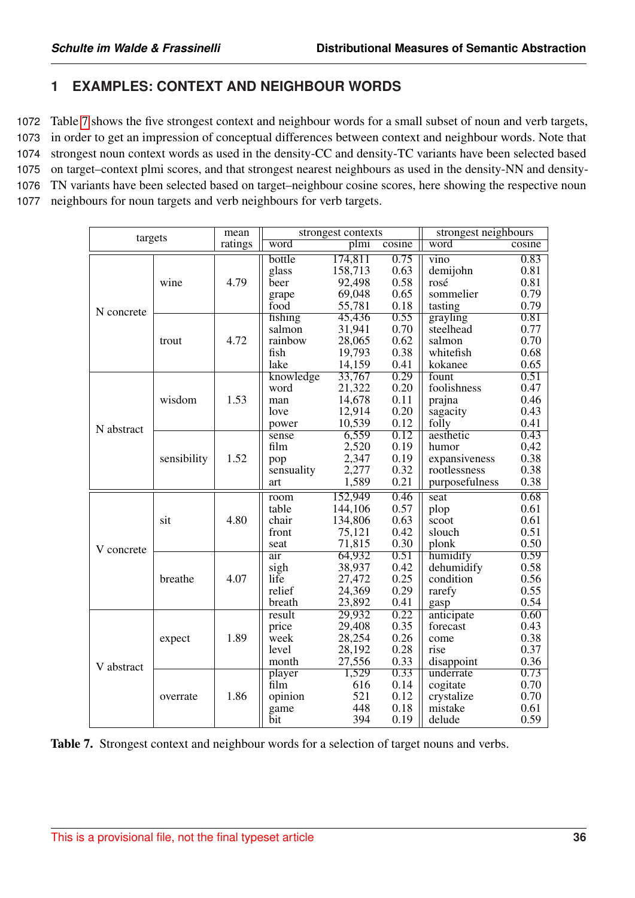## **1 EXAMPLES: CONTEXT AND NEIGHBOUR WORDS**

 Table [7](#page-35-0) shows the five strongest context and neighbour words for a small subset of noun and verb targets, in order to get an impression of conceptual differences between context and neighbour words. Note that strongest noun context words as used in the density-CC and density-TC variants have been selected based on target–context plmi scores, and that strongest nearest neighbours as used in the density-NN and density- TN variants have been selected based on target–neighbour cosine scores, here showing the respective noun neighbours for noun targets and verb neighbours for verb targets.

<span id="page-35-0"></span>

| targets    |             | mean    |            | strongest contexts |        | strongest neighbours |                            |
|------------|-------------|---------|------------|--------------------|--------|----------------------|----------------------------|
|            |             | ratings | word       | plmi               | cosine | word                 | $\overline{\text{cosine}}$ |
|            |             |         | bottle     | 174,811            | 0.75   | vino                 | 0.83                       |
|            |             |         | glass      | 158,713            | 0.63   | demijohn             | 0.81                       |
|            | wine        | 4.79    | beer       | 92,498             | 0.58   | rosé                 | 0.81                       |
|            |             |         | grape      | 69,048             | 0.65   | sommelier            | 0.79                       |
| N concrete |             |         | food       | 55,781             | 0.18   | tasting              | 0.79                       |
|            |             |         | fishing    | 45,436             | 0.55   | grayling             | 0.81                       |
|            |             |         | salmon     | 31,941             | 0.70   | steelhead            | 0.77                       |
|            | trout       | 4.72    | rainbow    | 28,065             | 0.62   | salmon               | 0.70                       |
|            |             |         | fish       | 19,793             | 0.38   | whitefish            | 0.68                       |
|            |             |         | lake       | 14,159             | 0.41   | kokanee              | 0.65                       |
|            |             |         | knowledge  | 33,767             | 0.29   | fount                | 0.51                       |
|            |             |         | word       | 21,322             | 0.20   | foolishness          | 0.47                       |
|            | wisdom      | 1.53    | man        | 14,678             | 0.11   | prajna               | 0.46                       |
|            |             |         | love       | 12,914             | 0.20   | sagacity             | 0.43                       |
| N abstract |             |         | power      | 10,539             | 0.12   | folly                | 0.41                       |
|            |             |         | sense      | 6,559              | 0.12   | aesthetic            | 0.43                       |
|            |             |         | film       | 2,520              | 0.19   | humor                | 0,42                       |
|            | sensibility | 1.52    | pop        | 2,347              | 0.19   | expansiveness        | 0.38                       |
|            |             |         | sensuality | 2,277              | 0.32   | rootlessness         | 0.38                       |
|            |             |         | art        | 1,589              | 0.21   | purposefulness       | 0.38                       |
|            |             |         | room       | 152,949            | 0.46   | seat                 | 0.68                       |
|            |             |         | table      | 144,106            | 0.57   | plop                 | 0.61                       |
|            | sit         | 4.80    | chair      | 134,806            | 0.63   | scoot                | 0.61                       |
|            |             |         | front      | 75,121             | 0.42   | slouch               | 0.51                       |
|            |             |         | seat       | 71,815             | 0.30   | plonk                | 0.50                       |
| V concrete |             |         | air        | 64,932             | 0.51   | humidify             | 0.59                       |
|            |             |         | sigh       | 38,937             | 0.42   | dehumidify           | 0.58                       |
|            | breathe     | 4.07    | life       | 27,472             | 0.25   | condition            | 0.56                       |
|            |             |         | relief     | 24,369             | 0.29   | rarefy               | 0.55                       |
|            |             |         | breath     | 23,892             | 0.41   | gasp                 | 0.54                       |
|            |             |         | result     | 29,932             | 0.22   | anticipate           | 0.60                       |
|            |             |         | price      | 29,408             | 0.35   | forecast             | 0.43                       |
|            | expect      | 1.89    | week       | 28,254             | 0.26   | come                 | 0.38                       |
|            |             |         | level      | 28,192             | 0.28   | rise                 | 0.37                       |
| V abstract |             |         | month      | 27,556             | 0.33   | disappoint           | 0.36                       |
|            |             |         | player     | 1,529              | 0.33   | underrate            | 0.73                       |
|            |             |         | film       | 616                | 0.14   | cogitate             | 0.70                       |
|            | overrate    | 1.86    | opinion    | 521                | 0.12   | crystalize           | 0.70                       |
|            |             |         | game       | 448                | 0.18   | mistake              | 0.61                       |
|            |             |         | bit        | 394                | 0.19   | delude               | 0.59                       |

Table 7. Strongest context and neighbour words for a selection of target nouns and verbs.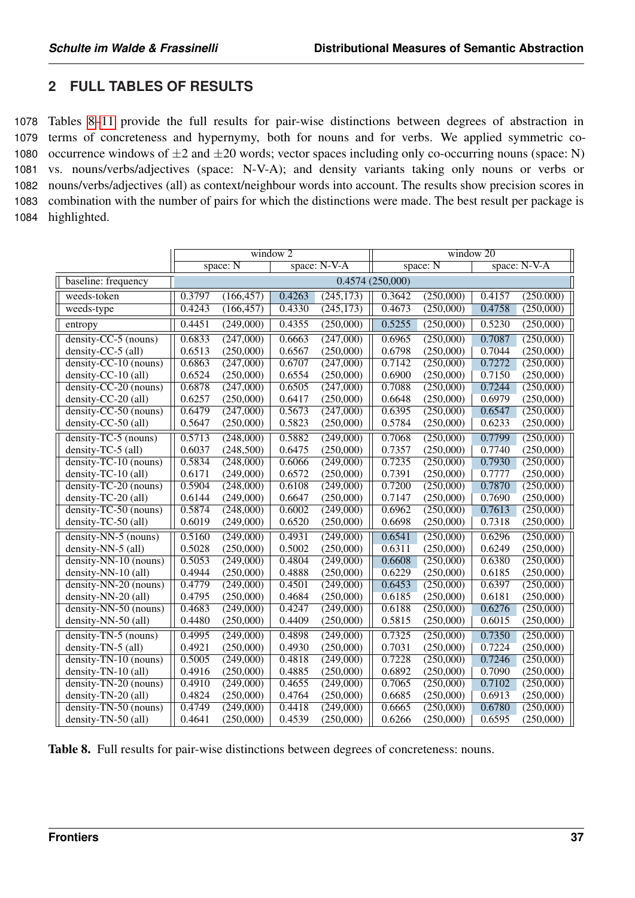## **2 FULL TABLES OF RESULTS**

 Tables [8–](#page-36-0)[11](#page-39-0) provide the full results for pair-wise distinctions between degrees of abstraction in terms of concreteness and hypernymy, both for nouns and for verbs. We applied symmetric co-1080 occurrence windows of  $\pm 2$  and  $\pm 20$  words; vector spaces including only co-occurring nouns (space: N) vs. nouns/verbs/adjectives (space: N-V-A); and density variants taking only nouns or verbs or nouns/verbs/adjectives (all) as context/neighbour words into account. The results show precision scores in combination with the number of pairs for which the distinctions were made. The best result per package is highlighted.

<span id="page-36-0"></span>

|                             | $\overline{\text{window } 2}$<br>window 20 |                 |        |              |                            |           |        |           |
|-----------------------------|--------------------------------------------|-----------------|--------|--------------|----------------------------|-----------|--------|-----------|
|                             |                                            | space: N        |        | space: N-V-A | space: $N$<br>space: N-V-A |           |        |           |
| baseline: frequency         |                                            | 0.4574(250,000) |        |              |                            |           |        |           |
| weeds-token                 | 0.3797                                     | (166, 457)      | 0.4263 | (245, 173)   | 0.3642                     | (250,000) | 0.4157 | (250.000) |
| weeds-type                  | 0.4243                                     | (166, 457)      | 0.4330 | (245, 173)   | 0.4673                     | (250,000) | 0.4758 | (250,000) |
| entropy                     | 0.4451                                     | (249,000)       | 0.4355 | (250,000)    | 0.5255                     | (250,000) | 0.5230 | (250,000) |
| $density-CC-5 (nouns)$      | 0.6833                                     | (247,000)       | 0.6663 | (247,000)    | 0.6965                     | (250,000) | 0.7087 | (250,000) |
| $density-CC-5$ (all)        | 0.6513                                     | (250,000)       | 0.6567 | (250,000)    | 0.6798                     | (250,000) | 0.7044 | (250,000) |
| $density-CC-10 (nouns)$     | 0.6863                                     | (247,000)       | 0.6707 | (247,000)    | 0.7142                     | (250,000) | 0.7272 | (250,000) |
| density-CC-10 (all)         | 0.6524                                     | (250,000)       | 0.6554 | (250,000)    | 0.6900                     | (250,000) | 0.7150 | (250,000) |
| $density-CC-20 (nouns)$     | 0.6878                                     | (247,000)       | 0.6505 | (247,000)    | 0.7088                     | (250,000) | 0.7244 | (250,000) |
| density-CC-20 (all)         | 0.6257                                     | (250,000)       | 0.6417 | (250,000)    | 0.6648                     | (250,000) | 0.6979 | (250,000) |
| $density-CC-50 (nouns)$     | 0.6479                                     | (247,000)       | 0.5673 | (247,000)    | 0.6395                     | (250,000) | 0.6547 | (250,000) |
| density-CC-50 (all)         | 0.5647                                     | (250,000)       | 0.5823 | (250,000)    | 0.5784                     | (250,000) | 0.6233 | (250,000) |
| $density-TC-5$ (nouns)      | 0.5713                                     | (248,000)       | 0.5882 | (249,000)    | 0.7068                     | (250,000) | 0.7799 | (250,000) |
| density-TC-5 $\text{(all)}$ | 0.6037                                     | (248,500)       | 0.6475 | (250,000)    | 0.7357                     | (250,000) | 0.7740 | (250,000) |
| $density-TC-10 (nouns)$     | 0.5834                                     | (248,000)       | 0.6066 | (249,000)    | 0.7235                     | (250,000) | 0.7930 | (250,000) |
| density-TC-10 (all)         | 0.6171                                     | (249,000)       | 0.6572 | (250,000)    | 0.7391                     | (250,000) | 0.7777 | (250,000) |
| $density-TC-20 (nouns)$     | 0.5904                                     | (248,000)       | 0.6108 | (249,000)    | 0.7200                     | (250,000) | 0.7870 | (250,000) |
| density-TC-20 (all)         | 0.6144                                     | (249,000)       | 0.6647 | (250,000)    | 0.7147                     | (250,000) | 0.7690 | (250,000) |
| $density-TC-50 (nouns)$     | 0.5874                                     | (248,000)       | 0.6002 | (249,000)    | 0.6962                     | (250,000) | 0.7613 | (250,000) |
| density-TC-50 (all)         | 0.6019                                     | (249,000)       | 0.6520 | (250,000)    | 0.6698                     | (250,000) | 0.7318 | (250,000) |
| $density-NN-5 (nouns)$      | 0.5160                                     | (249,000)       | 0.4931 | (249,000)    | 0.6541                     | (250,000) | 0.6296 | (250,000) |
| density-NN-5 (all)          | 0.5028                                     | (250,000)       | 0.5002 | (250,000)    | 0.6311                     | (250,000) | 0.6249 | (250,000) |
| $density-NN-10 (nouns)$     | 0.5053                                     | (249,000)       | 0.4804 | (249,000)    | 0.6608                     | (250,000) | 0.6380 | (250,000) |
| density-NN-10 (all)         | 0.4944                                     | (250,000)       | 0.4888 | (250,000)    | 0.6229                     | (250,000) | 0.6185 | (250,000) |
| density-NN-20 (nouns)       | 0.4779                                     | (249,000)       | 0.4501 | (249,000)    | 0.6453                     | (250,000) | 0.6397 | (250,000) |
| density-NN-20 (all)         | 0.4795                                     | (250,000)       | 0.4684 | (250,000)    | 0.6185                     | (250,000) | 0.6181 | (250,000) |
| $density-NN-50 (nouns)$     | 0.4683                                     | (249,000)       | 0.4247 | (249,000)    | 0.6188                     | (250,000) | 0.6276 | (250,000) |
| density-NN-50 (all)         | 0.4480                                     | (250,000)       | 0.4409 | (250,000)    | 0.5815                     | (250,000) | 0.6015 | (250,000) |
| $density-TN-5 (nouns)$      | 0.4995                                     | (249,000)       | 0.4898 | (249,000)    | 0.7325                     | (250,000) | 0.7350 | (250,000) |
| density-TN-5 (all)          | 0.4921                                     | (250,000)       | 0.4930 | (250,000)    | 0.7031                     | (250,000) | 0.7224 | (250,000) |
| $density-TN-10 (nouns)$     | 0.5005                                     | (249,000)       | 0.4818 | (249,000)    | 0.7228                     | (250,000) | 0.7246 | (250,000) |
| density-TN-10 (all)         | 0.4916                                     | (250,000)       | 0.4885 | (250,000)    | 0.6892                     | (250,000) | 0.7090 | (250,000) |
| $density-TN-20 (nouns)$     | 0.4910                                     | (249,000)       | 0.4655 | (249,000)    | 0.7065                     | (250,000) | 0.7102 | (250,000) |
| density-TN-20 (all)         | 0.4824                                     | (250,000)       | 0.4764 | (250,000)    | 0.6685                     | (250,000) | 0.6913 | (250,000) |
| $density-TN-50 (nouns)$     | 0.4749                                     | (249,000)       | 0.4418 | (249,000)    | 0.6665                     | (250,000) | 0.6780 | (250,000) |
| density-TN-50 (all)         | 0.4641                                     | (250,000)       | 0.4539 | (250,000)    | 0.6266                     | (250,000) | 0.6595 | (250,000) |

Table 8. Full results for pair-wise distinctions between degrees of concreteness: nouns.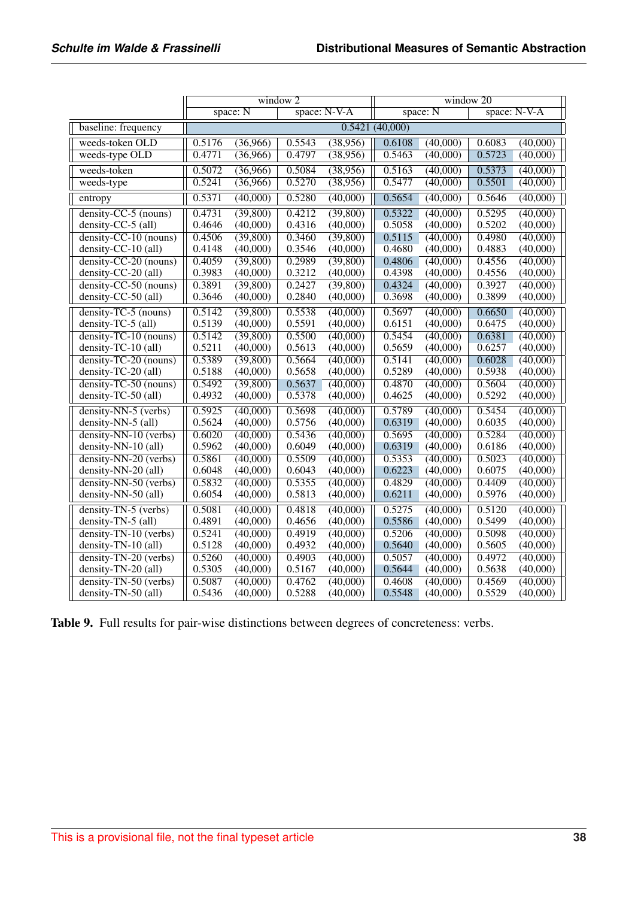|                         | $\overline{\text{window } 2}$ |            |        |              | window 20                |          |        |          |
|-------------------------|-------------------------------|------------|--------|--------------|--------------------------|----------|--------|----------|
|                         |                               | space: $N$ |        | space: N-V-A | space: N<br>space: N-V-A |          |        |          |
| baseline: frequency     |                               |            |        |              | 0.5421(40,000)           |          |        |          |
| weeds-token OLD         | 0.5176                        | (36,966)   | 0.5543 | (38,956)     | 0.6108                   | (40,000) | 0.6083 | (40,000) |
| weeds-type OLD          | 0.4771                        | (36,966)   | 0.4797 | (38,956)     | 0.5463                   | (40,000) | 0.5723 | (40,000) |
| weeds-token             | 0.5072                        | (36,966)   | 0.5084 | (38,956)     | 0.5163                   | (40,000) | 0.5373 | (40,000) |
| weeds-type              | 0.5241                        | (36,966)   | 0.5270 | (38,956)     | 0.5477                   | (40,000) | 0.5501 | (40,000) |
| entropy                 | 0.5371                        | (40,000)   | 0.5280 | (40,000)     | 0.5654                   | (40,000) | 0.5646 | (40,000) |
| $density-CC-5 (nouns)$  | 0.4731                        | (39,800)   | 0.4212 | (39,800)     | 0.5322                   | (40,000) | 0.5295 | (40,000) |
| density-CC-5 (all)      | 0.4646                        | (40,000)   | 0.4316 | (40,000)     | 0.5058                   | (40,000) | 0.5202 | (40,000) |
| $density-CC-10 (nouns)$ | 0.4506                        | (39,800)   | 0.3460 | (39,800)     | 0.5115                   | (40,000) | 0.4980 | (40,000) |
| density-CC-10 (all)     | 0.4148                        | (40,000)   | 0.3546 | (40,000)     | 0.4680                   | (40,000) | 0.4883 | (40,000) |
| $density-CC-20 (nouns)$ | 0.4059                        | (39,800)   | 0.2989 | (39,800)     | 0.4806                   | (40,000) | 0.4556 | (40,000) |
| density-CC-20 (all)     | 0.3983                        | (40,000)   | 0.3212 | (40,000)     | 0.4398                   | (40,000) | 0.4556 | (40,000) |
| $density-CC-50 (nouns)$ | 0.3891                        | (39,800)   | 0.2427 | (39,800)     | 0.4324                   | (40,000) | 0.3927 | (40,000) |
| density-CC-50 (all)     | 0.3646                        | (40,000)   | 0.2840 | (40,000)     | 0.3698                   | (40,000) | 0.3899 | (40,000) |
| $density-TC-5 (nouns)$  | 0.5142                        | (39,800)   | 0.5538 | (40,000)     | 0.5697                   | (40,000) | 0.6650 | (40,000) |
| density-TC-5 (all)      | 0.5139                        | (40,000)   | 0.5591 | (40,000)     | 0.6151                   | (40,000) | 0.6475 | (40,000) |
| $density-TC-10 (nouns)$ | 0.5142                        | (39,800)   | 0.5500 | (40,000)     | 0.5454                   | (40,000) | 0.6381 | (40,000) |
| density-TC-10 (all)     | 0.5211                        | (40,000)   | 0.5613 | (40,000)     | 0.5659                   | (40,000) | 0.6257 | (40,000) |
| $density-TC-20 (nouns)$ | 0.5389                        | (39,800)   | 0.5664 | (40,000)     | 0.5141                   | (40,000) | 0.6028 | (40,000) |
| density-TC-20 (all)     | 0.5188                        | (40,000)   | 0.5658 | (40,000)     | 0.5289                   | (40,000) | 0.5938 | (40,000) |
| $density-TC-50 (nouns)$ | 0.5492                        | (39,800)   | 0.5637 | (40,000)     | 0.4870                   | (40,000) | 0.5604 | (40,000) |
| density-TC-50 (all)     | 0.4932                        | (40,000)   | 0.5378 | (40,000)     | 0.4625                   | (40,000) | 0.5292 | (40,000) |
| density-NN-5 (verbs)    | 0.5925                        | (40,000)   | 0.5698 | (40,000)     | 0.5789                   | (40,000) | 0.5454 | (40,000) |
| density-NN-5 (all)      | 0.5624                        | (40,000)   | 0.5756 | (40,000)     | 0.6319                   | (40,000) | 0.6035 | (40,000) |
| density-NN-10 (verbs)   | 0.6020                        | (40,000)   | 0.5436 | (40,000)     | 0.5695                   | (40,000) | 0.5284 | (40,000) |
| density-NN-10 (all)     | 0.5962                        | (40,000)   | 0.6049 | (40,000)     | 0.6319                   | (40,000) | 0.6186 | (40,000) |
| density-NN-20 (verbs)   | 0.5861                        | (40,000)   | 0.5509 | (40,000)     | 0.5353                   | (40,000) | 0.5023 | (40,000) |
| density-NN-20 (all)     | 0.6048                        | (40,000)   | 0.6043 | (40,000)     | 0.6223                   | (40,000) | 0.6075 | (40,000) |
| density-NN-50 (verbs)   | 0.5832                        | (40,000)   | 0.5355 | (40,000)     | 0.4829                   | (40,000) | 0.4409 | (40,000) |
| density-NN-50 (all)     | 0.6054                        | (40,000)   | 0.5813 | (40,000)     | 0.6211                   | (40,000) | 0.5976 | (40,000) |
| $density-TN-5 (verbs)$  | 0.5081                        | (40,000)   | 0.4818 | (40,000)     | 0.5275                   | (40,000) | 0.5120 | (40,000) |
| density-TN-5 (all)      | 0.4891                        | (40,000)   | 0.4656 | (40,000)     | 0.5586                   | (40,000) | 0.5499 | (40,000) |
| density-TN-10 (verbs)   | 0.5241                        | (40,000)   | 0.4919 | (40,000)     | 0.5206                   | (40,000) | 0.5098 | (40,000) |
| density-TN-10 (all)     | 0.5128                        | (40,000)   | 0.4932 | (40,000)     | 0.5640                   | (40,000) | 0.5605 | (40,000) |
| density-TN-20 (verbs)   | 0.5260                        | (40,000)   | 0.4903 | (40,000)     | 0.5057                   | (40,000) | 0.4972 | (40,000) |
| density-TN-20 (all)     | 0.5305                        | (40,000)   | 0.5167 | (40,000)     | 0.5644                   | (40,000) | 0.5638 | (40,000) |
| $density-TN-50 (verbs)$ | 0.5087                        | (40,000)   | 0.4762 | (40,000)     | 0.4608                   | (40,000) | 0.4569 | (40,000) |
| density-TN-50 (all)     | 0.5436                        | (40,000)   | 0.5288 | (40,000)     | 0.5548                   | (40,000) | 0.5529 | (40,000) |

Table 9. Full results for pair-wise distinctions between degrees of concreteness: verbs.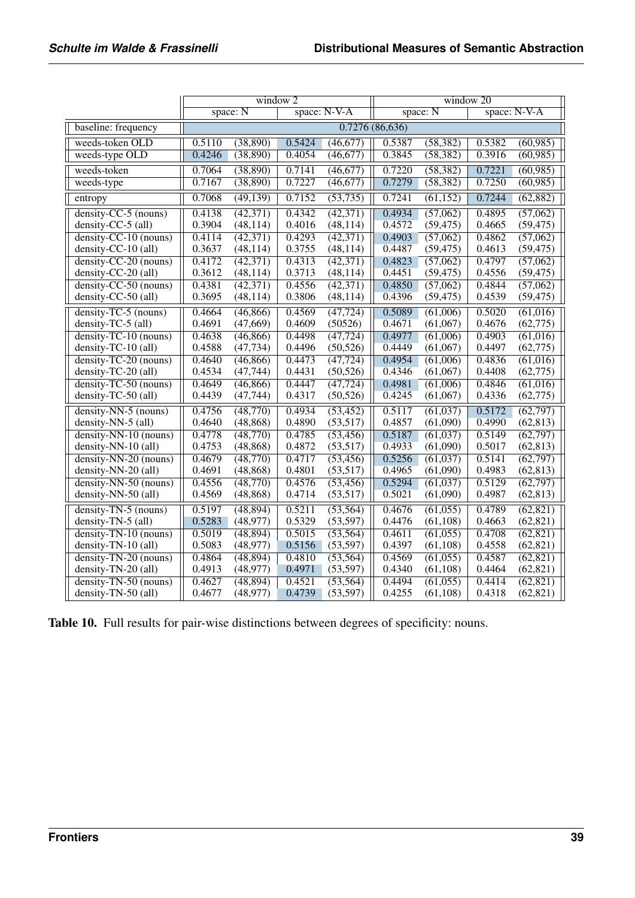|                         | $\overline{\text{window 2}}$ |           |        | window $20$                |        |                       |        |           |
|-------------------------|------------------------------|-----------|--------|----------------------------|--------|-----------------------|--------|-----------|
|                         | space: $N$<br>space: N-V-A   |           |        | space: $N$<br>space: N-V-A |        |                       |        |           |
| baseline: frequency     | 0.7276(86,636)               |           |        |                            |        |                       |        |           |
| weeds-token OLD         | 0.5110                       | (38,890)  | 0.5424 | (46,677)                   | 0.5387 | (58, 382)             | 0.5382 | (60, 985) |
| weeds-type OLD          | 0.4246                       | (38, 890) | 0.4054 | (46,677)                   | 0.3845 | (58, 382)             | 0.3916 | (60, 985) |
| weeds-token             | 0.7064                       | (38,890)  | 0.7141 | (46, 677)                  | 0.7220 | (58, 382)             | 0.7221 | (60, 985) |
| weeds-type              | 0.7167                       | (38,890)  | 0.7227 | (46, 677)                  | 0.7279 | (58, 382)             | 0.7250 | (60, 985) |
| entropy                 | 0.7068                       | (49, 139) | 0.7152 | (53, 735)                  | 0.7241 | (61, 152)             | 0.7244 | (62, 882) |
| $density-CC-5 (nouns)$  | 0.4138                       | (42, 371) | 0.4342 | (42, 371)                  | 0.4934 | (57,062)              | 0.4895 | (57,062)  |
| density-CC-5 (all)      | 0.3904                       | (48, 114) | 0.4016 | (48, 114)                  | 0.4572 | (59, 475)             | 0.4665 | (59, 475) |
| $density-CC-10 (nouns)$ | 0.4114                       | (42, 371) | 0.4293 | (42, 371)                  | 0.4903 | (57,062)              | 0.4862 | (57,062)  |
| density-CC-10 (all)     | 0.3637                       | (48, 114) | 0.3755 | (48, 114)                  | 0.4487 | (59, 475)             | 0.4613 | (59, 475) |
| $density-CC-20 (nouns)$ | 0.4172                       | (42, 371) | 0.4313 | (42, 371)                  | 0.4823 | (57,062)              | 0.4797 | (57,062)  |
| density-CC-20 (all)     | 0.3612                       | (48, 114) | 0.3713 | (48, 114)                  | 0.4451 | (59, 475)             | 0.4556 | (59, 475) |
| $density-CC-50 (nouns)$ | 0.4381                       | (42,371)  | 0.4556 | (42, 371)                  | 0.4850 | (57,062)              | 0.4844 | (57,062)  |
| density-CC-50 (all)     | 0.3695                       | (48, 114) | 0.3806 | (48, 114)                  | 0.4396 | (59, 475)             | 0.4539 | (59, 475) |
| $density-TC-5$ (nouns)  | 0.4664                       | (46, 866) | 0.4569 | (47, 724)                  | 0.5089 | (61,006)              | 0.5020 | (61,016)  |
| density-TC-5 (all)      | 0.4691                       | (47, 669) | 0.4609 | (50526)                    | 0.4671 | (61,067)              | 0.4676 | (62, 775) |
| $density-TC-10 (nouns)$ | 0.4638                       | (46, 866) | 0.4498 | (47, 724)                  | 0.4977 | (61,006)              | 0.4903 | (61,016)  |
| density-TC-10 (all)     | 0.4588                       | (47, 734) | 0.4496 | (50, 526)                  | 0.4449 | (61,067)              | 0.4497 | (62, 775) |
| $density-TC-20 (nouns)$ | 0.4640                       | (46, 866) | 0.4473 | (47, 724)                  | 0.4954 | (61,006)              | 0.4836 | (61,016)  |
| density-TC-20 (all)     | 0.4534                       | (47, 744) | 0.4431 | (50, 526)                  | 0.4346 | (61,067)              | 0.4408 | (62, 775) |
| $density-TC-50 (nouns)$ | 0.4649                       | (46, 866) | 0.4447 | (47, 724)                  | 0.4981 | (61,006)              | 0.4846 | (61,016)  |
| density-TC-50 (all)     | 0.4439                       | (47, 744) | 0.4317 | (50, 526)                  | 0.4245 | (61,067)              | 0.4336 | (62, 775) |
| $density-NN-5 (nouns)$  | 0.4756                       | (48,770)  | 0.4934 | (53, 452)                  | 0.5117 | (61,037)              | 0.5172 | (62, 797) |
| density-NN-5 (all)      | 0.4640                       | (48, 868) | 0.4890 | (53, 517)                  | 0.4857 | (61,090)              | 0.4990 | (62, 813) |
| $density-NN-10 (nouns)$ | 0.4778                       | (48,770)  | 0.4785 | (53, 456)                  | 0.5187 | (61, 037)             | 0.5149 | (62, 797) |
| density-NN-10 (all)     | 0.4753                       | (48, 868) | 0.4872 | (53,517)                   | 0.4933 | (61,090)              | 0.5017 | (62, 813) |
| $density-NN-20 (nouns)$ | 0.4679                       | (48,770)  | 0.4717 | (53, 456)                  | 0.5256 | (61,037)              | 0.5141 | (62, 797) |
| density-NN-20 (all)     | 0.4691                       | (48, 868) | 0.4801 | (53,517)                   | 0.4965 | (61,090)              | 0.4983 | (62, 813) |
| $density-NN-50 (nouns)$ | 0.4556                       | (48,770)  | 0.4576 | (53, 456)                  | 0.5294 | (61,037)              | 0.5129 | (62, 797) |
| density-NN-50 (all)     | 0.4569                       | (48, 868) | 0.4714 | (53, 517)                  | 0.5021 | (61,090)              | 0.4987 | (62, 813) |
| $density-TN-5 (nouns)$  | 0.5197                       | (48, 894) | 0.5211 | (53, 564)                  | 0.4676 | (61,055)              | 0.4789 | (62, 821) |
| density-TN-5 (all)      | 0.5283                       | (48, 977) | 0.5329 | (53, 597)                  | 0.4476 | (61, 108)             | 0.4663 | (62, 821) |
| density-TN-10 (nouns)   | 0.5019                       | (48, 894) | 0.5015 | (53, 564)                  | 0.4611 | (61,055)              | 0.4708 | (62, 821) |
| density-TN-10 (all)     | 0.5083                       | (48, 977) | 0.5156 | (53, 597)                  | 0.4397 | (61, 108)             | 0.4558 | (62, 821) |
| density-TN-20 (nouns)   | 0.4864                       | (48, 894) | 0.4810 | (53, 564)                  | 0.4569 | $\overline{(61,055)}$ | 0.4587 | (62, 821) |
| density-TN-20 (all)     | 0.4913                       | (48, 977) | 0.4971 | (53, 597)                  | 0.4340 | (61, 108)             | 0.4464 | (62, 821) |
| $density-TN-50 (nouns)$ | 0.4627                       | (48, 894) | 0.4521 | (53, 564)                  | 0.4494 | (61,055)              | 0.4414 | (62, 821) |
| density-TN-50 (all)     | 0.4677                       | (48, 977) | 0.4739 | (53, 597)                  | 0.4255 | (61, 108)             | 0.4318 | (62, 821) |

Table 10. Full results for pair-wise distinctions between degrees of specificity: nouns.